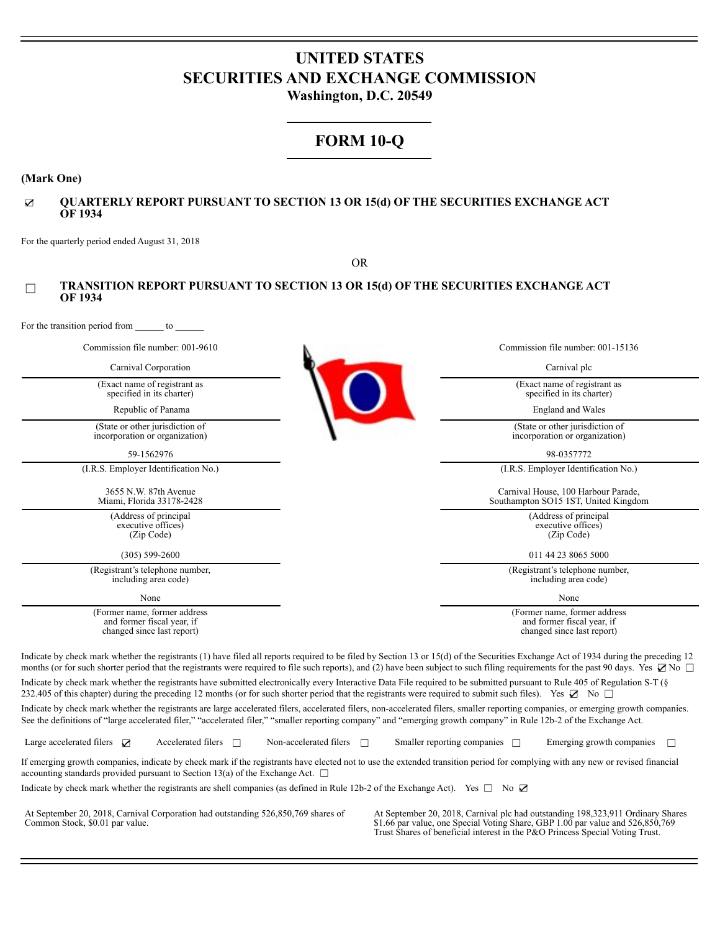# **UNITED STATES SECURITIES AND EXCHANGE COMMISSION**

**Washington, D.C. 20549**

# **FORM 10-Q**

**(Mark One)**

#### **QUARTERLY REPORT PURSUANT TO SECTION 13 OR 15(d) OF THE SECURITIES EXCHANGE ACT**  $\triangledown$ **OF 1934**

For the quarterly period ended August 31, 2018

OR

#### **TRANSITION REPORT PURSUANT TO SECTION 13 OR 15(d) OF THE SECURITIES EXCHANGE ACT**  $\Box$ **OF 1934**

For the transition period from  $\_\_\_\_$  to  $\_\_\_\_$ 

Commission file number: 001-9610 Commission file number: 001-15136

Carnival Corporation Carnival Property and the Carnival plc Carnival plc Carnival plc

(Exact name of registrant as specified in its charter)

Republic of Panama England and Wales

(State or other jurisdiction of incorporation or organization)

59-1562976 98-0357772

(I.R.S. Employer Identification No.) (I.R.S. Employer Identification No.)

3655 N.W. 87th Avenue Miami, Florida 33178-2428

(Address of principal executive offices) (Zip Code)

(305) 599-2600 011 44 23 8065 5000

(Registrant's telephone number, including area code)

None None

(Former name, former address and former fiscal year, if changed since last report)

Indicate by check mark whether the registrants (1) have filed all reports required to be filed by Section 13 or 15(d) of the Securities Exchange Act of 1934 during the preceding 12 months (or for such shorter period that the registrants were required to file such reports), and (2) have been subject to such filing requirements for the past 90 days. Yes  $\boxtimes$  No  $\Box$ 

Indicate by check mark whether the registrants have submitted electronically every Interactive Data File required to be submitted pursuant to Rule 405 of Regulation S-T (§ 232.405 of this chapter) during the preceding 12 months (or for such shorter period that the registrants were required to submit such files). Yes  $\boxtimes$  No  $\square$ 

Indicate by check mark whether the registrants are large accelerated filers, accelerated filers, non-accelerated filers, smaller reporting companies, or emerging growth companies. See the definitions of "large accelerated filer," "accelerated filer," "smaller reporting company" and "emerging growth company" in Rule 12b-2 of the Exchange Act.

Large accelerated filers  $\Box$  Accelerated filers  $\Box$  Smaller reporting companies  $\Box$  Emerging growth companies

 $\Box$ 

(Exact name of registrant as specified in its charter)

(State or other jurisdiction of incorporation or organization)

Carnival House, 100 Harbour Parade, Southampton SO15 1ST, United Kingdom

> (Address of principal executive offices) (Zip Code)

(Registrant's telephone number, including area code)

(Former name, former address and former fiscal year, if changed since last report)

If emerging growth companies, indicate by check mark if the registrants have elected not to use the extended transition period for complying with any new or revised financial accounting standards provided pursuant to Section 13(a) of the Exchange Act.  $\Box$ 

Indicate by check mark whether the registrants are shell companies (as defined in Rule 12b-2 of the Exchange Act). Yes  $\Box$  No  $\boxtimes$ 

At September 20, 2018, Carnival Corporation had outstanding 526,850,769 shares of Common Stock, \$0.01 par value.

At September 20, 2018, Carnival plc had outstanding 198,323,911 Ordinary Shares \$1.66 par value, one Special Voting Share, GBP 1.00 par value and 526,850,769 Trust Shares of beneficial interest in the P&O Princess Special Voting Trust.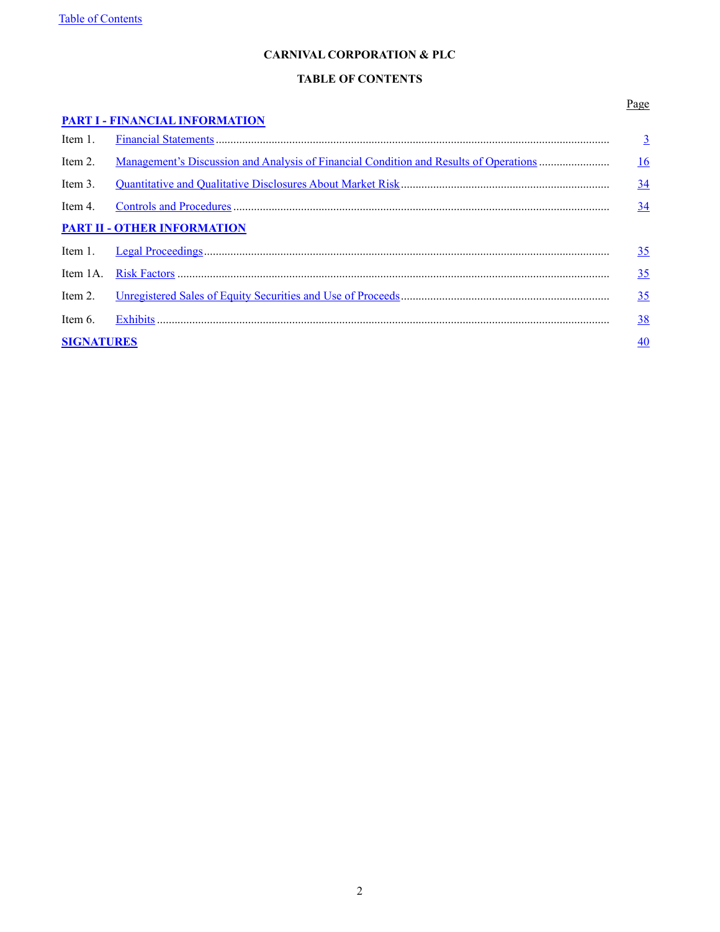Table of Contents

## **CARNIVAL CORPORATION & PLC**

## **TABLE OF CONTENTS**

Page

## **PART I - FINANCIAL INFORMATION**

|                   | нами и - гиманская им омиганов                                                        |                 |
|-------------------|---------------------------------------------------------------------------------------|-----------------|
| Item 1.           |                                                                                       | $\overline{3}$  |
| Item 2.           | Management's Discussion and Analysis of Financial Condition and Results of Operations | 16              |
| Item 3.           |                                                                                       | 34              |
| Item 4.           |                                                                                       | $\frac{34}{ }$  |
|                   | <b>PART II - OTHER INFORMATION</b>                                                    |                 |
| Item 1.           |                                                                                       | 35              |
| Item 1A.          |                                                                                       | 35              |
| Item 2.           |                                                                                       | 35              |
| Item 6.           |                                                                                       | 38              |
| <b>SIGNATURES</b> |                                                                                       | $\overline{40}$ |

## **[SIGNATURES](#page-39-0)**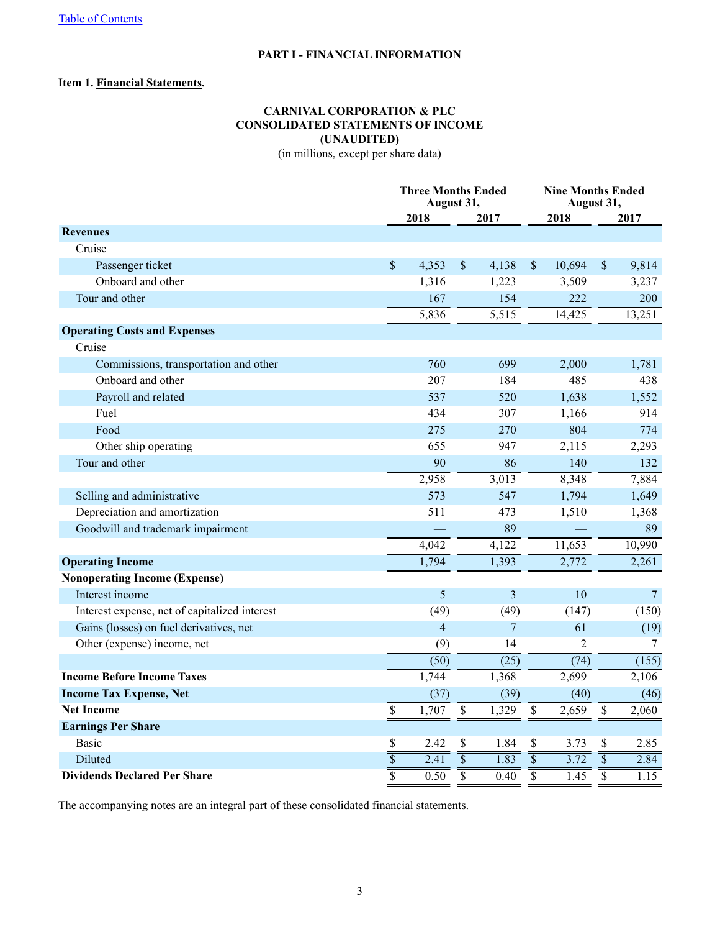## **PART I - FINANCIAL INFORMATION**

## <span id="page-2-0"></span>**Item 1. Financial Statements.**

## **CARNIVAL CORPORATION & PLC CONSOLIDATED STATEMENTS OF INCOME (UNAUDITED)**

(in millions, except per share data)

|                                               |                 | <b>Three Months Ended</b><br>August 31, |                          | <b>Nine Months Ended</b><br>August 31, |                          |        |                 |                |
|-----------------------------------------------|-----------------|-----------------------------------------|--------------------------|----------------------------------------|--------------------------|--------|-----------------|----------------|
|                                               |                 | 2018                                    |                          | 2017                                   |                          | 2018   |                 | 2017           |
| <b>Revenues</b>                               |                 |                                         |                          |                                        |                          |        |                 |                |
| Cruise                                        |                 |                                         |                          |                                        |                          |        |                 |                |
| Passenger ticket                              | $\mathbb{S}$    | 4,353                                   | $\mathsf{\$}$            | 4,138                                  | $\mathcal{S}$            | 10,694 | $\mathsf{\$}$   | 9,814          |
| Onboard and other                             |                 | 1,316                                   |                          | 1,223                                  |                          | 3,509  |                 | 3,237          |
| Tour and other                                |                 | 167                                     |                          | 154                                    |                          | 222    |                 | 200            |
|                                               |                 | 5,836                                   |                          | 5,515                                  |                          | 14,425 |                 | 13,251         |
| <b>Operating Costs and Expenses</b>           |                 |                                         |                          |                                        |                          |        |                 |                |
| Cruise                                        |                 |                                         |                          |                                        |                          |        |                 |                |
| Commissions, transportation and other         |                 | 760                                     |                          | 699                                    |                          | 2,000  |                 | 1,781          |
| Onboard and other                             |                 | 207                                     |                          | 184                                    |                          | 485    |                 | 438            |
| Payroll and related                           |                 | 537                                     |                          | 520                                    |                          | 1,638  |                 | 1,552          |
| Fuel                                          |                 | 434                                     |                          | 307                                    |                          | 1,166  |                 | 914            |
| Food                                          |                 | 275                                     |                          | 270                                    |                          | 804    |                 | 774            |
| Other ship operating                          |                 | 655                                     |                          | 947                                    |                          | 2,115  |                 | 2,293          |
| Tour and other                                |                 | 90                                      |                          | 86                                     |                          | 140    |                 | 132            |
|                                               |                 | 2,958                                   |                          | 3,013                                  |                          | 8,348  |                 | 7,884          |
| Selling and administrative                    |                 | 573                                     |                          | 547                                    |                          | 1,794  |                 | 1,649          |
| Depreciation and amortization                 |                 | 511                                     |                          | 473                                    |                          | 1,510  |                 | 1,368          |
| Goodwill and trademark impairment             |                 |                                         |                          | 89                                     |                          |        |                 | 89             |
|                                               |                 | 4,042                                   |                          | 4,122                                  |                          | 11,653 |                 | 10,990         |
| <b>Operating Income</b>                       |                 | 1,794                                   |                          | 1,393                                  |                          | 2,772  |                 | 2,261          |
| <b>Nonoperating Income (Expense)</b>          |                 |                                         |                          |                                        |                          |        |                 |                |
| Interest income                               |                 | 5                                       |                          | 3                                      |                          | 10     |                 | $\overline{7}$ |
| Interest expense, net of capitalized interest |                 | (49)                                    |                          | (49)                                   |                          | (147)  |                 | (150)          |
| Gains (losses) on fuel derivatives, net       |                 | $\overline{4}$                          |                          | $\overline{7}$                         |                          | 61     |                 | (19)           |
| Other (expense) income, net                   |                 | (9)                                     |                          | 14                                     |                          | 2      |                 | 7              |
|                                               |                 | (50)                                    |                          | (25)                                   |                          | (74)   |                 | (155)          |
| <b>Income Before Income Taxes</b>             |                 | 1,744                                   |                          | 1,368                                  |                          | 2,699  |                 | 2,106          |
| <b>Income Tax Expense, Net</b>                |                 | (37)                                    |                          | (39)                                   |                          | (40)   |                 | (46)           |
| <b>Net Income</b>                             | $\mathsf{\$}$   | 1,707                                   | $\overline{\mathcal{S}}$ | 1,329                                  | $\overline{\mathcal{S}}$ | 2,659  | $\mathsf{\$}$   | 2,060          |
| <b>Earnings Per Share</b>                     |                 |                                         |                          |                                        |                          |        |                 |                |
| <b>Basic</b>                                  | \$              | 2.42                                    | \$                       | 1.84                                   | \$                       | 3.73   | \$              | 2.85           |
| Diluted                                       | $\overline{\$}$ | 2.41                                    | $\overline{\$}$          | 1.83                                   | $\overline{\$}$          | 3.72   | $\overline{\$}$ | 2.84           |
| <b>Dividends Declared Per Share</b>           | $\overline{\$}$ | 0.50                                    | \$                       | 0.40                                   | $\overline{\mathcal{S}}$ | 1.45   | $\overline{\$}$ | 1.15           |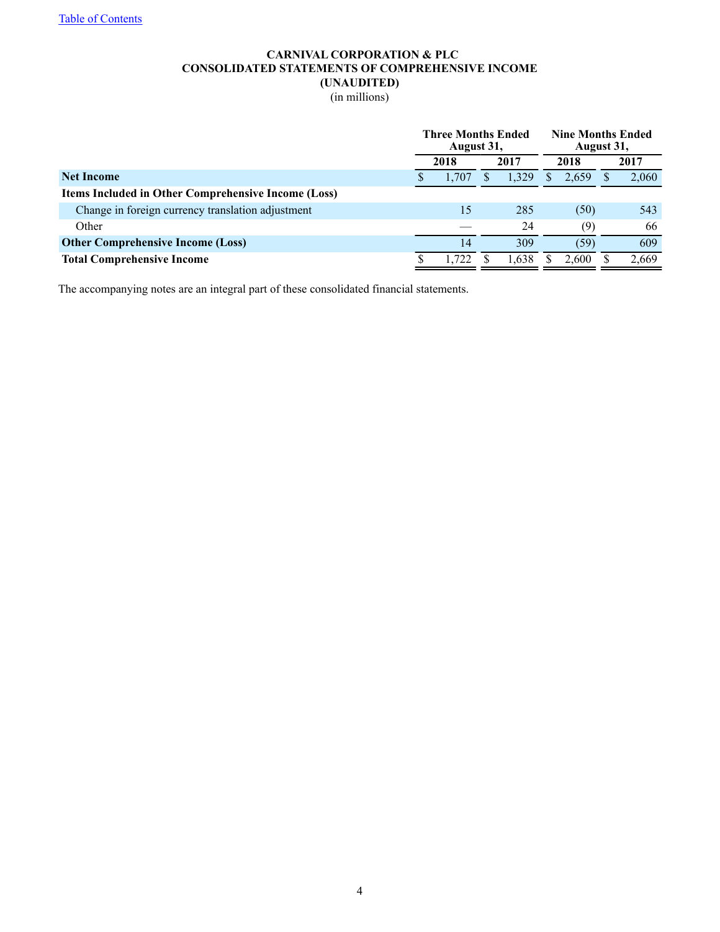## **CARNIVAL CORPORATION & PLC CONSOLIDATED STATEMENTS OF COMPREHENSIVE INCOME (UNAUDITED)**

(in millions)

|                                                     |  | <b>Three Months Ended</b><br>August 31, |       | <b>Nine Months Ended</b><br>August 31, |       |
|-----------------------------------------------------|--|-----------------------------------------|-------|----------------------------------------|-------|
|                                                     |  | 2018                                    | 2017  | 2018                                   | 2017  |
| <b>Net Income</b>                                   |  | 1.707                                   | 1.329 | 2.659                                  | 2,060 |
| Items Included in Other Comprehensive Income (Loss) |  |                                         |       |                                        |       |
| Change in foreign currency translation adjustment   |  | 15                                      | 285   | (50)                                   | 543   |
| Other                                               |  |                                         | 24    | (9)                                    | 66    |
| <b>Other Comprehensive Income (Loss)</b>            |  | 14                                      | 309   | (59)                                   | 609   |
| <b>Total Comprehensive Income</b>                   |  | 1.722                                   | 1.638 | 2.600                                  | 2.669 |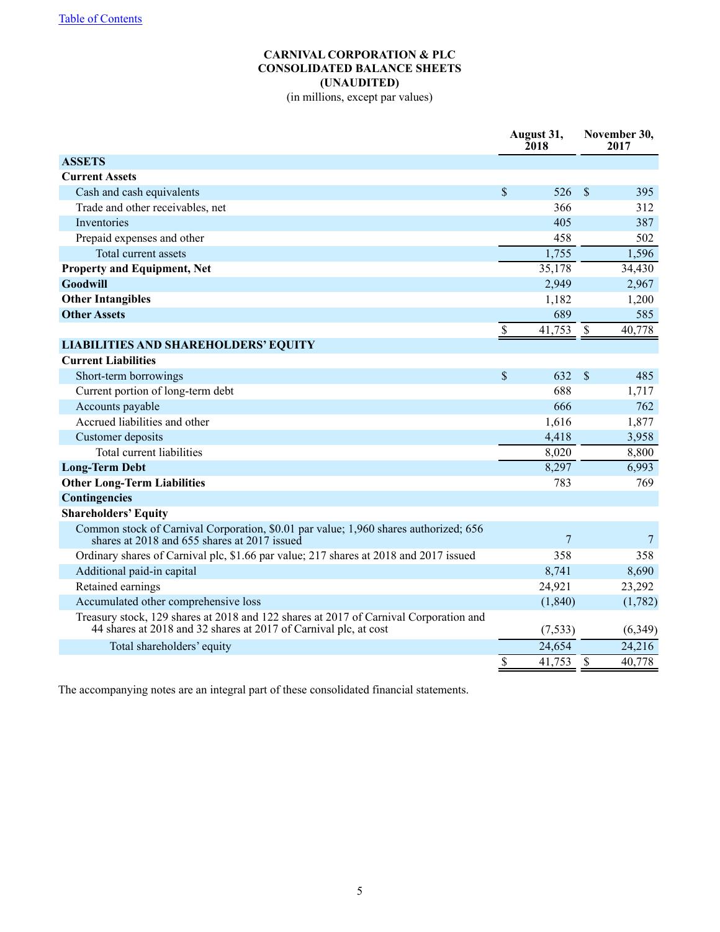## **CARNIVAL CORPORATION & PLC CONSOLIDATED BALANCE SHEETS (UNAUDITED)**

(in millions, except par values)

|                                                                                                                                                           |                 | August 31,<br>2018 |                          | November 30,<br>2017 |
|-----------------------------------------------------------------------------------------------------------------------------------------------------------|-----------------|--------------------|--------------------------|----------------------|
| <b>ASSETS</b>                                                                                                                                             |                 |                    |                          |                      |
| <b>Current Assets</b>                                                                                                                                     |                 |                    |                          |                      |
| Cash and cash equivalents                                                                                                                                 | $\mathsf{\$}$   | 526                | $\mathbf S$              | 395                  |
| Trade and other receivables, net                                                                                                                          |                 | 366                |                          | 312                  |
| Inventories                                                                                                                                               |                 | 405                |                          | 387                  |
| Prepaid expenses and other                                                                                                                                |                 | 458                |                          | 502                  |
| Total current assets                                                                                                                                      |                 | 1,755              |                          | 1,596                |
| Property and Equipment, Net                                                                                                                               |                 | 35,178             |                          | 34,430               |
| <b>Goodwill</b>                                                                                                                                           |                 | 2,949              |                          | 2,967                |
| <b>Other Intangibles</b>                                                                                                                                  |                 | 1,182              |                          | 1,200                |
| <b>Other Assets</b>                                                                                                                                       |                 | 689                |                          | 585                  |
|                                                                                                                                                           | $\overline{\$}$ | 41,753             | $\mathcal{S}$            | 40,778               |
| <b>LIABILITIES AND SHAREHOLDERS' EQUITY</b>                                                                                                               |                 |                    |                          |                      |
| <b>Current Liabilities</b>                                                                                                                                |                 |                    |                          |                      |
| Short-term borrowings                                                                                                                                     | $\mathsf{\$}$   | 632                | $\mathcal{S}$            | 485                  |
| Current portion of long-term debt                                                                                                                         |                 | 688                |                          | 1,717                |
| Accounts payable                                                                                                                                          |                 | 666                |                          | 762                  |
| Accrued liabilities and other                                                                                                                             |                 | 1,616              |                          | 1,877                |
| <b>Customer</b> deposits                                                                                                                                  |                 | 4,418              |                          | 3,958                |
| Total current liabilities                                                                                                                                 |                 | 8,020              |                          | 8,800                |
| <b>Long-Term Debt</b>                                                                                                                                     |                 | 8,297              |                          | 6,993                |
| <b>Other Long-Term Liabilities</b>                                                                                                                        |                 | 783                |                          | 769                  |
| Contingencies                                                                                                                                             |                 |                    |                          |                      |
| <b>Shareholders' Equity</b>                                                                                                                               |                 |                    |                          |                      |
| Common stock of Carnival Corporation, \$0.01 par value; 1,960 shares authorized; 656<br>shares at 2018 and 655 shares at 2017 issued                      |                 | $\overline{7}$     |                          | 7                    |
| Ordinary shares of Carnival plc, \$1.66 par value; 217 shares at 2018 and 2017 issued                                                                     |                 | 358                |                          | 358                  |
| Additional paid-in capital                                                                                                                                |                 | 8,741              |                          | 8,690                |
| Retained earnings                                                                                                                                         |                 | 24,921             |                          | 23,292               |
| Accumulated other comprehensive loss                                                                                                                      |                 | (1, 840)           |                          | (1,782)              |
| Treasury stock, 129 shares at 2018 and 122 shares at 2017 of Carnival Corporation and<br>44 shares at 2018 and 32 shares at 2017 of Carnival plc, at cost |                 | (7, 533)           |                          | (6,349)              |
| Total shareholders' equity                                                                                                                                |                 | 24,654             |                          | 24,216               |
|                                                                                                                                                           | $\overline{\$}$ | 41,753             | $\overline{\mathcal{S}}$ | 40,778               |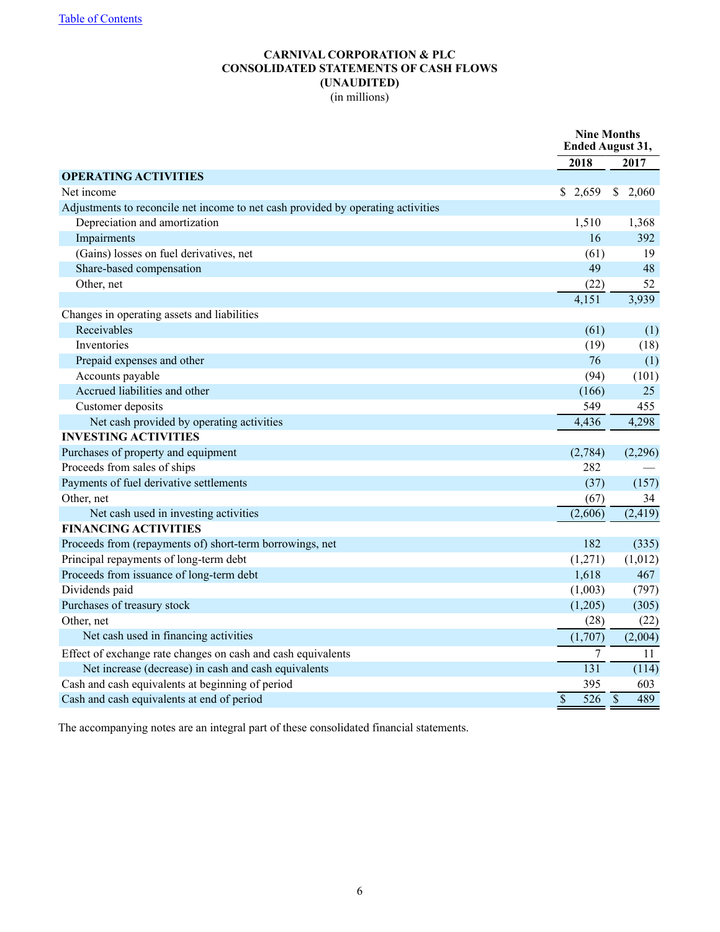## **CARNIVAL CORPORATION & PLC CONSOLIDATED STATEMENTS OF CASH FLOWS (UNAUDITED)** (in millions)

|                                                                                  | <b>Nine Months</b><br><b>Ended August 31,</b> |                                 |
|----------------------------------------------------------------------------------|-----------------------------------------------|---------------------------------|
|                                                                                  | 2018                                          | 2017                            |
| <b>OPERATING ACTIVITIES</b>                                                      |                                               |                                 |
| Net income                                                                       | \$2,659                                       | \$2,060                         |
| Adjustments to reconcile net income to net cash provided by operating activities |                                               |                                 |
| Depreciation and amortization                                                    | 1,510                                         | 1,368                           |
| Impairments                                                                      | 16                                            | 392                             |
| (Gains) losses on fuel derivatives, net                                          | (61)                                          | 19                              |
| Share-based compensation                                                         | 49                                            | 48                              |
| Other, net                                                                       | (22)                                          | 52                              |
|                                                                                  | 4,151                                         | 3,939                           |
| Changes in operating assets and liabilities                                      |                                               |                                 |
| Receivables                                                                      | (61)                                          | (1)                             |
| Inventories                                                                      | (19)                                          | (18)                            |
| Prepaid expenses and other                                                       | 76                                            | (1)                             |
| Accounts payable                                                                 | (94)                                          | (101)                           |
| Accrued liabilities and other                                                    | (166)                                         | 25                              |
| Customer deposits                                                                | 549                                           | 455                             |
| Net cash provided by operating activities                                        | 4,436                                         | 4,298                           |
| <b>INVESTING ACTIVITIES</b>                                                      |                                               |                                 |
| Purchases of property and equipment                                              | (2,784)                                       | (2,296)                         |
| Proceeds from sales of ships                                                     | 282                                           |                                 |
| Payments of fuel derivative settlements                                          | (37)                                          | (157)                           |
| Other, net                                                                       | (67)                                          | 34                              |
| Net cash used in investing activities                                            | (2,606)                                       | (2, 419)                        |
| <b>FINANCING ACTIVITIES</b>                                                      |                                               |                                 |
| Proceeds from (repayments of) short-term borrowings, net                         | 182                                           | (335)                           |
| Principal repayments of long-term debt                                           | (1,271)                                       | (1,012)                         |
| Proceeds from issuance of long-term debt                                         | 1,618                                         | 467                             |
| Dividends paid                                                                   | (1,003)                                       | (797)                           |
| Purchases of treasury stock                                                      | (1,205)                                       | (305)                           |
| Other, net                                                                       | (28)                                          | (22)                            |
| Net cash used in financing activities                                            | (1,707)                                       | (2,004)                         |
| Effect of exchange rate changes on cash and cash equivalents                     | 7                                             | 11                              |
| Net increase (decrease) in cash and cash equivalents                             | $\overline{131}$                              | (114)                           |
| Cash and cash equivalents at beginning of period                                 | 395                                           | 603                             |
| Cash and cash equivalents at end of period                                       | $\mathbb{S}$<br>526                           | $\overline{\mathcal{S}}$<br>489 |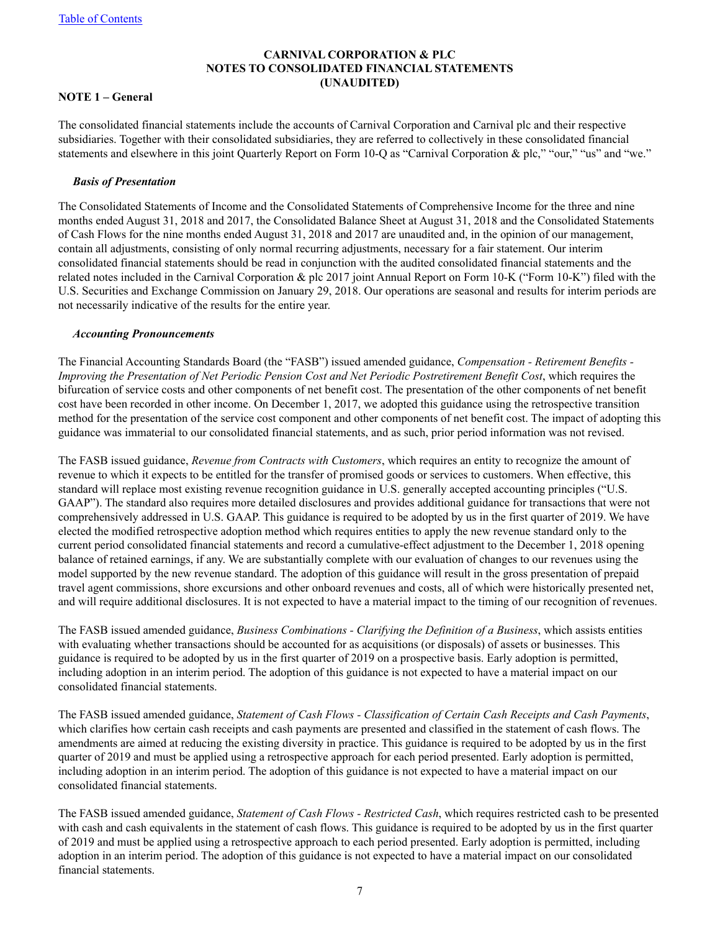#### **CARNIVAL CORPORATION & PLC NOTES TO CONSOLIDATED FINANCIAL STATEMENTS (UNAUDITED)**

#### **NOTE 1 – General**

The consolidated financial statements include the accounts of Carnival Corporation and Carnival plc and their respective subsidiaries. Together with their consolidated subsidiaries, they are referred to collectively in these consolidated financial statements and elsewhere in this joint Quarterly Report on Form 10-Q as "Carnival Corporation & plc," "our," "us" and "we."

#### *Basis of Presentation*

The Consolidated Statements of Income and the Consolidated Statements of Comprehensive Income for the three and nine months ended August 31, 2018 and 2017, the Consolidated Balance Sheet at August 31, 2018 and the Consolidated Statements of Cash Flows for the nine months ended August 31, 2018 and 2017 are unaudited and, in the opinion of our management, contain all adjustments, consisting of only normal recurring adjustments, necessary for a fair statement. Our interim consolidated financial statements should be read in conjunction with the audited consolidated financial statements and the related notes included in the Carnival Corporation & plc 2017 joint Annual Report on Form 10-K ("Form 10-K") filed with the U.S. Securities and Exchange Commission on January 29, 2018. Our operations are seasonal and results for interim periods are not necessarily indicative of the results for the entire year.

#### *Accounting Pronouncements*

The Financial Accounting Standards Board (the "FASB") issued amended guidance, *Compensation - Retirement Benefits - Improving the Presentation of Net Periodic Pension Cost and Net Periodic Postretirement Benefit Cost*, which requires the bifurcation of service costs and other components of net benefit cost. The presentation of the other components of net benefit cost have been recorded in other income. On December 1, 2017, we adopted this guidance using the retrospective transition method for the presentation of the service cost component and other components of net benefit cost. The impact of adopting this guidance was immaterial to our consolidated financial statements, and as such, prior period information was not revised.

The FASB issued guidance, *Revenue from Contracts with Customers*, which requires an entity to recognize the amount of revenue to which it expects to be entitled for the transfer of promised goods or services to customers. When effective, this standard will replace most existing revenue recognition guidance in U.S. generally accepted accounting principles ("U.S. GAAP"). The standard also requires more detailed disclosures and provides additional guidance for transactions that were not comprehensively addressed in U.S. GAAP. This guidance is required to be adopted by us in the first quarter of 2019. We have elected the modified retrospective adoption method which requires entities to apply the new revenue standard only to the current period consolidated financial statements and record a cumulative-effect adjustment to the December 1, 2018 opening balance of retained earnings, if any. We are substantially complete with our evaluation of changes to our revenues using the model supported by the new revenue standard. The adoption of this guidance will result in the gross presentation of prepaid travel agent commissions, shore excursions and other onboard revenues and costs, all of which were historically presented net, and will require additional disclosures. It is not expected to have a material impact to the timing of our recognition of revenues.

The FASB issued amended guidance, *Business Combinations - Clarifying the Definition of a Business*, which assists entities with evaluating whether transactions should be accounted for as acquisitions (or disposals) of assets or businesses. This guidance is required to be adopted by us in the first quarter of 2019 on a prospective basis. Early adoption is permitted, including adoption in an interim period. The adoption of this guidance is not expected to have a material impact on our consolidated financial statements.

The FASB issued amended guidance, *Statement of Cash Flows - Classification of Certain Cash Receipts and Cash Payments*, which clarifies how certain cash receipts and cash payments are presented and classified in the statement of cash flows. The amendments are aimed at reducing the existing diversity in practice. This guidance is required to be adopted by us in the first quarter of 2019 and must be applied using a retrospective approach for each period presented. Early adoption is permitted, including adoption in an interim period. The adoption of this guidance is not expected to have a material impact on our consolidated financial statements.

The FASB issued amended guidance, *Statement of Cash Flows - Restricted Cash*, which requires restricted cash to be presented with cash and cash equivalents in the statement of cash flows. This guidance is required to be adopted by us in the first quarter of 2019 and must be applied using a retrospective approach to each period presented. Early adoption is permitted, including adoption in an interim period. The adoption of this guidance is not expected to have a material impact on our consolidated financial statements.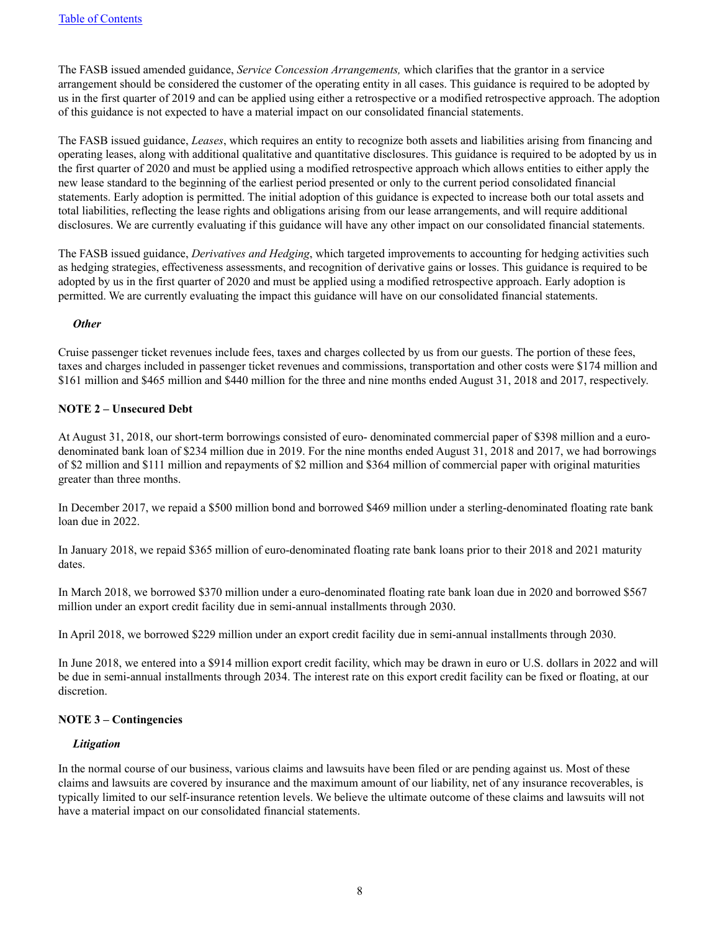The FASB issued amended guidance, *Service Concession Arrangements,* which clarifies that the grantor in a service arrangement should be considered the customer of the operating entity in all cases. This guidance is required to be adopted by us in the first quarter of 2019 and can be applied using either a retrospective or a modified retrospective approach. The adoption of this guidance is not expected to have a material impact on our consolidated financial statements.

The FASB issued guidance, *Leases*, which requires an entity to recognize both assets and liabilities arising from financing and operating leases, along with additional qualitative and quantitative disclosures. This guidance is required to be adopted by us in the first quarter of 2020 and must be applied using a modified retrospective approach which allows entities to either apply the new lease standard to the beginning of the earliest period presented or only to the current period consolidated financial statements. Early adoption is permitted. The initial adoption of this guidance is expected to increase both our total assets and total liabilities, reflecting the lease rights and obligations arising from our lease arrangements, and will require additional disclosures. We are currently evaluating if this guidance will have any other impact on our consolidated financial statements.

The FASB issued guidance, *Derivatives and Hedging*, which targeted improvements to accounting for hedging activities such as hedging strategies, effectiveness assessments, and recognition of derivative gains or losses. This guidance is required to be adopted by us in the first quarter of 2020 and must be applied using a modified retrospective approach. Early adoption is permitted. We are currently evaluating the impact this guidance will have on our consolidated financial statements.

### *Other*

Cruise passenger ticket revenues include fees, taxes and charges collected by us from our guests. The portion of these fees, taxes and charges included in passenger ticket revenues and commissions, transportation and other costs were \$174 million and \$161 million and \$465 million and \$440 million for the three and nine months ended August 31, 2018 and 2017, respectively.

### **NOTE 2 – Unsecured Debt**

At August 31, 2018, our short-term borrowings consisted of euro- denominated commercial paper of \$398 million and a eurodenominated bank loan of \$234 million due in 2019. For the nine months ended August 31, 2018 and 2017, we had borrowings of \$2 million and \$111 million and repayments of \$2 million and \$364 million of commercial paper with original maturities greater than three months.

In December 2017, we repaid a \$500 million bond and borrowed \$469 million under a sterling-denominated floating rate bank loan due in 2022.

In January 2018, we repaid \$365 million of euro-denominated floating rate bank loans prior to their 2018 and 2021 maturity dates.

In March 2018, we borrowed \$370 million under a euro-denominated floating rate bank loan due in 2020 and borrowed \$567 million under an export credit facility due in semi-annual installments through 2030.

In April 2018, we borrowed \$229 million under an export credit facility due in semi-annual installments through 2030.

In June 2018, we entered into a \$914 million export credit facility, which may be drawn in euro or U.S. dollars in 2022 and will be due in semi-annual installments through 2034. The interest rate on this export credit facility can be fixed or floating, at our discretion.

#### **NOTE 3 – Contingencies**

#### *Litigation*

In the normal course of our business, various claims and lawsuits have been filed or are pending against us. Most of these claims and lawsuits are covered by insurance and the maximum amount of our liability, net of any insurance recoverables, is typically limited to our self-insurance retention levels. We believe the ultimate outcome of these claims and lawsuits will not have a material impact on our consolidated financial statements.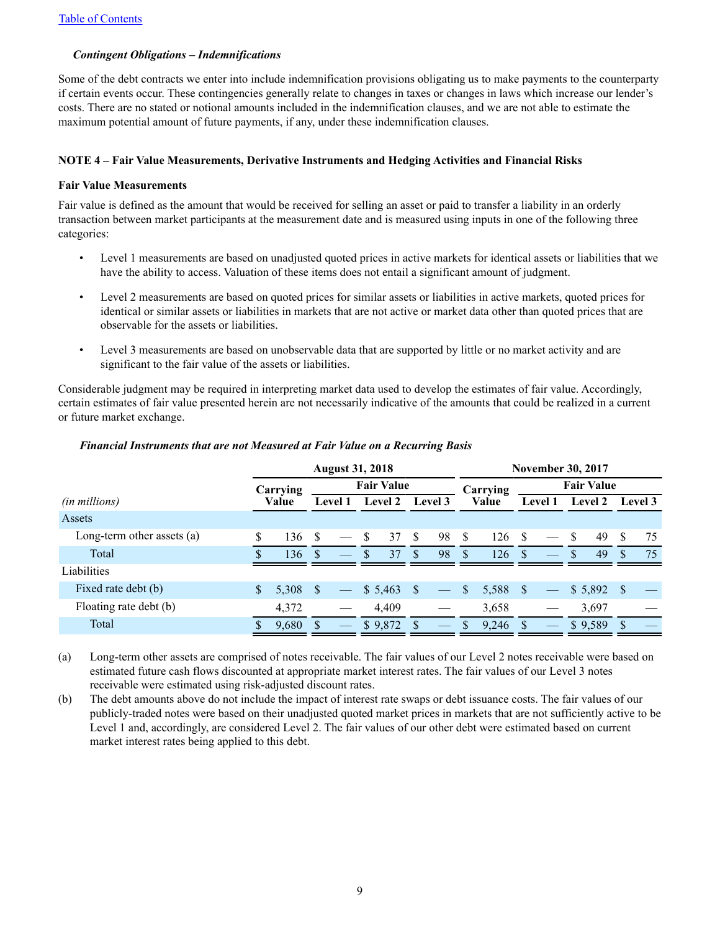#### *Contingent Obligations – Indemnifications*

Some of the debt contracts we enter into include indemnification provisions obligating us to make payments to the counterparty if certain events occur. These contingencies generally relate to changes in taxes or changes in laws which increase our lender's costs. There are no stated or notional amounts included in the indemnification clauses, and we are not able to estimate the maximum potential amount of future payments, if any, under these indemnification clauses.

#### **NOTE 4 – Fair Value Measurements, Derivative Instruments and Hedging Activities and Financial Risks**

#### **Fair Value Measurements**

Fair value is defined as the amount that would be received for selling an asset or paid to transfer a liability in an orderly transaction between market participants at the measurement date and is measured using inputs in one of the following three categories:

- Level 1 measurements are based on unadjusted quoted prices in active markets for identical assets or liabilities that we have the ability to access. Valuation of these items does not entail a significant amount of judgment.
- Level 2 measurements are based on quoted prices for similar assets or liabilities in active markets, quoted prices for identical or similar assets or liabilities in markets that are not active or market data other than quoted prices that are observable for the assets or liabilities.
- Level 3 measurements are based on unobservable data that are supported by little or no market activity and are significant to the fair value of the assets or liabilities.

Considerable judgment may be required in interpreting market data used to develop the estimates of fair value. Accordingly, certain estimates of fair value presented herein are not necessarily indicative of the amounts that could be realized in a current or future market exchange.

|                              |              |          |                   | <b>August 31, 2018</b> |     |         |               |    |               |          |               | <b>November 30, 2017</b> |                   |         |       |    |         |  |                |  |         |  |
|------------------------------|--------------|----------|-------------------|------------------------|-----|---------|---------------|----|---------------|----------|---------------|--------------------------|-------------------|---------|-------|----|---------|--|----------------|--|---------|--|
|                              |              | Carrying | <b>Fair Value</b> |                        |     |         |               |    |               | Carrying |               |                          | <b>Fair Value</b> |         |       |    |         |  |                |  |         |  |
| ( <i>in millions</i> )       |              | Value    |                   |                        |     |         |               |    |               | Level 1  |               | <b>Level 2</b>           |                   | Level 3 | Value |    | Level 1 |  | <b>Level 2</b> |  | Level 3 |  |
| Assets                       |              |          |                   |                        |     |         |               |    |               |          |               |                          |                   |         |       |    |         |  |                |  |         |  |
| Long-term other assets $(a)$ |              | 136      | - \$              |                        | \$. | 37      | S             | 98 | <sup>S</sup>  | 126      | -S            |                          |                   | 49      | -S    | 75 |         |  |                |  |         |  |
| Total                        |              | 136      | -S                |                        |     | 37      | \$.           | 98 | -S            | 126      | -S            |                          |                   | 49      |       | 75 |         |  |                |  |         |  |
| Liabilities                  |              |          |                   |                        |     |         |               |    |               |          |               |                          |                   |         |       |    |         |  |                |  |         |  |
| Fixed rate debt (b)          | <sup>S</sup> | 5,308    | - S               |                        |     |         |               |    | <sup>\$</sup> | 5,588    | -S            |                          |                   |         |       |    |         |  |                |  |         |  |
| Floating rate debt (b)       |              | 4,372    |                   |                        |     | 4,409   |               |    |               | 3,658    |               |                          |                   | 3,697   |       |    |         |  |                |  |         |  |
| Total                        |              | 9,680    | <b>S</b>          |                        |     | \$9,872 | <sup>\$</sup> |    |               | 9,246    | $\mathcal{L}$ |                          |                   | \$9,589 |       |    |         |  |                |  |         |  |

#### *Financial Instruments that are not Measured at Fair Value on a Recurring Basis*

(a) Long-term other assets are comprised of notes receivable. The fair values of our Level 2 notes receivable were based on estimated future cash flows discounted at appropriate market interest rates. The fair values of our Level 3 notes receivable were estimated using risk-adjusted discount rates.

(b) The debt amounts above do not include the impact of interest rate swaps or debt issuance costs. The fair values of our publicly-traded notes were based on their unadjusted quoted market prices in markets that are not sufficiently active to be Level 1 and, accordingly, are considered Level 2. The fair values of our other debt were estimated based on current market interest rates being applied to this debt.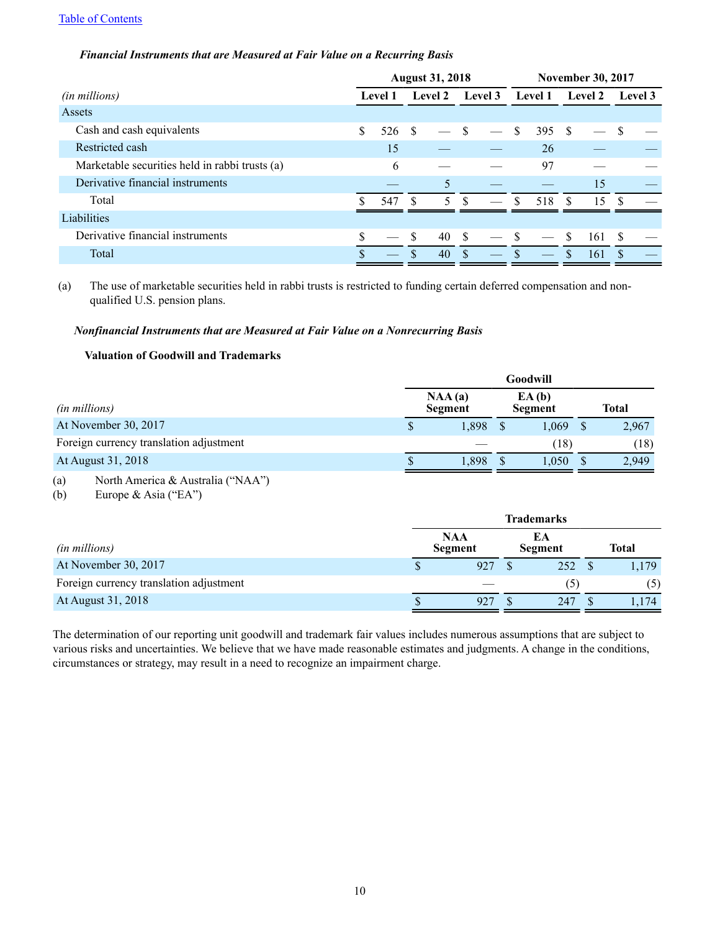#### Table of Contents

#### *Financial Instruments that are Measured at Fair Value on a Recurring Basis*

|                                                |              |         | <b>August 31, 2018</b> |                 |  | <b>November 30, 2017</b> |                   |         |     |     |                |  |  |
|------------------------------------------------|--------------|---------|------------------------|-----------------|--|--------------------------|-------------------|---------|-----|-----|----------------|--|--|
| (in millions)                                  | Level 1      | Level 2 |                        | Level 3 Level 1 |  |                          |                   | Level 2 |     |     | <b>Level 3</b> |  |  |
| Assets                                         |              |         |                        |                 |  |                          |                   |         |     |     |                |  |  |
| Cash and cash equivalents                      | \$<br>526 \$ |         |                        | <sup>\$</sup>   |  | \$                       | 395S              |         |     |     |                |  |  |
| Restricted cash                                | 15           |         |                        |                 |  |                          | 26                |         |     |     |                |  |  |
| Marketable securities held in rabbi trusts (a) | 6            |         |                        |                 |  |                          | 97                |         |     |     |                |  |  |
| Derivative financial instruments               |              |         | 5                      |                 |  |                          |                   |         | 15  |     |                |  |  |
| Total                                          | 547          | S       | $\sim$                 | \$              |  | \$.                      | 518               | -S      | 15  |     |                |  |  |
| Liabilities                                    |              |         |                        |                 |  |                          |                   |         |     |     |                |  |  |
| Derivative financial instruments               |              | -S      | 40                     | -\$             |  | <b>S</b>                 | $\hspace{0.05cm}$ | \$      | 161 | -\$ |                |  |  |
| Total                                          |              |         | 40                     |                 |  |                          |                   |         | 161 |     |                |  |  |

(a) The use of marketable securities held in rabbi trusts is restricted to funding certain deferred compensation and nonqualified U.S. pension plans.

#### *Nonfinancial Instruments that are Measured at Fair Value on a Nonrecurring Basis*

#### **Valuation of Goodwill and Trademarks**

|                                         |   | Goodwill                 |  |                  |  |       |  |  |  |  |  |  |
|-----------------------------------------|---|--------------------------|--|------------------|--|-------|--|--|--|--|--|--|
| (in millions)                           |   | NAA(a)<br><b>Segment</b> |  | EA(b)<br>Segment |  | Total |  |  |  |  |  |  |
| At November 30, 2017                    | S | 1.898                    |  | 1.069            |  | 2,967 |  |  |  |  |  |  |
| Foreign currency translation adjustment |   |                          |  | (18              |  | (18)  |  |  |  |  |  |  |
| At August 31, 2018                      | S | 1,898                    |  | 1,050            |  | 2,949 |  |  |  |  |  |  |

## (a) North America & Australia ("NAA")

(b) Europe & Asia ("EA")

|                                         |                              | <b>Trademarks</b>    |              |
|-----------------------------------------|------------------------------|----------------------|--------------|
| (in millions)                           | <b>NAA</b><br><b>Segment</b> | EA<br><b>Segment</b> | <b>Total</b> |
| At November 30, 2017                    | 927                          | 252                  | 1,179        |
| Foreign currency translation adjustment |                              | (၁                   | (5)          |
| At August 31, 2018                      | 927                          | 247                  | .174         |

The determination of our reporting unit goodwill and trademark fair values includes numerous assumptions that are subject to various risks and uncertainties. We believe that we have made reasonable estimates and judgments. A change in the conditions, circumstances or strategy, may result in a need to recognize an impairment charge.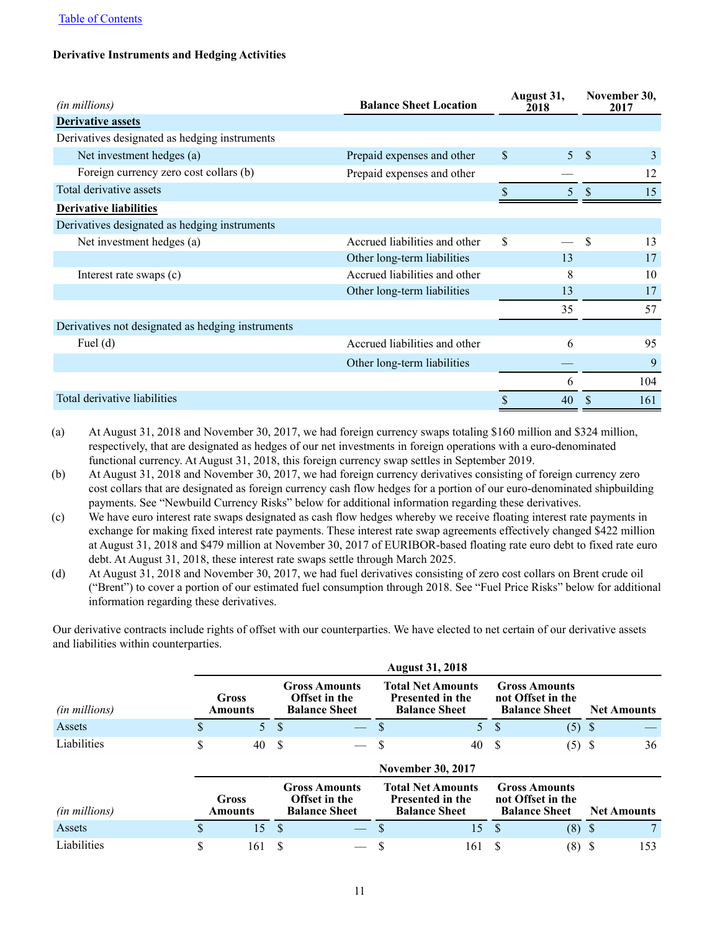## **Derivative Instruments and Hedging Activities**

| (in millions)                                     | <b>Balance Sheet Location</b> | August 31,<br>2018   |               | November 30,<br>2017 |
|---------------------------------------------------|-------------------------------|----------------------|---------------|----------------------|
| <b>Derivative assets</b>                          |                               |                      |               |                      |
| Derivatives designated as hedging instruments     |                               |                      |               |                      |
| Net investment hedges (a)                         | Prepaid expenses and other    | \$                   | 5S            | 3                    |
| Foreign currency zero cost collars (b)            | Prepaid expenses and other    |                      |               | 12                   |
| Total derivative assets                           |                               | \$<br>$\overline{5}$ | $\mathcal{S}$ | 15                   |
| <b>Derivative liabilities</b>                     |                               |                      |               |                      |
| Derivatives designated as hedging instruments     |                               |                      |               |                      |
| Net investment hedges (a)                         | Accrued liabilities and other | \$                   | -S            | 13                   |
|                                                   | Other long-term liabilities   | 13                   |               | 17                   |
| Interest rate swaps (c)                           | Accrued liabilities and other | 8                    |               | 10                   |
|                                                   | Other long-term liabilities   | 13                   |               | 17                   |
|                                                   |                               | 35                   |               | 57                   |
| Derivatives not designated as hedging instruments |                               |                      |               |                      |
| Fuel $(d)$                                        | Accrued liabilities and other | 6                    |               | 95                   |
|                                                   | Other long-term liabilities   |                      |               | 9                    |
|                                                   |                               | 6                    |               | 104                  |
| Total derivative liabilities                      |                               | 40                   |               | 161                  |

(a) At August 31, 2018 and November 30, 2017, we had foreign currency swaps totaling \$160 million and \$324 million, respectively, that are designated as hedges of our net investments in foreign operations with a euro-denominated functional currency. At August 31, 2018, this foreign currency swap settles in September 2019.

(b) At August 31, 2018 and November 30, 2017, we had foreign currency derivatives consisting of foreign currency zero cost collars that are designated as foreign currency cash flow hedges for a portion of our euro-denominated shipbuilding payments. See "Newbuild Currency Risks" below for additional information regarding these derivatives.

- (c) We have euro interest rate swaps designated as cash flow hedges whereby we receive floating interest rate payments in exchange for making fixed interest rate payments. These interest rate swap agreements effectively changed \$422 million at August 31, 2018 and \$479 million at November 30, 2017 of EURIBOR-based floating rate euro debt to fixed rate euro debt. At August 31, 2018, these interest rate swaps settle through March 2025.
- (d) At August 31, 2018 and November 30, 2017, we had fuel derivatives consisting of zero cost collars on Brent crude oil ("Brent") to cover a portion of our estimated fuel consumption through 2018. See "Fuel Price Risks" below for additional information regarding these derivatives.

Our derivative contracts include rights of offset with our counterparties. We have elected to net certain of our derivative assets and liabilities within counterparties.

|               |                                |                         |                                                                      |                                                                      |                                                                             | <b>August 31, 2018</b>                                                      |                                                                   |                                                                   |                    |                    |  |  |
|---------------|--------------------------------|-------------------------|----------------------------------------------------------------------|----------------------------------------------------------------------|-----------------------------------------------------------------------------|-----------------------------------------------------------------------------|-------------------------------------------------------------------|-------------------------------------------------------------------|--------------------|--------------------|--|--|
| (in millions) |                                | Gross<br><b>Amounts</b> |                                                                      | <b>Gross Amounts</b><br><b>Offset in the</b><br><b>Balance Sheet</b> | <b>Total Net Amounts</b><br><b>Presented in the</b><br><b>Balance Sheet</b> |                                                                             |                                                                   | <b>Gross Amounts</b><br>not Offset in the<br><b>Balance Sheet</b> | <b>Net Amounts</b> |                    |  |  |
| Assets        | Ъ.                             | 5 <sup>1</sup>          | <sup>\$</sup>                                                        |                                                                      | S                                                                           | 5 <sup>5</sup>                                                              | -S                                                                | $(5)$ \$                                                          |                    |                    |  |  |
| Liabilities   | \$                             | 40                      | - \$                                                                 |                                                                      | \$                                                                          | 40                                                                          | -S                                                                | $(5)$ \$                                                          |                    | 36                 |  |  |
|               |                                |                         |                                                                      |                                                                      |                                                                             | <b>November 30, 2017</b>                                                    |                                                                   |                                                                   |                    |                    |  |  |
| (in millions) | <b>Gross</b><br><b>Amounts</b> |                         | <b>Gross Amounts</b><br><b>Offset in the</b><br><b>Balance Sheet</b> |                                                                      |                                                                             | <b>Total Net Amounts</b><br><b>Presented in the</b><br><b>Balance Sheet</b> | <b>Gross Amounts</b><br>not Offset in the<br><b>Balance Sheet</b> |                                                                   |                    | <b>Net Amounts</b> |  |  |
| Assets        |                                | 15                      | - \$                                                                 |                                                                      | <sup>S</sup>                                                                | 15                                                                          | -S                                                                | $(8)$ \$                                                          |                    |                    |  |  |
| Liabilities   | \$                             | 161                     | -S                                                                   |                                                                      | S                                                                           | 161                                                                         | -8                                                                | $(8)$ \$                                                          |                    | 153                |  |  |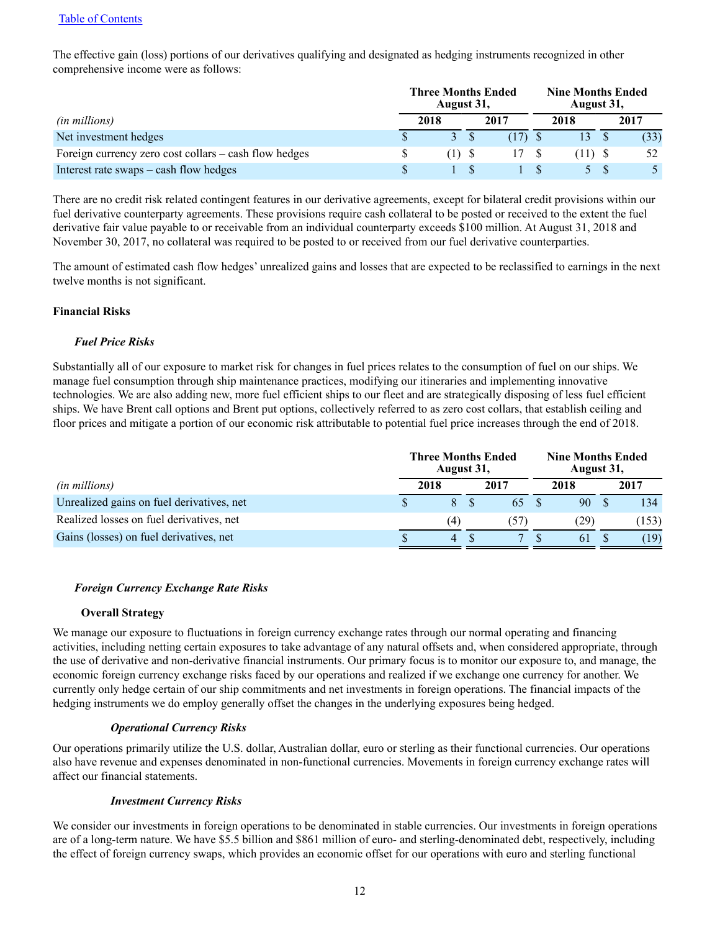The effective gain (loss) portions of our derivatives qualifying and designated as hedging instruments recognized in other comprehensive income were as follows:

|                                                       |  | <b>Three Months Ended</b><br>August 31, |           |  | <b>Nine Months Ended</b><br>August 31, |  |      |
|-------------------------------------------------------|--|-----------------------------------------|-----------|--|----------------------------------------|--|------|
| <i>(in millions)</i>                                  |  | 2018                                    | 2017      |  | 2018                                   |  | 2017 |
| Net investment hedges                                 |  | $3 \&$                                  | $(17)$ \$ |  |                                        |  | (33) |
| Foreign currency zero cost collars – cash flow hedges |  | $(1)$ S                                 | 17S       |  | $(11)$ S                               |  | 52   |
| Interest rate swaps – cash flow hedges                |  |                                         |           |  |                                        |  |      |

There are no credit risk related contingent features in our derivative agreements, except for bilateral credit provisions within our fuel derivative counterparty agreements. These provisions require cash collateral to be posted or received to the extent the fuel derivative fair value payable to or receivable from an individual counterparty exceeds \$100 million. At August 31, 2018 and November 30, 2017, no collateral was required to be posted to or received from our fuel derivative counterparties.

The amount of estimated cash flow hedges' unrealized gains and losses that are expected to be reclassified to earnings in the next twelve months is not significant.

### **Financial Risks**

### *Fuel Price Risks*

Substantially all of our exposure to market risk for changes in fuel prices relates to the consumption of fuel on our ships. We manage fuel consumption through ship maintenance practices, modifying our itineraries and implementing innovative technologies. We are also adding new, more fuel efficient ships to our fleet and are strategically disposing of less fuel efficient ships. We have Brent call options and Brent put options, collectively referred to as zero cost collars, that establish ceiling and floor prices and mitigate a portion of our economic risk attributable to potential fuel price increases through the end of 2018.

|                                           | <b>Three Months Ended</b><br>August 31, |      | <b>Nine Months Ended</b><br>August 31, |           |  |      |  |  |
|-------------------------------------------|-----------------------------------------|------|----------------------------------------|-----------|--|------|--|--|
| <i>(in millions)</i>                      | 2018                                    | 2017 |                                        | 2018      |  | 2017 |  |  |
| Unrealized gains on fuel derivatives, net | 8                                       | 65   |                                        | 90        |  | 134  |  |  |
| Realized losses on fuel derivatives, net  | (4)                                     | (57) |                                        | $^{(29)}$ |  | 153) |  |  |
| Gains (losses) on fuel derivatives, net   | $\overline{4}$                          |      |                                        | 61        |  | (19) |  |  |

## *Foreign Currency Exchange Rate Risks*

#### **Overall Strategy**

We manage our exposure to fluctuations in foreign currency exchange rates through our normal operating and financing activities, including netting certain exposures to take advantage of any natural offsets and, when considered appropriate, through the use of derivative and non-derivative financial instruments. Our primary focus is to monitor our exposure to, and manage, the economic foreign currency exchange risks faced by our operations and realized if we exchange one currency for another. We currently only hedge certain of our ship commitments and net investments in foreign operations. The financial impacts of the hedging instruments we do employ generally offset the changes in the underlying exposures being hedged.

#### *Operational Currency Risks*

Our operations primarily utilize the U.S. dollar, Australian dollar, euro or sterling as their functional currencies. Our operations also have revenue and expenses denominated in non-functional currencies. Movements in foreign currency exchange rates will affect our financial statements.

#### *Investment Currency Risks*

We consider our investments in foreign operations to be denominated in stable currencies. Our investments in foreign operations are of a long-term nature. We have \$5.5 billion and \$861 million of euro- and sterling-denominated debt, respectively, including the effect of foreign currency swaps, which provides an economic offset for our operations with euro and sterling functional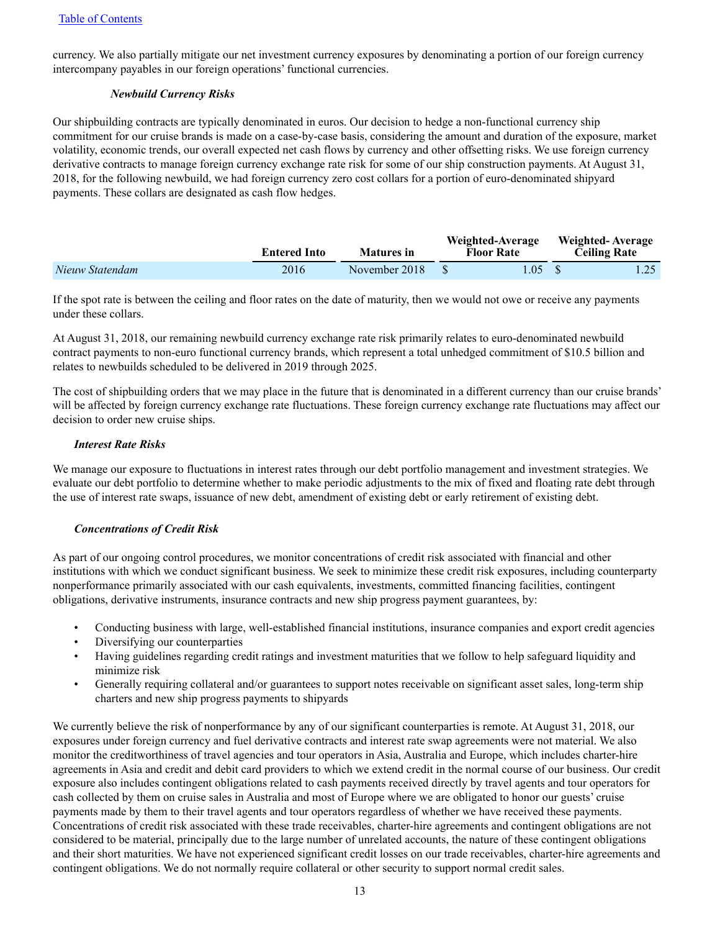currency. We also partially mitigate our net investment currency exposures by denominating a portion of our foreign currency intercompany payables in our foreign operations' functional currencies.

#### *Newbuild Currency Risks*

Our shipbuilding contracts are typically denominated in euros. Our decision to hedge a non-functional currency ship commitment for our cruise brands is made on a case-by-case basis, considering the amount and duration of the exposure, market volatility, economic trends, our overall expected net cash flows by currency and other offsetting risks. We use foreign currency derivative contracts to manage foreign currency exchange rate risk for some of our ship construction payments. At August 31, 2018, for the following newbuild, we had foreign currency zero cost collars for a portion of euro-denominated shipyard payments. These collars are designated as cash flow hedges.

|                 | <b>Entered Into</b> | <b>Matures</b> in | Weighted-Average<br><b>Floor Rate</b> | Weighted-Average<br><b>Ceiling Rate</b> |
|-----------------|---------------------|-------------------|---------------------------------------|-----------------------------------------|
| Nieuw Statendam | 2016                | November 2018     | 1.05 S                                | .25                                     |

If the spot rate is between the ceiling and floor rates on the date of maturity, then we would not owe or receive any payments under these collars.

At August 31, 2018, our remaining newbuild currency exchange rate risk primarily relates to euro-denominated newbuild contract payments to non-euro functional currency brands, which represent a total unhedged commitment of \$10.5 billion and relates to newbuilds scheduled to be delivered in 2019 through 2025.

The cost of shipbuilding orders that we may place in the future that is denominated in a different currency than our cruise brands' will be affected by foreign currency exchange rate fluctuations. These foreign currency exchange rate fluctuations may affect our decision to order new cruise ships.

#### *Interest Rate Risks*

We manage our exposure to fluctuations in interest rates through our debt portfolio management and investment strategies. We evaluate our debt portfolio to determine whether to make periodic adjustments to the mix of fixed and floating rate debt through the use of interest rate swaps, issuance of new debt, amendment of existing debt or early retirement of existing debt.

#### *Concentrations of Credit Risk*

As part of our ongoing control procedures, we monitor concentrations of credit risk associated with financial and other institutions with which we conduct significant business. We seek to minimize these credit risk exposures, including counterparty nonperformance primarily associated with our cash equivalents, investments, committed financing facilities, contingent obligations, derivative instruments, insurance contracts and new ship progress payment guarantees, by:

- Conducting business with large, well-established financial institutions, insurance companies and export credit agencies
- Diversifying our counterparties
- Having guidelines regarding credit ratings and investment maturities that we follow to help safeguard liquidity and minimize risk
- Generally requiring collateral and/or guarantees to support notes receivable on significant asset sales, long-term ship charters and new ship progress payments to shipyards

We currently believe the risk of nonperformance by any of our significant counterparties is remote. At August 31, 2018, our exposures under foreign currency and fuel derivative contracts and interest rate swap agreements were not material. We also monitor the creditworthiness of travel agencies and tour operators in Asia, Australia and Europe, which includes charter-hire agreements in Asia and credit and debit card providers to which we extend credit in the normal course of our business. Our credit exposure also includes contingent obligations related to cash payments received directly by travel agents and tour operators for cash collected by them on cruise sales in Australia and most of Europe where we are obligated to honor our guests' cruise payments made by them to their travel agents and tour operators regardless of whether we have received these payments. Concentrations of credit risk associated with these trade receivables, charter-hire agreements and contingent obligations are not considered to be material, principally due to the large number of unrelated accounts, the nature of these contingent obligations and their short maturities. We have not experienced significant credit losses on our trade receivables, charter-hire agreements and contingent obligations. We do not normally require collateral or other security to support normal credit sales.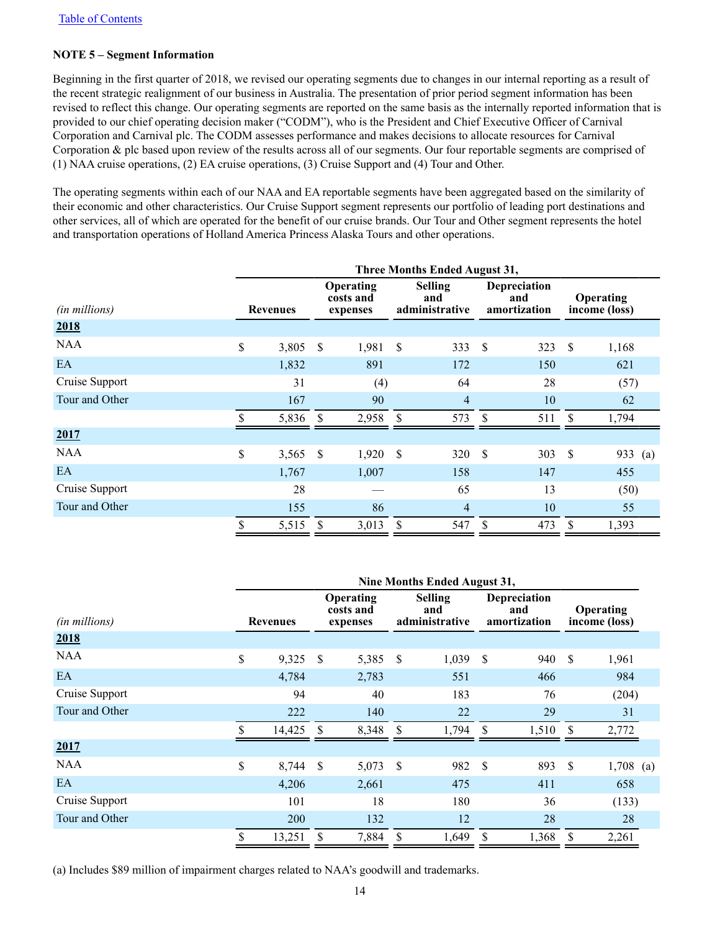### **NOTE 5 – Segment Information**

Beginning in the first quarter of 2018, we revised our operating segments due to changes in our internal reporting as a result of the recent strategic realignment of our business in Australia. The presentation of prior period segment information has been revised to reflect this change. Our operating segments are reported on the same basis as the internally reported information that is provided to our chief operating decision maker ("CODM"), who is the President and Chief Executive Officer of Carnival Corporation and Carnival plc. The CODM assesses performance and makes decisions to allocate resources for Carnival Corporation & plc based upon review of the results across all of our segments. Our four reportable segments are comprised of (1) NAA cruise operations, (2) EA cruise operations, (3) Cruise Support and (4) Tour and Other.

The operating segments within each of our NAA and EA reportable segments have been aggregated based on the similarity of their economic and other characteristics. Our Cruise Support segment represents our portfolio of leading port destinations and other services, all of which are operated for the benefit of our cruise brands. Our Tour and Other segment represents the hotel and transportation operations of Holland America Princess Alaska Tours and other operations.

|                | Three Months Ended August 31, |          |               |                                                                                                                      |               |                |                            |     |               |            |  |
|----------------|-------------------------------|----------|---------------|----------------------------------------------------------------------------------------------------------------------|---------------|----------------|----------------------------|-----|---------------|------------|--|
| (in millions)  | <b>Revenues</b>               |          |               | <b>Selling</b><br>Depreciation<br>Operating<br>costs and<br>and<br>and<br>administrative<br>amortization<br>expenses |               |                | Operating<br>income (loss) |     |               |            |  |
| 2018           |                               |          |               |                                                                                                                      |               |                |                            |     |               |            |  |
| <b>NAA</b>     | $\mathbf S$                   | 3,805    | $\mathcal{S}$ | 1,981                                                                                                                | <sup>\$</sup> | 333            | \$                         | 323 | <sup>\$</sup> | 1,168      |  |
| EA             |                               | 1,832    |               | 891                                                                                                                  |               | 172            |                            | 150 |               | 621        |  |
| Cruise Support |                               | 31       |               | (4)                                                                                                                  |               | 64             |                            | 28  |               | (57)       |  |
| Tour and Other |                               | 167      |               | 90                                                                                                                   |               | $\overline{4}$ |                            | 10  |               | 62         |  |
|                |                               | 5,836    | - \$          | 2,958                                                                                                                | -\$           | 573            | -S                         | 511 | <sup>\$</sup> | 1,794      |  |
| 2017           |                               |          |               |                                                                                                                      |               |                |                            |     |               |            |  |
| <b>NAA</b>     | \$                            | 3,565    | <sup>\$</sup> | 1,920                                                                                                                | \$            | 320            | <sup>\$</sup>              | 303 | <sup>\$</sup> | 933<br>(a) |  |
| EA             |                               | 1,767    |               | 1,007                                                                                                                |               | 158            |                            | 147 |               | 455        |  |
| Cruise Support |                               | 28       |               |                                                                                                                      |               | 65             |                            | 13  |               | (50)       |  |
| Tour and Other |                               | 155      |               | 86                                                                                                                   |               | $\overline{4}$ |                            | 10  |               | 55         |  |
|                |                               | 5,515 \$ |               | 3,013                                                                                                                | -\$           | 547            | \$.                        | 473 | -S            | 1,393      |  |

|                | Nine Months Ended August 31, |        |                                    |       |                                         |       |               |                                     |               |                            |
|----------------|------------------------------|--------|------------------------------------|-------|-----------------------------------------|-------|---------------|-------------------------------------|---------------|----------------------------|
| (in millions)  | <b>Revenues</b>              |        | Operating<br>costs and<br>expenses |       | <b>Selling</b><br>and<br>administrative |       |               | Depreciation<br>and<br>amortization |               | Operating<br>income (loss) |
| 2018           |                              |        |                                    |       |                                         |       |               |                                     |               |                            |
| <b>NAA</b>     | \$                           | 9,325  | \$                                 | 5,385 | <sup>\$</sup>                           | 1,039 | <sup>\$</sup> | 940                                 | <sup>\$</sup> | 1,961                      |
| EA             |                              | 4,784  |                                    | 2,783 |                                         | 551   |               | 466                                 |               | 984                        |
| Cruise Support |                              | 94     |                                    | 40    |                                         | 183   |               | 76                                  |               | (204)                      |
| Tour and Other |                              | 222    |                                    | 140   |                                         | 22    |               | 29                                  |               | 31                         |
|                | \$                           | 14,425 | -S                                 | 8,348 | <sup>\$</sup>                           | 1,794 | -S            | 1,510                               | <sup>\$</sup> | 2,772                      |
| 2017           |                              |        |                                    |       |                                         |       |               |                                     |               |                            |
| <b>NAA</b>     | \$                           | 8,744  | -\$                                | 5,073 | <sup>\$</sup>                           | 982   | \$            | 893                                 | <sup>\$</sup> | 1,708<br>(a)               |
| EA             |                              | 4,206  |                                    | 2,661 |                                         | 475   |               | 411                                 |               | 658                        |
| Cruise Support |                              | 101    |                                    | 18    |                                         | 180   |               | 36                                  |               | (133)                      |
| Tour and Other |                              | 200    |                                    | 132   |                                         | 12    |               | 28                                  |               | 28                         |
|                | \$                           | 13,251 |                                    | 7,884 | S                                       | 1,649 | S             | 1,368                               | \$            | 2,261                      |

(a) Includes \$89 million of impairment charges related to NAA's goodwill and trademarks.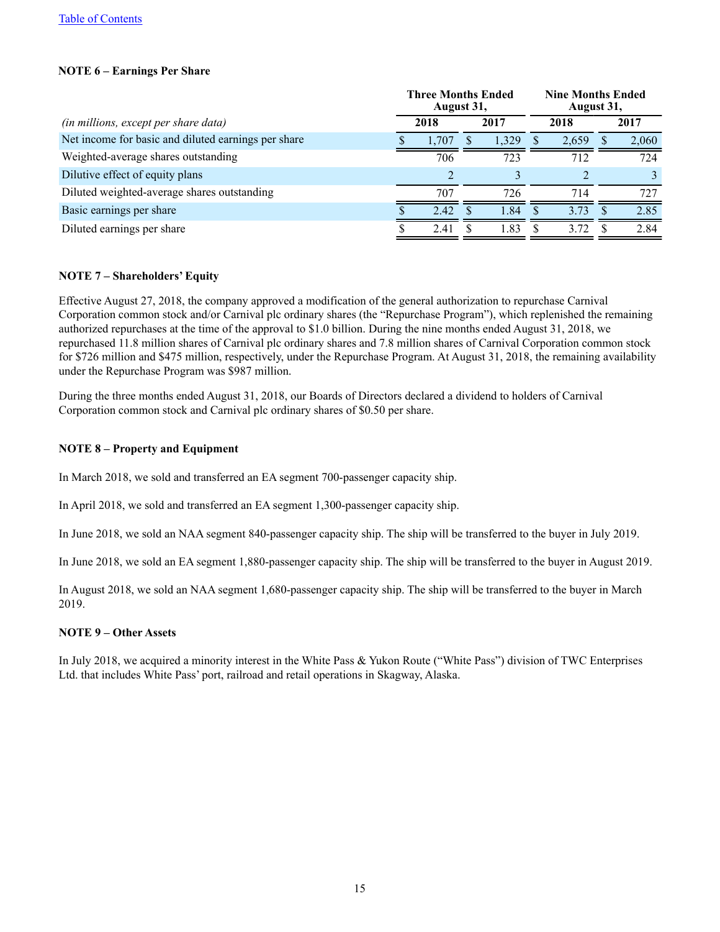## **NOTE 6 – Earnings Per Share**

|                                                     | <b>Three Months Ended</b><br>August 31, |                |  |       |          | <b>Nine Months Ended</b><br>August 31, |              |       |
|-----------------------------------------------------|-----------------------------------------|----------------|--|-------|----------|----------------------------------------|--------------|-------|
| (in millions, except per share data)                | 2018                                    |                |  | 2017  |          | 2018                                   | 2017         |       |
| Net income for basic and diluted earnings per share |                                         | 1.707          |  | 1.329 | Ж        | 2,659                                  | <sup>2</sup> | 2,060 |
| Weighted-average shares outstanding                 |                                         | 706            |  | 723   |          | 712                                    |              | 724   |
| Dilutive effect of equity plans                     |                                         | $\overline{2}$ |  |       |          | C.                                     |              |       |
| Diluted weighted-average shares outstanding         |                                         | 707            |  | 726   |          | 714                                    |              | 727   |
| Basic earnings per share                            |                                         | 2.42           |  | 1.84  | <b>S</b> | 3.73                                   |              | 2.85  |
| Diluted earnings per share                          |                                         | 2.41           |  | 1.83  |          | 3.72                                   |              | 2.84  |

### **NOTE 7 – Shareholders' Equity**

Effective August 27, 2018, the company approved a modification of the general authorization to repurchase Carnival Corporation common stock and/or Carnival plc ordinary shares (the "Repurchase Program"), which replenished the remaining authorized repurchases at the time of the approval to \$1.0 billion. During the nine months ended August 31, 2018, we repurchased 11.8 million shares of Carnival plc ordinary shares and 7.8 million shares of Carnival Corporation common stock for \$726 million and \$475 million, respectively, under the Repurchase Program. At August 31, 2018, the remaining availability under the Repurchase Program was \$987 million.

During the three months ended August 31, 2018, our Boards of Directors declared a dividend to holders of Carnival Corporation common stock and Carnival plc ordinary shares of \$0.50 per share.

#### **NOTE 8 – Property and Equipment**

In March 2018, we sold and transferred an EA segment 700-passenger capacity ship.

In April 2018, we sold and transferred an EA segment 1,300-passenger capacity ship.

In June 2018, we sold an NAA segment 840-passenger capacity ship. The ship will be transferred to the buyer in July 2019.

In June 2018, we sold an EA segment 1,880-passenger capacity ship. The ship will be transferred to the buyer in August 2019.

In August 2018, we sold an NAA segment 1,680-passenger capacity ship. The ship will be transferred to the buyer in March 2019.

#### **NOTE 9 – Other Assets**

In July 2018, we acquired a minority interest in the White Pass & Yukon Route ("White Pass") division of TWC Enterprises Ltd. that includes White Pass' port, railroad and retail operations in Skagway, Alaska.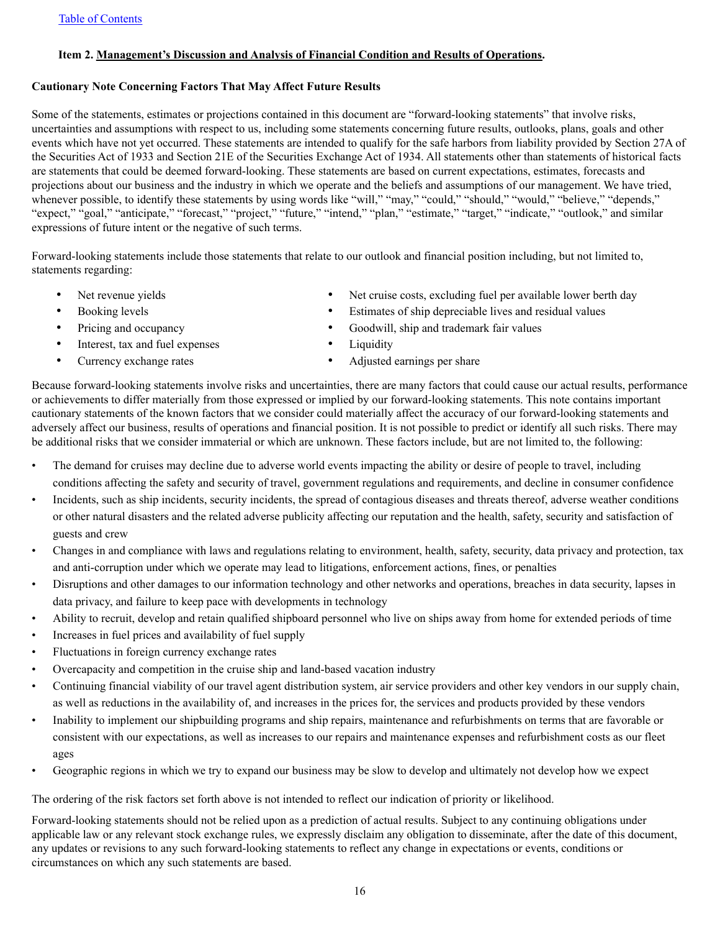### <span id="page-15-0"></span>**Item 2. Management's Discussion and Analysis of Financial Condition and Results of Operations.**

#### **Cautionary Note Concerning Factors That May Affect Future Results**

Some of the statements, estimates or projections contained in this document are "forward-looking statements" that involve risks, uncertainties and assumptions with respect to us, including some statements concerning future results, outlooks, plans, goals and other events which have not yet occurred. These statements are intended to qualify for the safe harbors from liability provided by Section 27A of the Securities Act of 1933 and Section 21E of the Securities Exchange Act of 1934. All statements other than statements of historical facts are statements that could be deemed forward-looking. These statements are based on current expectations, estimates, forecasts and projections about our business and the industry in which we operate and the beliefs and assumptions of our management. We have tried, whenever possible, to identify these statements by using words like "will," "may," "could," "should," "would," "believe," "depends," "expect," "goal," "anticipate," "forecast," "project," "future," "intend," "plan," "estimate," "target," "indicate," "outlook," and similar expressions of future intent or the negative of such terms.

Forward-looking statements include those statements that relate to our outlook and financial position including, but not limited to, statements regarding:

- 
- 
- 
- Interest, tax and fuel expenses Liquidity
- 
- Net revenue yields Net cruise costs, excluding fuel per available lower berth day
- Booking levels Estimates of ship depreciable lives and residual values
- Pricing and occupancy Goodwill, ship and trademark fair values
	-
- Currency exchange rates Adjusted earnings per share

Because forward-looking statements involve risks and uncertainties, there are many factors that could cause our actual results, performance or achievements to differ materially from those expressed or implied by our forward-looking statements. This note contains important cautionary statements of the known factors that we consider could materially affect the accuracy of our forward-looking statements and adversely affect our business, results of operations and financial position. It is not possible to predict or identify all such risks. There may be additional risks that we consider immaterial or which are unknown. These factors include, but are not limited to, the following:

- The demand for cruises may decline due to adverse world events impacting the ability or desire of people to travel, including conditions affecting the safety and security of travel, government regulations and requirements, and decline in consumer confidence
- Incidents, such as ship incidents, security incidents, the spread of contagious diseases and threats thereof, adverse weather conditions or other natural disasters and the related adverse publicity affecting our reputation and the health, safety, security and satisfaction of guests and crew
- Changes in and compliance with laws and regulations relating to environment, health, safety, security, data privacy and protection, tax and anti-corruption under which we operate may lead to litigations, enforcement actions, fines, or penalties
- Disruptions and other damages to our information technology and other networks and operations, breaches in data security, lapses in data privacy, and failure to keep pace with developments in technology
- Ability to recruit, develop and retain qualified shipboard personnel who live on ships away from home for extended periods of time
- Increases in fuel prices and availability of fuel supply
- Fluctuations in foreign currency exchange rates
- Overcapacity and competition in the cruise ship and land-based vacation industry
- Continuing financial viability of our travel agent distribution system, air service providers and other key vendors in our supply chain, as well as reductions in the availability of, and increases in the prices for, the services and products provided by these vendors
- Inability to implement our shipbuilding programs and ship repairs, maintenance and refurbishments on terms that are favorable or consistent with our expectations, as well as increases to our repairs and maintenance expenses and refurbishment costs as our fleet ages
- Geographic regions in which we try to expand our business may be slow to develop and ultimately not develop how we expect

The ordering of the risk factors set forth above is not intended to reflect our indication of priority or likelihood.

Forward-looking statements should not be relied upon as a prediction of actual results. Subject to any continuing obligations under applicable law or any relevant stock exchange rules, we expressly disclaim any obligation to disseminate, after the date of this document, any updates or revisions to any such forward-looking statements to reflect any change in expectations or events, conditions or circumstances on which any such statements are based.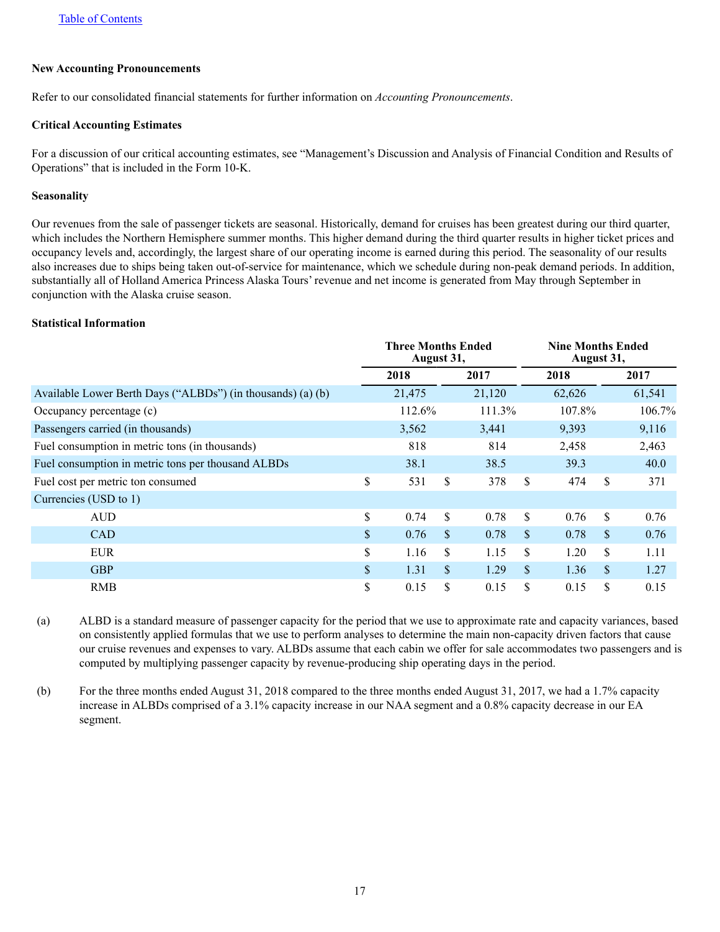#### **New Accounting Pronouncements**

Refer to our consolidated financial statements for further information on *Accounting Pronouncements*.

#### **Critical Accounting Estimates**

For a discussion of our critical accounting estimates, see "Management's Discussion and Analysis of Financial Condition and Results of Operations" that is included in the Form 10-K.

#### **Seasonality**

Our revenues from the sale of passenger tickets are seasonal. Historically, demand for cruises has been greatest during our third quarter, which includes the Northern Hemisphere summer months. This higher demand during the third quarter results in higher ticket prices and occupancy levels and, accordingly, the largest share of our operating income is earned during this period. The seasonality of our results also increases due to ships being taken out-of-service for maintenance, which we schedule during non-peak demand periods. In addition, substantially all of Holland America Princess Alaska Tours' revenue and net income is generated from May through September in conjunction with the Alaska cruise season.

#### **Statistical Information**

|                                                             | <b>Three Months Ended</b><br>August 31, |    |        | <b>Nine Months Ended</b><br>August 31, |        |               |        |  |
|-------------------------------------------------------------|-----------------------------------------|----|--------|----------------------------------------|--------|---------------|--------|--|
|                                                             | 2018                                    |    | 2017   |                                        | 2018   |               | 2017   |  |
| Available Lower Berth Days ("ALBDs") (in thousands) (a) (b) | 21,475                                  |    | 21,120 |                                        | 62,626 |               | 61,541 |  |
| Occupancy percentage (c)                                    | 112.6%                                  |    | 111.3% |                                        | 107.8% |               | 106.7% |  |
| Passengers carried (in thousands)                           | 3,562                                   |    | 3,441  |                                        | 9,393  |               | 9,116  |  |
| Fuel consumption in metric tons (in thousands)              | 818                                     |    | 814    |                                        | 2,458  |               | 2,463  |  |
| Fuel consumption in metric tons per thousand ALBDs          | 38.1                                    |    | 38.5   |                                        | 39.3   |               | 40.0   |  |
| Fuel cost per metric ton consumed                           | \$<br>531                               | \$ | 378    | \$                                     | 474    | \$            | 371    |  |
| Currencies (USD to 1)                                       |                                         |    |        |                                        |        |               |        |  |
| <b>AUD</b>                                                  | \$<br>0.74                              | \$ | 0.78   | \$                                     | 0.76   | <sup>\$</sup> | 0.76   |  |
| <b>CAD</b>                                                  | \$<br>0.76                              | \$ | 0.78   | \$                                     | 0.78   | <sup>\$</sup> | 0.76   |  |
| <b>EUR</b>                                                  | \$<br>1.16                              | \$ | 1.15   | \$                                     | 1.20   | <sup>\$</sup> | 1.11   |  |
| <b>GBP</b>                                                  | \$<br>1.31                              | \$ | 1.29   | $\mathbf{\$}$                          | 1.36   | $\mathbb{S}$  | 1.27   |  |
| <b>RMB</b>                                                  | \$<br>0.15                              | \$ | 0.15   | \$                                     | 0.15   | \$            | 0.15   |  |

(a) ALBD is a standard measure of passenger capacity for the period that we use to approximate rate and capacity variances, based on consistently applied formulas that we use to perform analyses to determine the main non-capacity driven factors that cause our cruise revenues and expenses to vary. ALBDs assume that each cabin we offer for sale accommodates two passengers and is computed by multiplying passenger capacity by revenue-producing ship operating days in the period.

(b) For the three months ended August 31, 2018 compared to the three months ended August 31, 2017, we had a 1.7% capacity increase in ALBDs comprised of a 3.1% capacity increase in our NAA segment and a 0.8% capacity decrease in our EA segment.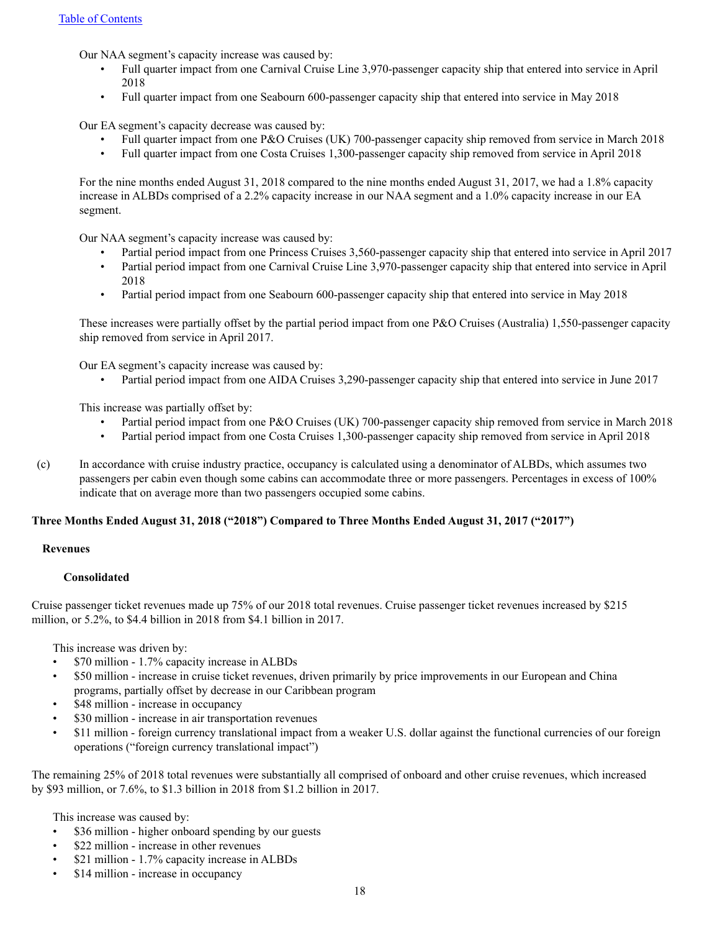Our NAA segment's capacity increase was caused by:

- Full quarter impact from one Carnival Cruise Line 3,970-passenger capacity ship that entered into service in April 2018
- Full quarter impact from one Seabourn 600-passenger capacity ship that entered into service in May 2018

Our EA segment's capacity decrease was caused by:

- Full quarter impact from one P&O Cruises (UK) 700-passenger capacity ship removed from service in March 2018
- Full quarter impact from one Costa Cruises 1,300-passenger capacity ship removed from service in April 2018

For the nine months ended August 31, 2018 compared to the nine months ended August 31, 2017, we had a 1.8% capacity increase in ALBDs comprised of a 2.2% capacity increase in our NAA segment and a 1.0% capacity increase in our EA segment.

Our NAA segment's capacity increase was caused by:

- Partial period impact from one Princess Cruises 3,560-passenger capacity ship that entered into service in April 2017
- Partial period impact from one Carnival Cruise Line 3,970-passenger capacity ship that entered into service in April 2018
- Partial period impact from one Seabourn 600-passenger capacity ship that entered into service in May 2018

These increases were partially offset by the partial period impact from one P&O Cruises (Australia) 1,550-passenger capacity ship removed from service in April 2017.

Our EA segment's capacity increase was caused by:

• Partial period impact from one AIDA Cruises 3,290-passenger capacity ship that entered into service in June 2017

This increase was partially offset by:

- Partial period impact from one P&O Cruises (UK) 700-passenger capacity ship removed from service in March 2018
- Partial period impact from one Costa Cruises 1,300-passenger capacity ship removed from service in April 2018
- (c) In accordance with cruise industry practice, occupancy is calculated using a denominator of ALBDs, which assumes two passengers per cabin even though some cabins can accommodate three or more passengers. Percentages in excess of 100% indicate that on average more than two passengers occupied some cabins.

#### **Three Months Ended August 31, 2018 ("2018") Compared to Three Months Ended August 31, 2017 ("2017")**

#### **Revenues**

#### **Consolidated**

Cruise passenger ticket revenues made up 75% of our 2018 total revenues. Cruise passenger ticket revenues increased by \$215 million, or 5.2%, to \$4.4 billion in 2018 from \$4.1 billion in 2017.

This increase was driven by:

- \$70 million 1.7% capacity increase in ALBDs
- \$50 million increase in cruise ticket revenues, driven primarily by price improvements in our European and China programs, partially offset by decrease in our Caribbean program
- \$48 million increase in occupancy
- \$30 million increase in air transportation revenues
- \$11 million foreign currency translational impact from a weaker U.S. dollar against the functional currencies of our foreign operations ("foreign currency translational impact")

The remaining 25% of 2018 total revenues were substantially all comprised of onboard and other cruise revenues, which increased by \$93 million, or 7.6%, to \$1.3 billion in 2018 from \$1.2 billion in 2017.

This increase was caused by:

- \$36 million higher onboard spending by our guests
- \$22 million increase in other revenues
- \$21 million 1.7% capacity increase in ALBDs
- \$14 million increase in occupancy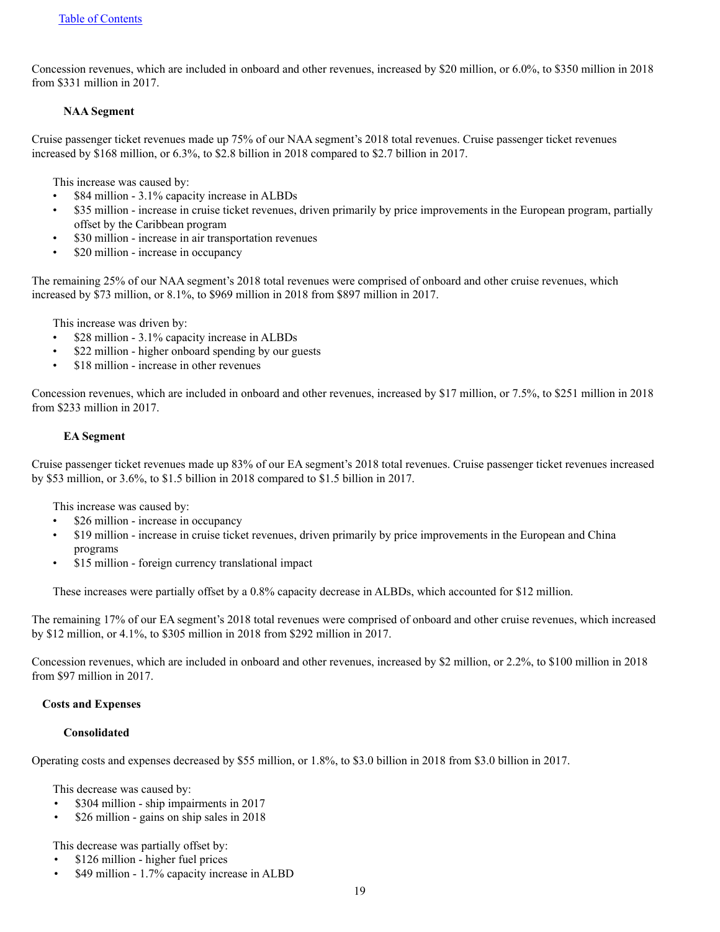Concession revenues, which are included in onboard and other revenues, increased by \$20 million, or 6.0%, to \$350 million in 2018 from \$331 million in 2017.

#### **NAA Segment**

Cruise passenger ticket revenues made up 75% of our NAA segment's 2018 total revenues. Cruise passenger ticket revenues increased by \$168 million, or 6.3%, to \$2.8 billion in 2018 compared to \$2.7 billion in 2017.

This increase was caused by:

- \$84 million 3.1% capacity increase in ALBDs
- \$35 million increase in cruise ticket revenues, driven primarily by price improvements in the European program, partially offset by the Caribbean program
- \$30 million increase in air transportation revenues
- \$20 million increase in occupancy

The remaining 25% of our NAA segment's 2018 total revenues were comprised of onboard and other cruise revenues, which increased by \$73 million, or 8.1%, to \$969 million in 2018 from \$897 million in 2017.

This increase was driven by:

- \$28 million 3.1% capacity increase in ALBDs
- \$22 million higher onboard spending by our guests
- \$18 million increase in other revenues

Concession revenues, which are included in onboard and other revenues, increased by \$17 million, or 7.5%, to \$251 million in 2018 from \$233 million in 2017.

#### **EA Segment**

Cruise passenger ticket revenues made up 83% of our EA segment's 2018 total revenues. Cruise passenger ticket revenues increased by \$53 million, or 3.6%, to \$1.5 billion in 2018 compared to \$1.5 billion in 2017.

This increase was caused by:

- \$26 million increase in occupancy
- \$19 million increase in cruise ticket revenues, driven primarily by price improvements in the European and China programs
- \$15 million foreign currency translational impact

These increases were partially offset by a 0.8% capacity decrease in ALBDs, which accounted for \$12 million.

The remaining 17% of our EA segment's 2018 total revenues were comprised of onboard and other cruise revenues, which increased by \$12 million, or 4.1%, to \$305 million in 2018 from \$292 million in 2017.

Concession revenues, which are included in onboard and other revenues, increased by \$2 million, or 2.2%, to \$100 million in 2018 from \$97 million in 2017.

#### **Costs and Expenses**

#### **Consolidated**

Operating costs and expenses decreased by \$55 million, or 1.8%, to \$3.0 billion in 2018 from \$3.0 billion in 2017.

This decrease was caused by:

- \$304 million ship impairments in 2017
- \$26 million gains on ship sales in 2018

This decrease was partially offset by:

- \$126 million higher fuel prices
- \$49 million 1.7% capacity increase in ALBD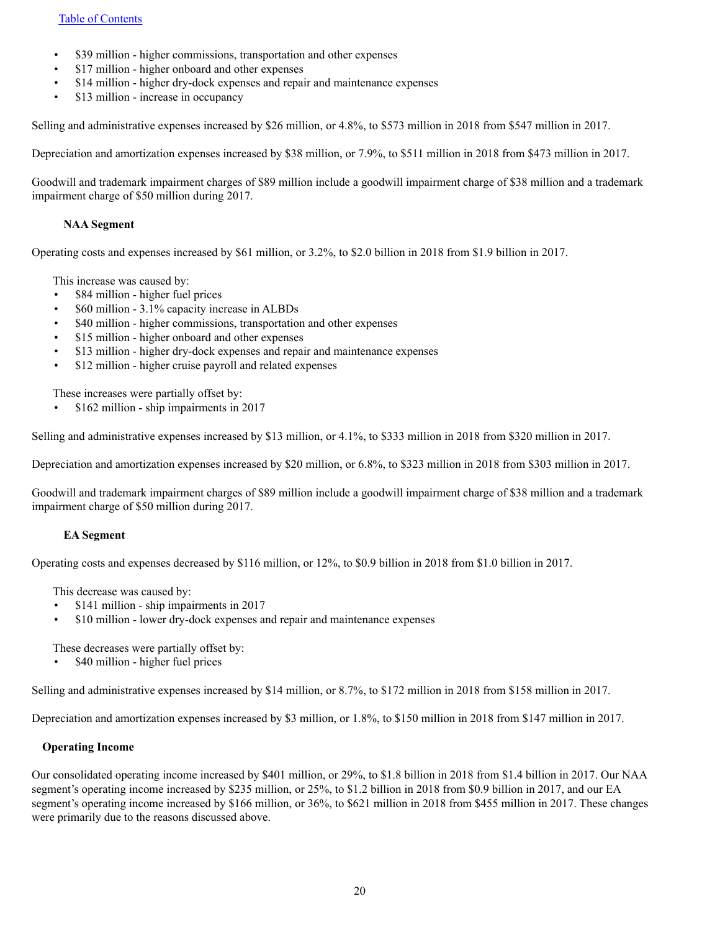- \$39 million higher commissions, transportation and other expenses
- \$17 million higher onboard and other expenses
- \$14 million higher dry-dock expenses and repair and maintenance expenses
- \$13 million increase in occupancy

Selling and administrative expenses increased by \$26 million, or 4.8%, to \$573 million in 2018 from \$547 million in 2017.

Depreciation and amortization expenses increased by \$38 million, or 7.9%, to \$511 million in 2018 from \$473 million in 2017.

Goodwill and trademark impairment charges of \$89 million include a goodwill impairment charge of \$38 million and a trademark impairment charge of \$50 million during 2017.

#### **NAA Segment**

Operating costs and expenses increased by \$61 million, or 3.2%, to \$2.0 billion in 2018 from \$1.9 billion in 2017.

This increase was caused by:

- \$84 million higher fuel prices
- \$60 million 3.1% capacity increase in ALBDs
- \$40 million higher commissions, transportation and other expenses
- \$15 million higher onboard and other expenses
- \$13 million higher dry-dock expenses and repair and maintenance expenses
- \$12 million higher cruise payroll and related expenses

These increases were partially offset by:

• \$162 million - ship impairments in 2017

Selling and administrative expenses increased by \$13 million, or 4.1%, to \$333 million in 2018 from \$320 million in 2017.

Depreciation and amortization expenses increased by \$20 million, or 6.8%, to \$323 million in 2018 from \$303 million in 2017.

Goodwill and trademark impairment charges of \$89 million include a goodwill impairment charge of \$38 million and a trademark impairment charge of \$50 million during 2017.

#### **EA Segment**

Operating costs and expenses decreased by \$116 million, or 12%, to \$0.9 billion in 2018 from \$1.0 billion in 2017.

This decrease was caused by:

- \$141 million ship impairments in 2017
- \$10 million lower dry-dock expenses and repair and maintenance expenses

These decreases were partially offset by:

\$40 million - higher fuel prices

Selling and administrative expenses increased by \$14 million, or 8.7%, to \$172 million in 2018 from \$158 million in 2017.

Depreciation and amortization expenses increased by \$3 million, or 1.8%, to \$150 million in 2018 from \$147 million in 2017.

#### **Operating Income**

Our consolidated operating income increased by \$401 million, or 29%, to \$1.8 billion in 2018 from \$1.4 billion in 2017. Our NAA segment's operating income increased by \$235 million, or 25%, to \$1.2 billion in 2018 from \$0.9 billion in 2017, and our EA segment's operating income increased by \$166 million, or 36%, to \$621 million in 2018 from \$455 million in 2017. These changes were primarily due to the reasons discussed above.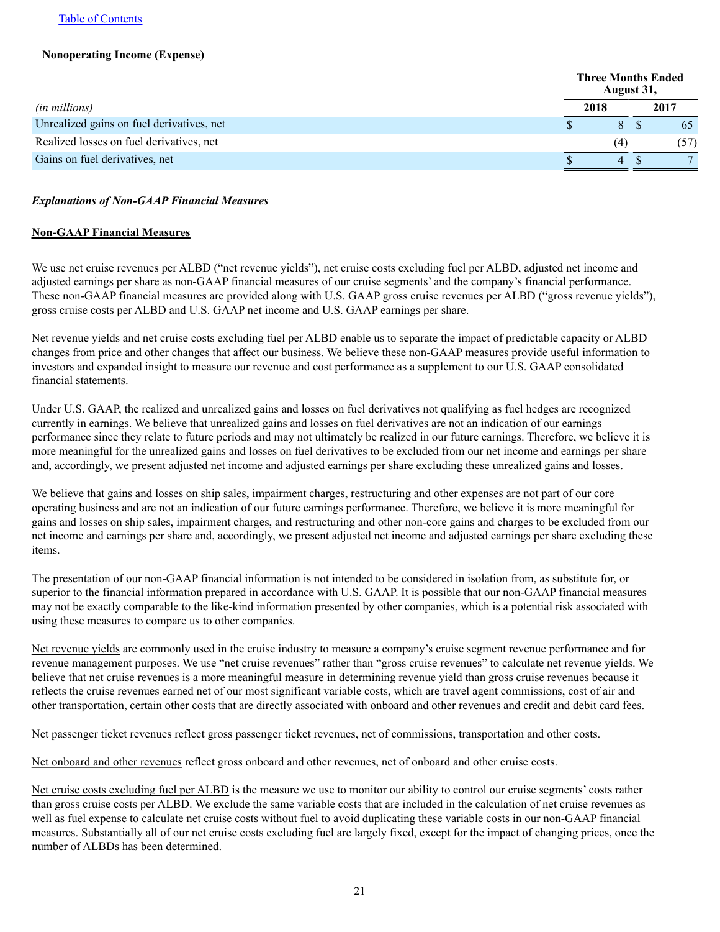#### Table of Contents

#### **Nonoperating Income (Expense)**

|                                           | <b>Three Months Ended</b><br>August 31, |      |
|-------------------------------------------|-----------------------------------------|------|
| <i>(in millions)</i>                      | 2018                                    | 2017 |
| Unrealized gains on fuel derivatives, net | 8                                       | 65   |
| Realized losses on fuel derivatives, net  | (4)                                     | (57) |
| Gains on fuel derivatives, net            | 4                                       |      |

#### *Explanations of Non-GAAP Financial Measures*

#### **Non-GAAP Financial Measures**

We use net cruise revenues per ALBD ("net revenue yields"), net cruise costs excluding fuel per ALBD, adjusted net income and adjusted earnings per share as non-GAAP financial measures of our cruise segments' and the company's financial performance. These non-GAAP financial measures are provided along with U.S. GAAP gross cruise revenues per ALBD ("gross revenue yields"), gross cruise costs per ALBD and U.S. GAAP net income and U.S. GAAP earnings per share.

Net revenue yields and net cruise costs excluding fuel per ALBD enable us to separate the impact of predictable capacity or ALBD changes from price and other changes that affect our business. We believe these non-GAAP measures provide useful information to investors and expanded insight to measure our revenue and cost performance as a supplement to our U.S. GAAP consolidated financial statements.

Under U.S. GAAP, the realized and unrealized gains and losses on fuel derivatives not qualifying as fuel hedges are recognized currently in earnings. We believe that unrealized gains and losses on fuel derivatives are not an indication of our earnings performance since they relate to future periods and may not ultimately be realized in our future earnings. Therefore, we believe it is more meaningful for the unrealized gains and losses on fuel derivatives to be excluded from our net income and earnings per share and, accordingly, we present adjusted net income and adjusted earnings per share excluding these unrealized gains and losses.

We believe that gains and losses on ship sales, impairment charges, restructuring and other expenses are not part of our core operating business and are not an indication of our future earnings performance. Therefore, we believe it is more meaningful for gains and losses on ship sales, impairment charges, and restructuring and other non-core gains and charges to be excluded from our net income and earnings per share and, accordingly, we present adjusted net income and adjusted earnings per share excluding these items.

The presentation of our non-GAAP financial information is not intended to be considered in isolation from, as substitute for, or superior to the financial information prepared in accordance with U.S. GAAP. It is possible that our non-GAAP financial measures may not be exactly comparable to the like-kind information presented by other companies, which is a potential risk associated with using these measures to compare us to other companies.

Net revenue yields are commonly used in the cruise industry to measure a company's cruise segment revenue performance and for revenue management purposes. We use "net cruise revenues" rather than "gross cruise revenues" to calculate net revenue yields. We believe that net cruise revenues is a more meaningful measure in determining revenue yield than gross cruise revenues because it reflects the cruise revenues earned net of our most significant variable costs, which are travel agent commissions, cost of air and other transportation, certain other costs that are directly associated with onboard and other revenues and credit and debit card fees.

Net passenger ticket revenues reflect gross passenger ticket revenues, net of commissions, transportation and other costs.

Net onboard and other revenues reflect gross onboard and other revenues, net of onboard and other cruise costs.

Net cruise costs excluding fuel per ALBD is the measure we use to monitor our ability to control our cruise segments' costs rather than gross cruise costs per ALBD. We exclude the same variable costs that are included in the calculation of net cruise revenues as well as fuel expense to calculate net cruise costs without fuel to avoid duplicating these variable costs in our non-GAAP financial measures. Substantially all of our net cruise costs excluding fuel are largely fixed, except for the impact of changing prices, once the number of ALBDs has been determined.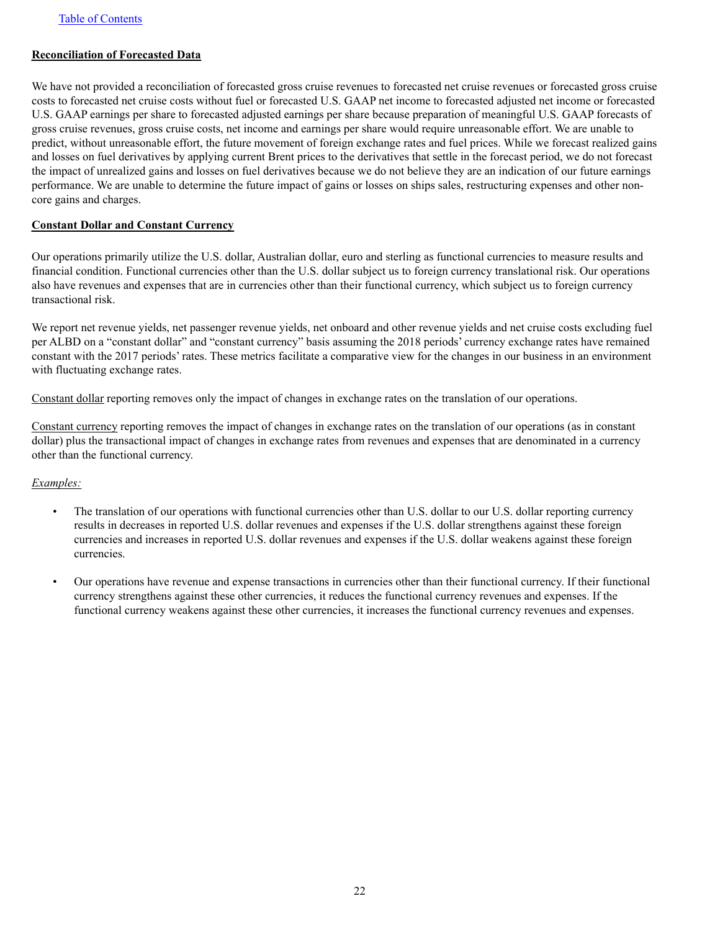#### **Reconciliation of Forecasted Data**

We have not provided a reconciliation of forecasted gross cruise revenues to forecasted net cruise revenues or forecasted gross cruise costs to forecasted net cruise costs without fuel or forecasted U.S. GAAP net income to forecasted adjusted net income or forecasted U.S. GAAP earnings per share to forecasted adjusted earnings per share because preparation of meaningful U.S. GAAP forecasts of gross cruise revenues, gross cruise costs, net income and earnings per share would require unreasonable effort. We are unable to predict, without unreasonable effort, the future movement of foreign exchange rates and fuel prices. While we forecast realized gains and losses on fuel derivatives by applying current Brent prices to the derivatives that settle in the forecast period, we do not forecast the impact of unrealized gains and losses on fuel derivatives because we do not believe they are an indication of our future earnings performance. We are unable to determine the future impact of gains or losses on ships sales, restructuring expenses and other noncore gains and charges.

#### **Constant Dollar and Constant Currency**

Our operations primarily utilize the U.S. dollar, Australian dollar, euro and sterling as functional currencies to measure results and financial condition. Functional currencies other than the U.S. dollar subject us to foreign currency translational risk. Our operations also have revenues and expenses that are in currencies other than their functional currency, which subject us to foreign currency transactional risk.

We report net revenue yields, net passenger revenue yields, net onboard and other revenue yields and net cruise costs excluding fuel per ALBD on a "constant dollar" and "constant currency" basis assuming the 2018 periods' currency exchange rates have remained constant with the 2017 periods' rates. These metrics facilitate a comparative view for the changes in our business in an environment with fluctuating exchange rates.

Constant dollar reporting removes only the impact of changes in exchange rates on the translation of our operations.

Constant currency reporting removes the impact of changes in exchange rates on the translation of our operations (as in constant dollar) plus the transactional impact of changes in exchange rates from revenues and expenses that are denominated in a currency other than the functional currency.

#### *Examples:*

- The translation of our operations with functional currencies other than U.S. dollar to our U.S. dollar reporting currency results in decreases in reported U.S. dollar revenues and expenses if the U.S. dollar strengthens against these foreign currencies and increases in reported U.S. dollar revenues and expenses if the U.S. dollar weakens against these foreign currencies.
- Our operations have revenue and expense transactions in currencies other than their functional currency. If their functional currency strengthens against these other currencies, it reduces the functional currency revenues and expenses. If the functional currency weakens against these other currencies, it increases the functional currency revenues and expenses.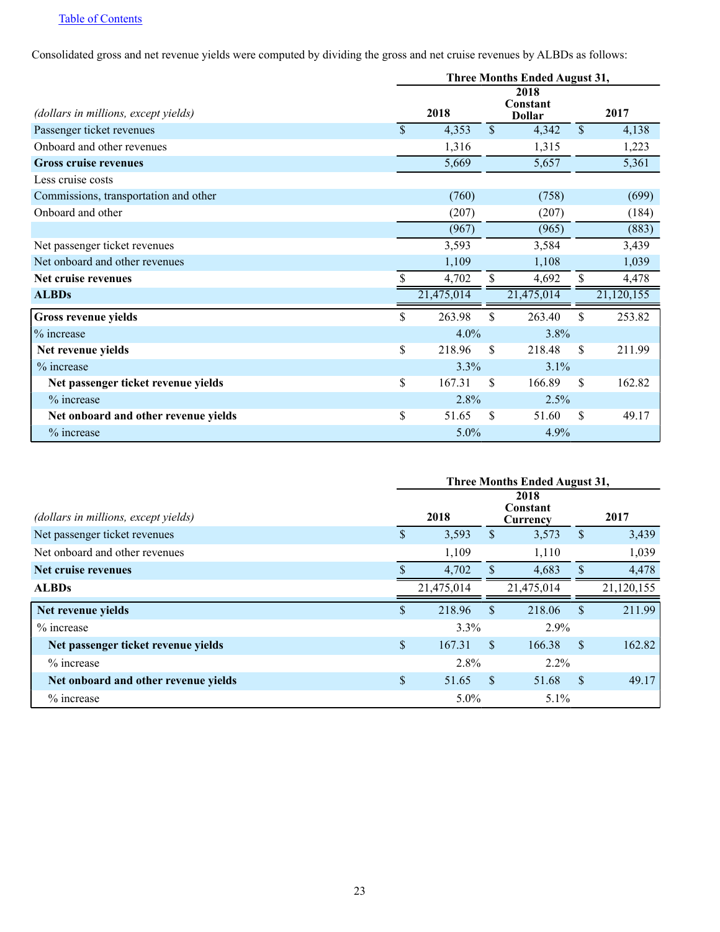## Table of Contents

Consolidated gross and net revenue yields were computed by dividing the gross and net cruise revenues by ALBDs as follows:

|                                       |                    | <b>Three Months Ended August 31,</b> |               |                                   |               |            |  |  |  |  |  |
|---------------------------------------|--------------------|--------------------------------------|---------------|-----------------------------------|---------------|------------|--|--|--|--|--|
| (dollars in millions, except yields)  |                    | 2018                                 |               | 2018<br>Constant<br><b>Dollar</b> |               | 2017       |  |  |  |  |  |
| Passenger ticket revenues             | $\mathbf{\hat{S}}$ | 4,353                                | $\mathcal{S}$ | 4,342                             | $\mathcal{S}$ | 4,138      |  |  |  |  |  |
| Onboard and other revenues            |                    | 1,316                                |               | 1,315                             |               | 1,223      |  |  |  |  |  |
| <b>Gross cruise revenues</b>          |                    | 5,669                                |               | 5,657                             |               | 5,361      |  |  |  |  |  |
| Less cruise costs                     |                    |                                      |               |                                   |               |            |  |  |  |  |  |
| Commissions, transportation and other |                    | (760)                                |               | (758)                             |               | (699)      |  |  |  |  |  |
| Onboard and other                     |                    | (207)                                |               | (207)                             |               | (184)      |  |  |  |  |  |
|                                       |                    | (967)                                |               | (965)                             |               | (883)      |  |  |  |  |  |
| Net passenger ticket revenues         |                    | 3,593                                |               | 3,584                             |               | 3,439      |  |  |  |  |  |
| Net onboard and other revenues        |                    | 1,109                                |               | 1,108                             |               | 1,039      |  |  |  |  |  |
| Net cruise revenues                   | \$                 | 4,702                                | \$            | 4,692                             | \$            | 4,478      |  |  |  |  |  |
| <b>ALBDs</b>                          |                    | 21,475,014                           |               | 21,475,014                        |               | 21,120,155 |  |  |  |  |  |
| Gross revenue yields                  | \$                 | 263.98                               | \$            | 263.40                            | \$            | 253.82     |  |  |  |  |  |
| % increase                            |                    | 4.0%                                 |               | 3.8%                              |               |            |  |  |  |  |  |
| Net revenue yields                    | \$                 | 218.96                               | \$            | 218.48                            | \$            | 211.99     |  |  |  |  |  |
| % increase                            |                    | 3.3%                                 |               | 3.1%                              |               |            |  |  |  |  |  |
| Net passenger ticket revenue yields   | \$                 | 167.31                               | \$.           | 166.89                            | \$.           | 162.82     |  |  |  |  |  |
| % increase                            |                    | 2.8%                                 |               | 2.5%                              |               |            |  |  |  |  |  |
| Net onboard and other revenue yields  | \$                 | 51.65                                | \$            | 51.60                             | \$            | 49.17      |  |  |  |  |  |
| % increase                            |                    | 5.0%                                 |               | 4.9%                              |               |            |  |  |  |  |  |

|                                      | <b>Three Months Ended August 31,</b> |                                      |               |            |               |            |  |  |  |  |
|--------------------------------------|--------------------------------------|--------------------------------------|---------------|------------|---------------|------------|--|--|--|--|
| (dollars in millions, except yields) |                                      | 2018<br>Constant<br>2018<br>Currency |               |            |               | 2017       |  |  |  |  |
| Net passenger ticket revenues        | \$                                   | 3,593                                | <sup>S</sup>  | 3,573      | <sup>S</sup>  | 3,439      |  |  |  |  |
| Net onboard and other revenues       |                                      | 1,109                                |               | 1,110      |               | 1,039      |  |  |  |  |
| Net cruise revenues                  |                                      | 4,702                                |               | 4,683      | S             | 4,478      |  |  |  |  |
| <b>ALBDs</b>                         |                                      | 21,475,014                           |               | 21,475,014 |               | 21,120,155 |  |  |  |  |
| Net revenue yields                   | \$                                   | 218.96                               | <sup>\$</sup> | 218.06     | \$.           | 211.99     |  |  |  |  |
| % increase                           |                                      | 3.3%                                 |               | 2.9%       |               |            |  |  |  |  |
| Net passenger ticket revenue yields  | \$                                   | 167.31                               | -\$           | 166.38     | <sup>\$</sup> | 162.82     |  |  |  |  |
| $\%$ increase                        |                                      | 2.8%                                 |               | $2.2\%$    |               |            |  |  |  |  |
| Net onboard and other revenue yields | \$                                   | 51.65                                | <sup>\$</sup> | 51.68      | <sup>S</sup>  | 49.17      |  |  |  |  |
| $%$ increase                         |                                      | $5.0\%$                              |               | 5.1%       |               |            |  |  |  |  |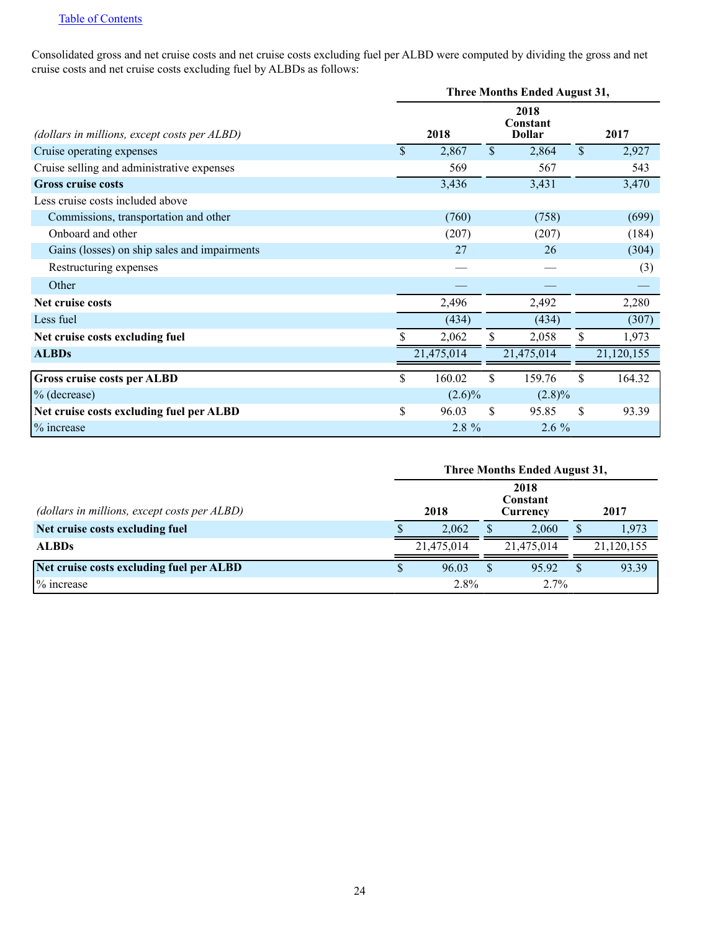## Table of Contents

Consolidated gross and net cruise costs and net cruise costs excluding fuel per ALBD were computed by dividing the gross and net cruise costs and net cruise costs excluding fuel by ALBDs as follows:

|                                              | Three Months Ended August 31, |                           |            |               |            |  |  |  |  |
|----------------------------------------------|-------------------------------|---------------------------|------------|---------------|------------|--|--|--|--|
| (dollars in millions, except costs per ALBD) | 2018                          |                           |            |               | 2017       |  |  |  |  |
| Cruise operating expenses                    | \$<br>2,867                   | $\boldsymbol{\mathsf{S}}$ | 2,864      | $\mathcal{S}$ | 2,927      |  |  |  |  |
| Cruise selling and administrative expenses   | 569                           |                           | 567        |               | 543        |  |  |  |  |
| <b>Gross cruise costs</b>                    | 3,436                         |                           | 3,431      |               | 3,470      |  |  |  |  |
| Less cruise costs included above             |                               |                           |            |               |            |  |  |  |  |
| Commissions, transportation and other        | (760)                         |                           | (758)      |               | (699)      |  |  |  |  |
| Onboard and other                            | (207)                         |                           | (207)      |               | (184)      |  |  |  |  |
| Gains (losses) on ship sales and impairments | 27                            |                           | 26         |               | (304)      |  |  |  |  |
| Restructuring expenses                       |                               |                           |            |               | (3)        |  |  |  |  |
| Other                                        |                               |                           |            |               |            |  |  |  |  |
| Net cruise costs                             | 2,496                         |                           | 2,492      |               | 2,280      |  |  |  |  |
| Less fuel                                    | (434)                         |                           | (434)      |               | (307)      |  |  |  |  |
| Net cruise costs excluding fuel              | 2,062                         | \$                        | 2,058      | \$            | 1,973      |  |  |  |  |
| <b>ALBDs</b>                                 | 21,475,014                    |                           | 21,475,014 |               | 21,120,155 |  |  |  |  |
| Gross cruise costs per ALBD                  | \$<br>160.02                  | \$                        | 159.76     | \$            | 164.32     |  |  |  |  |
| $%$ (decrease)                               | $(2.6)\%$                     |                           | $(2.8)\%$  |               |            |  |  |  |  |
| Net cruise costs excluding fuel per ALBD     | \$<br>96.03                   | \$.                       | 95.85      | \$.           | 93.39      |  |  |  |  |
| % increase                                   | 2.8 %                         |                           | $2.6\%$    |               |            |  |  |  |  |

|                                              |            | Three Months Ended August 31, |    |            |
|----------------------------------------------|------------|-------------------------------|----|------------|
| (dollars in millions, except costs per ALBD) | 2018       | 2018<br>Constant<br>Currency  |    | 2017       |
| Net cruise costs excluding fuel              | 2.062      | 2,060                         | S  | 1,973      |
| <b>ALBDs</b>                                 | 21,475,014 | 21.475.014                    |    | 21,120,155 |
| Net cruise costs excluding fuel per ALBD     | 96.03      | 95.92                         | S. | 93.39      |
| 1% increase                                  | 2.8%       | 2.7%                          |    |            |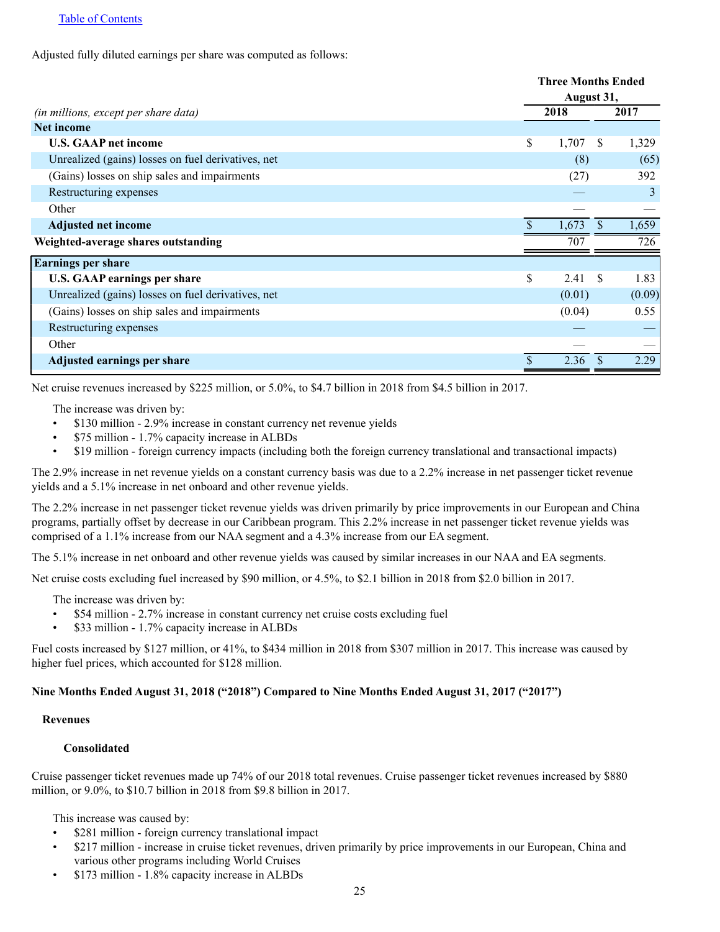Adjusted fully diluted earnings per share was computed as follows:

|                                                    | <b>Three Months Ended</b><br>August 31, |                       |        |  |  |  |
|----------------------------------------------------|-----------------------------------------|-----------------------|--------|--|--|--|
| (in millions, except per share data)               |                                         | 2018                  | 2017   |  |  |  |
| <b>Net income</b>                                  |                                         |                       |        |  |  |  |
| <b>U.S. GAAP net income</b>                        | \$                                      | 1,707<br><sup>S</sup> | 1,329  |  |  |  |
| Unrealized (gains) losses on fuel derivatives, net |                                         | (8)                   | (65)   |  |  |  |
| (Gains) losses on ship sales and impairments       |                                         | (27)                  | 392    |  |  |  |
| Restructuring expenses                             |                                         |                       | 3      |  |  |  |
| Other                                              |                                         |                       |        |  |  |  |
| <b>Adjusted net income</b>                         |                                         | 1,673                 | 1,659  |  |  |  |
| Weighted-average shares outstanding                |                                         | 707                   | 726    |  |  |  |
| <b>Earnings per share</b>                          |                                         |                       |        |  |  |  |
| <b>U.S. GAAP earnings per share</b>                | \$                                      | 2.41<br>-S            | 1.83   |  |  |  |
| Unrealized (gains) losses on fuel derivatives, net |                                         | (0.01)                | (0.09) |  |  |  |
| (Gains) losses on ship sales and impairments       |                                         | (0.04)                | 0.55   |  |  |  |
| Restructuring expenses                             |                                         |                       |        |  |  |  |
| Other                                              |                                         |                       |        |  |  |  |
| Adjusted earnings per share                        |                                         | 2.36                  | 2.29   |  |  |  |

Net cruise revenues increased by \$225 million, or 5.0%, to \$4.7 billion in 2018 from \$4.5 billion in 2017.

The increase was driven by:

- \$130 million 2.9% increase in constant currency net revenue yields
- \$75 million 1.7% capacity increase in ALBDs
- \$19 million foreign currency impacts (including both the foreign currency translational and transactional impacts)

The 2.9% increase in net revenue yields on a constant currency basis was due to a 2.2% increase in net passenger ticket revenue yields and a 5.1% increase in net onboard and other revenue yields.

The 2.2% increase in net passenger ticket revenue yields was driven primarily by price improvements in our European and China programs, partially offset by decrease in our Caribbean program. This 2.2% increase in net passenger ticket revenue yields was comprised of a 1.1% increase from our NAA segment and a 4.3% increase from our EA segment.

The 5.1% increase in net onboard and other revenue yields was caused by similar increases in our NAA and EA segments.

Net cruise costs excluding fuel increased by \$90 million, or 4.5%, to \$2.1 billion in 2018 from \$2.0 billion in 2017.

The increase was driven by:

- \$54 million 2.7% increase in constant currency net cruise costs excluding fuel
- \$33 million 1.7% capacity increase in ALBDs

Fuel costs increased by \$127 million, or 41%, to \$434 million in 2018 from \$307 million in 2017. This increase was caused by higher fuel prices, which accounted for \$128 million.

#### **Nine Months Ended August 31, 2018 ("2018") Compared to Nine Months Ended August 31, 2017 ("2017")**

## **Revenues**

## **Consolidated**

Cruise passenger ticket revenues made up 74% of our 2018 total revenues. Cruise passenger ticket revenues increased by \$880 million, or 9.0%, to \$10.7 billion in 2018 from \$9.8 billion in 2017.

This increase was caused by:

- \$281 million foreign currency translational impact
- \$217 million increase in cruise ticket revenues, driven primarily by price improvements in our European, China and various other programs including World Cruises
- \$173 million 1.8% capacity increase in ALBDs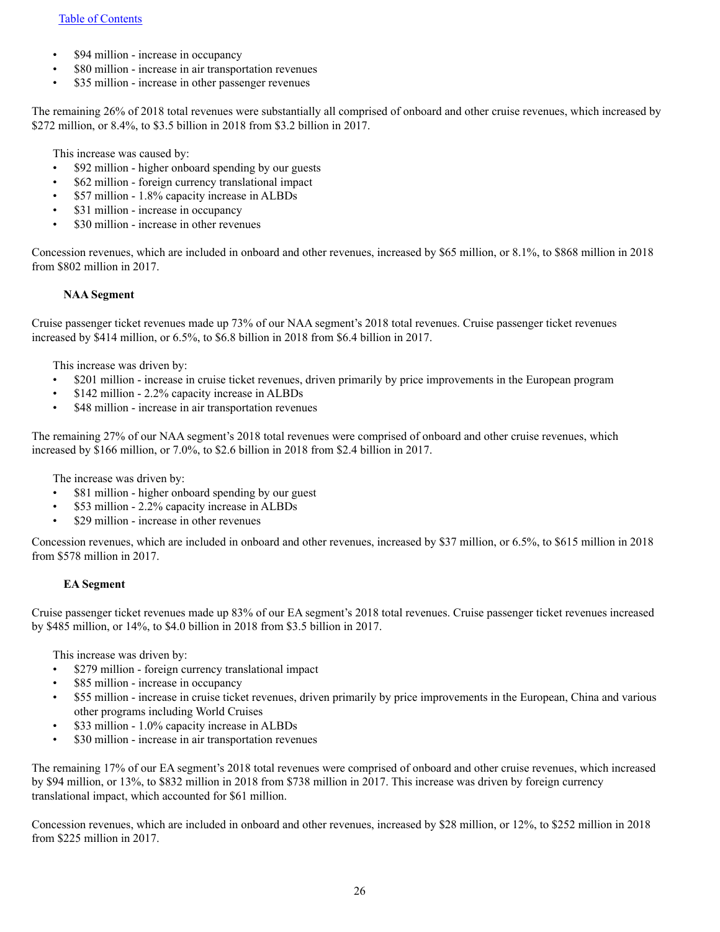- \$94 million increase in occupancy
- \$80 million increase in air transportation revenues
- \$35 million increase in other passenger revenues

The remaining 26% of 2018 total revenues were substantially all comprised of onboard and other cruise revenues, which increased by \$272 million, or 8.4%, to \$3.5 billion in 2018 from \$3.2 billion in 2017.

This increase was caused by:

- \$92 million higher onboard spending by our guests
- \$62 million foreign currency translational impact
- \$57 million 1.8% capacity increase in ALBDs
- \$31 million increase in occupancy
- \$30 million increase in other revenues

Concession revenues, which are included in onboard and other revenues, increased by \$65 million, or 8.1%, to \$868 million in 2018 from \$802 million in 2017.

### **NAA Segment**

Cruise passenger ticket revenues made up 73% of our NAA segment's 2018 total revenues. Cruise passenger ticket revenues increased by \$414 million, or 6.5%, to \$6.8 billion in 2018 from \$6.4 billion in 2017.

This increase was driven by:

- \$201 million increase in cruise ticket revenues, driven primarily by price improvements in the European program
- \$142 million 2.2% capacity increase in ALBDs
- \$48 million increase in air transportation revenues

The remaining 27% of our NAA segment's 2018 total revenues were comprised of onboard and other cruise revenues, which increased by \$166 million, or 7.0%, to \$2.6 billion in 2018 from \$2.4 billion in 2017.

The increase was driven by:

- \$81 million higher onboard spending by our guest
- \$53 million 2.2% capacity increase in ALBDs
- \$29 million increase in other revenues

Concession revenues, which are included in onboard and other revenues, increased by \$37 million, or 6.5%, to \$615 million in 2018 from \$578 million in 2017.

#### **EA Segment**

Cruise passenger ticket revenues made up 83% of our EA segment's 2018 total revenues. Cruise passenger ticket revenues increased by \$485 million, or 14%, to \$4.0 billion in 2018 from \$3.5 billion in 2017.

This increase was driven by:

- \$279 million foreign currency translational impact
- \$85 million increase in occupancy
- \$55 million increase in cruise ticket revenues, driven primarily by price improvements in the European, China and various other programs including World Cruises
- \$33 million 1.0% capacity increase in ALBDs
- \$30 million increase in air transportation revenues

The remaining 17% of our EA segment's 2018 total revenues were comprised of onboard and other cruise revenues, which increased by \$94 million, or 13%, to \$832 million in 2018 from \$738 million in 2017. This increase was driven by foreign currency translational impact, which accounted for \$61 million.

Concession revenues, which are included in onboard and other revenues, increased by \$28 million, or 12%, to \$252 million in 2018 from \$225 million in 2017.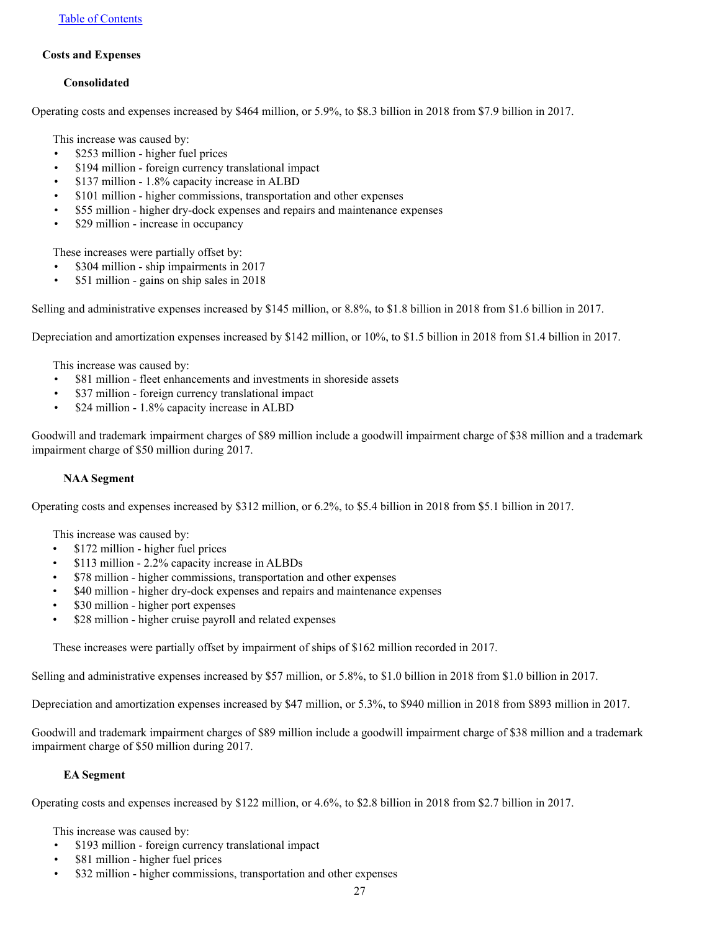#### **Costs and Expenses**

### **Consolidated**

Operating costs and expenses increased by \$464 million, or 5.9%, to \$8.3 billion in 2018 from \$7.9 billion in 2017.

This increase was caused by:

- \$253 million higher fuel prices
- \$194 million foreign currency translational impact
- \$137 million 1.8% capacity increase in ALBD
- \$101 million higher commissions, transportation and other expenses
- \$55 million higher dry-dock expenses and repairs and maintenance expenses
- \$29 million increase in occupancy

These increases were partially offset by:

- \$304 million ship impairments in 2017
- \$51 million gains on ship sales in 2018

Selling and administrative expenses increased by \$145 million, or 8.8%, to \$1.8 billion in 2018 from \$1.6 billion in 2017.

Depreciation and amortization expenses increased by \$142 million, or 10%, to \$1.5 billion in 2018 from \$1.4 billion in 2017.

This increase was caused by:

- \$81 million fleet enhancements and investments in shoreside assets
- \$37 million foreign currency translational impact
- \$24 million 1.8% capacity increase in ALBD

Goodwill and trademark impairment charges of \$89 million include a goodwill impairment charge of \$38 million and a trademark impairment charge of \$50 million during 2017.

#### **NAA Segment**

Operating costs and expenses increased by \$312 million, or 6.2%, to \$5.4 billion in 2018 from \$5.1 billion in 2017.

This increase was caused by:

- \$172 million higher fuel prices
- \$113 million 2.2% capacity increase in ALBDs
- \$78 million higher commissions, transportation and other expenses
- \$40 million higher dry-dock expenses and repairs and maintenance expenses
- \$30 million higher port expenses
- \$28 million higher cruise payroll and related expenses

These increases were partially offset by impairment of ships of \$162 million recorded in 2017.

Selling and administrative expenses increased by \$57 million, or 5.8%, to \$1.0 billion in 2018 from \$1.0 billion in 2017.

Depreciation and amortization expenses increased by \$47 million, or 5.3%, to \$940 million in 2018 from \$893 million in 2017.

Goodwill and trademark impairment charges of \$89 million include a goodwill impairment charge of \$38 million and a trademark impairment charge of \$50 million during 2017.

#### **EA Segment**

Operating costs and expenses increased by \$122 million, or 4.6%, to \$2.8 billion in 2018 from \$2.7 billion in 2017.

This increase was caused by:

- \$193 million foreign currency translational impact
- \$81 million higher fuel prices
- \$32 million higher commissions, transportation and other expenses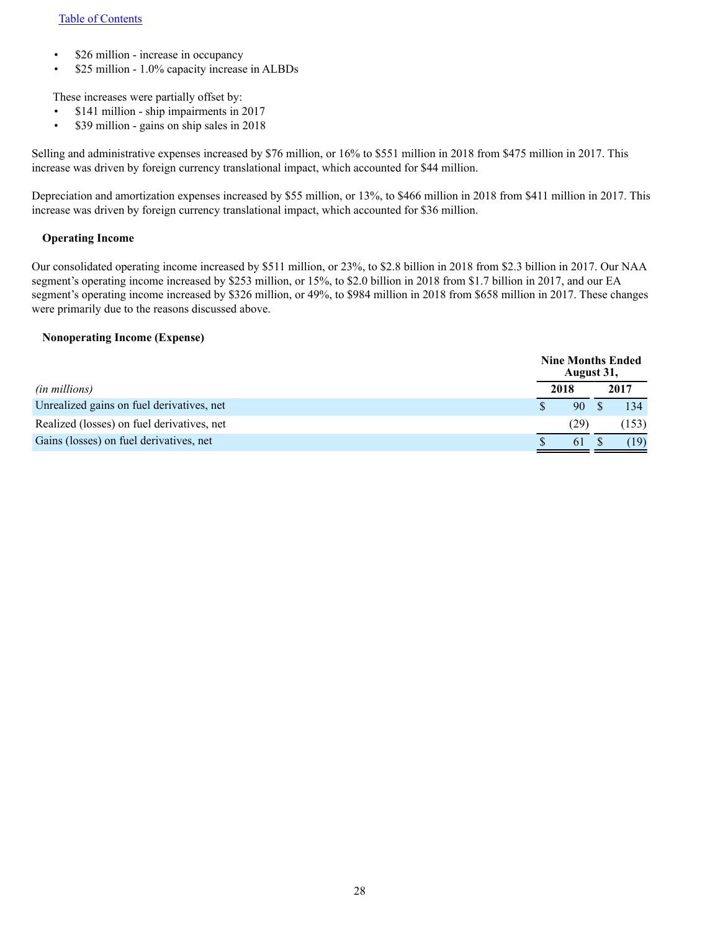- \$26 million increase in occupancy
- \$25 million 1.0% capacity increase in ALBDs

These increases were partially offset by:

- \$141 million ship impairments in 2017
- \$39 million gains on ship sales in 2018

Selling and administrative expenses increased by \$76 million, or 16% to \$551 million in 2018 from \$475 million in 2017. This increase was driven by foreign currency translational impact, which accounted for \$44 million.

Depreciation and amortization expenses increased by \$55 million, or 13%, to \$466 million in 2018 from \$411 million in 2017. This increase was driven by foreign currency translational impact, which accounted for \$36 million.

### **Operating Income**

Our consolidated operating income increased by \$511 million, or 23%, to \$2.8 billion in 2018 from \$2.3 billion in 2017. Our NAA segment's operating income increased by \$253 million, or 15%, to \$2.0 billion in 2018 from \$1.7 billion in 2017, and our EA segment's operating income increased by \$326 million, or 49%, to \$984 million in 2018 from \$658 million in 2017. These changes were primarily due to the reasons discussed above.

#### **Nonoperating Income (Expense)**

|                                            |      | August 31, | <b>Nine Months Ended</b> |
|--------------------------------------------|------|------------|--------------------------|
| <i>(in millions)</i>                       | 2018 |            | 2017                     |
| Unrealized gains on fuel derivatives, net  |      | 90         | 134                      |
| Realized (losses) on fuel derivatives, net |      | (29)       | (153)                    |
| Gains (losses) on fuel derivatives, net    |      | 61         |                          |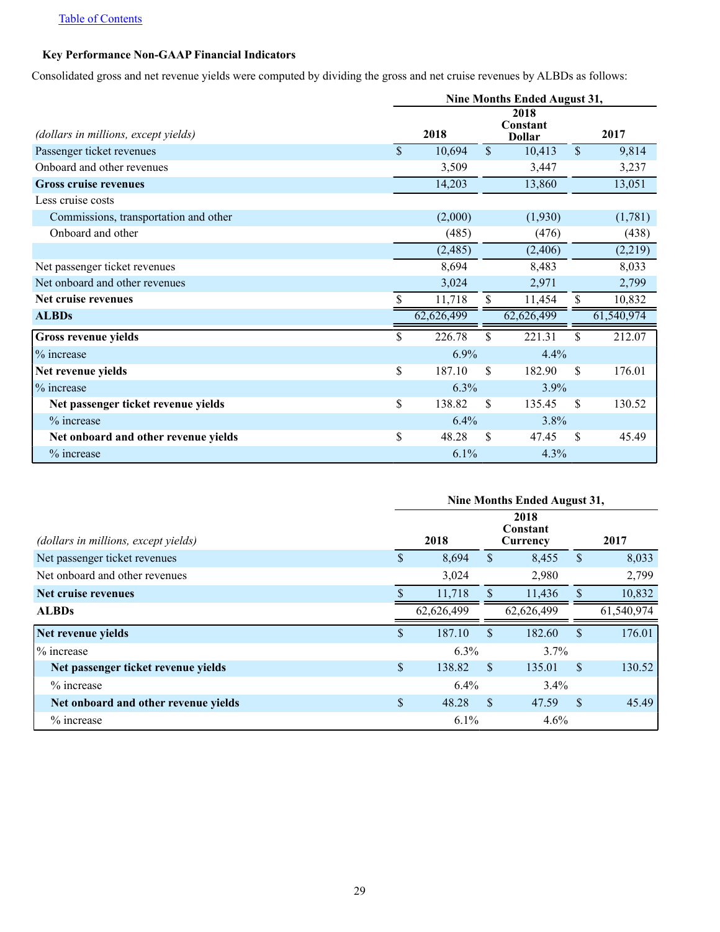## Table of Contents

## **Key Performance Non-GAAP Financial Indicators**

Consolidated gross and net revenue yields were computed by dividing the gross and net cruise revenues by ALBDs as follows:

|                                       | Nine Months Ended August 31, |            |                           |                                   |              |            |  |
|---------------------------------------|------------------------------|------------|---------------------------|-----------------------------------|--------------|------------|--|
| (dollars in millions, except yields)  |                              | 2018       |                           | 2018<br>Constant<br><b>Dollar</b> |              | 2017       |  |
| Passenger ticket revenues             | <sup>\$</sup>                | 10,694     | $\mathbf{s}$              | 10,413                            | $\mathbb{S}$ | 9,814      |  |
| Onboard and other revenues            |                              | 3,509      |                           | 3,447                             |              | 3,237      |  |
| <b>Gross cruise revenues</b>          |                              | 14,203     |                           | 13,860                            |              | 13,051     |  |
| Less cruise costs                     |                              |            |                           |                                   |              |            |  |
| Commissions, transportation and other |                              | (2,000)    |                           | (1,930)                           |              | (1,781)    |  |
| Onboard and other                     |                              | (485)      |                           | (476)                             |              | (438)      |  |
|                                       |                              | (2, 485)   |                           | (2, 406)                          |              | (2,219)    |  |
| Net passenger ticket revenues         |                              | 8,694      |                           | 8,483                             |              | 8,033      |  |
| Net onboard and other revenues        |                              | 3,024      |                           | 2,971                             |              | 2,799      |  |
| Net cruise revenues                   |                              | 11,718     | $\boldsymbol{\mathsf{S}}$ | 11,454                            | \$           | 10,832     |  |
| <b>ALBDs</b>                          |                              | 62,626,499 |                           | 62,626,499                        |              | 61,540,974 |  |
| Gross revenue yields                  | \$                           | 226.78     | \$                        | 221.31                            | \$           | 212.07     |  |
| % increase                            |                              | 6.9%       |                           | 4.4%                              |              |            |  |
| Net revenue yields                    | \$                           | 187.10     | \$.                       | 182.90                            | \$           | 176.01     |  |
| % increase                            |                              | 6.3%       |                           | 3.9%                              |              |            |  |
| Net passenger ticket revenue yields   | \$                           | 138.82     | <sup>\$</sup>             | 135.45                            | \$.          | 130.52     |  |
| % increase                            |                              | 6.4%       |                           | 3.8%                              |              |            |  |
| Net onboard and other revenue yields  | \$                           | 48.28      | \$.                       | 47.45                             | \$           | 45.49      |  |
| % increase                            |                              | 6.1%       |                           | 4.3%                              |              |            |  |

|                                      | Nine Months Ended August 31, |            |                    |                              |               |            |
|--------------------------------------|------------------------------|------------|--------------------|------------------------------|---------------|------------|
| (dollars in millions, except yields) |                              | 2018       |                    | 2018<br>Constant<br>Currency |               | 2017       |
| Net passenger ticket revenues        | S.                           | 8,694      | S                  | 8,455                        | <sup>\$</sup> | 8,033      |
| Net onboard and other revenues       |                              | 3,024      |                    | 2,980                        |               | 2,799      |
| Net cruise revenues                  |                              | 11,718     |                    | 11,436                       | \$            | 10,832     |
| <b>ALBDs</b>                         |                              | 62,626,499 |                    | 62,626,499                   |               | 61,540,974 |
| Net revenue yields                   | \$                           | 187.10     | $\mathbf{\hat{s}}$ | 182.60                       | \$.           | 176.01     |
| % increase                           |                              | 6.3%       |                    | 3.7%                         |               |            |
| Net passenger ticket revenue yields  | \$                           | 138.82     | <sup>\$</sup>      | 135.01                       | \$.           | 130.52     |
| % increase                           |                              | 6.4%       |                    | 3.4%                         |               |            |
| Net onboard and other revenue yields | \$                           | 48.28      | <sup>\$</sup>      | 47.59                        | \$.           | 45.49      |
| $%$ increase                         |                              | $6.1\%$    |                    | 4.6%                         |               |            |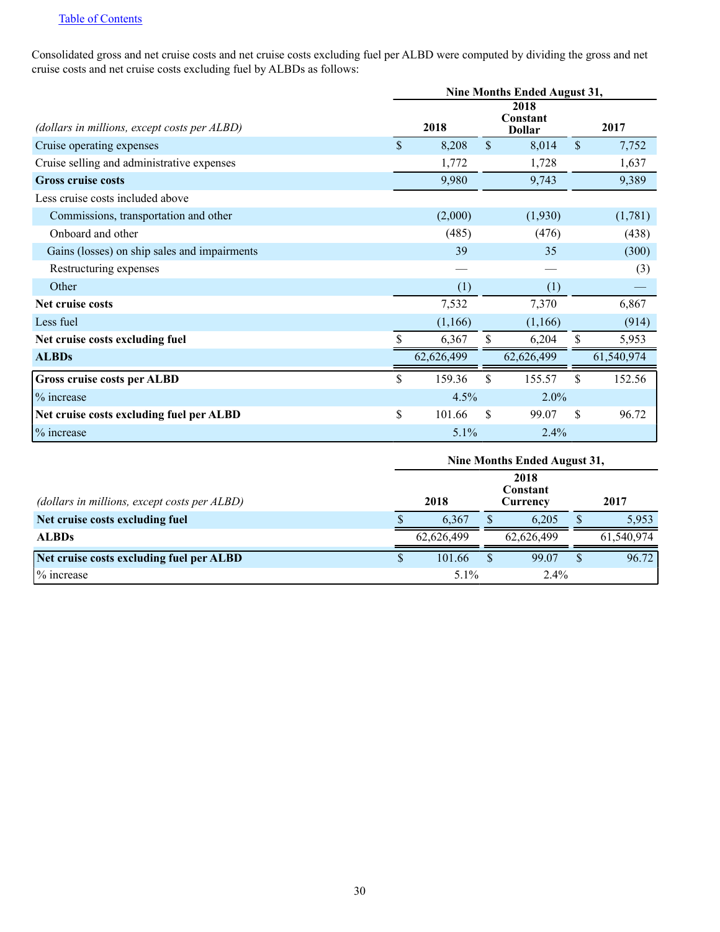## Table of Contents

Consolidated gross and net cruise costs and net cruise costs excluding fuel per ALBD were computed by dividing the gross and net cruise costs and net cruise costs excluding fuel by ALBDs as follows:

|                                              | Nine Months Ended August 31, |            |               |                                   |              |            |  |
|----------------------------------------------|------------------------------|------------|---------------|-----------------------------------|--------------|------------|--|
| (dollars in millions, except costs per ALBD) |                              | 2018       |               | 2018<br>Constant<br><b>Dollar</b> |              | 2017       |  |
| Cruise operating expenses                    | \$                           | 8,208      | $\mathbf{\$}$ | 8,014                             | $\mathbb{S}$ | 7,752      |  |
| Cruise selling and administrative expenses   |                              | 1,772      |               | 1,728                             |              | 1,637      |  |
| <b>Gross cruise costs</b>                    |                              | 9,980      |               | 9,743                             |              | 9,389      |  |
| Less cruise costs included above             |                              |            |               |                                   |              |            |  |
| Commissions, transportation and other        |                              | (2,000)    |               | (1,930)                           |              | (1,781)    |  |
| Onboard and other                            |                              | (485)      |               | (476)                             |              | (438)      |  |
| Gains (losses) on ship sales and impairments |                              | 39         |               | 35                                |              | (300)      |  |
| Restructuring expenses                       |                              |            |               |                                   |              | (3)        |  |
| Other                                        |                              | (1)        |               | (1)                               |              |            |  |
| Net cruise costs                             |                              | 7,532      |               | 7,370                             |              | 6,867      |  |
| Less fuel                                    |                              | (1,166)    |               | (1,166)                           |              | (914)      |  |
| Net cruise costs excluding fuel              |                              | 6,367      |               | 6,204                             |              | 5,953      |  |
| <b>ALBDs</b>                                 |                              | 62,626,499 |               | 62,626,499                        |              | 61,540,974 |  |
| <b>Gross cruise costs per ALBD</b>           | \$                           | 159.36     | \$            | 155.57                            | \$           | 152.56     |  |
| % increase                                   |                              | 4.5%       |               | 2.0%                              |              |            |  |
| Net cruise costs excluding fuel per ALBD     | \$                           | 101.66     | <sup>\$</sup> | 99.07                             | \$           | 96.72      |  |
| % increase                                   |                              | 5.1%       |               | 2.4%                              |              |            |  |

|                                              | Nine Months Ended August 31, |            |  |                              |   |            |  |
|----------------------------------------------|------------------------------|------------|--|------------------------------|---|------------|--|
| (dollars in millions, except costs per ALBD) |                              | 2018       |  | 2018<br>Constant<br>Currency |   | 2017       |  |
| Net cruise costs excluding fuel              |                              | 6.367      |  | 6.205                        | S | 5.953      |  |
| <b>ALBDs</b>                                 |                              | 62,626,499 |  | 62,626,499                   |   | 61,540,974 |  |
| Net cruise costs excluding fuel per ALBD     |                              | 101.66     |  | 99.07                        |   | 96.72      |  |
| % increase                                   |                              | $5.1\%$    |  | $2.4\%$                      |   |            |  |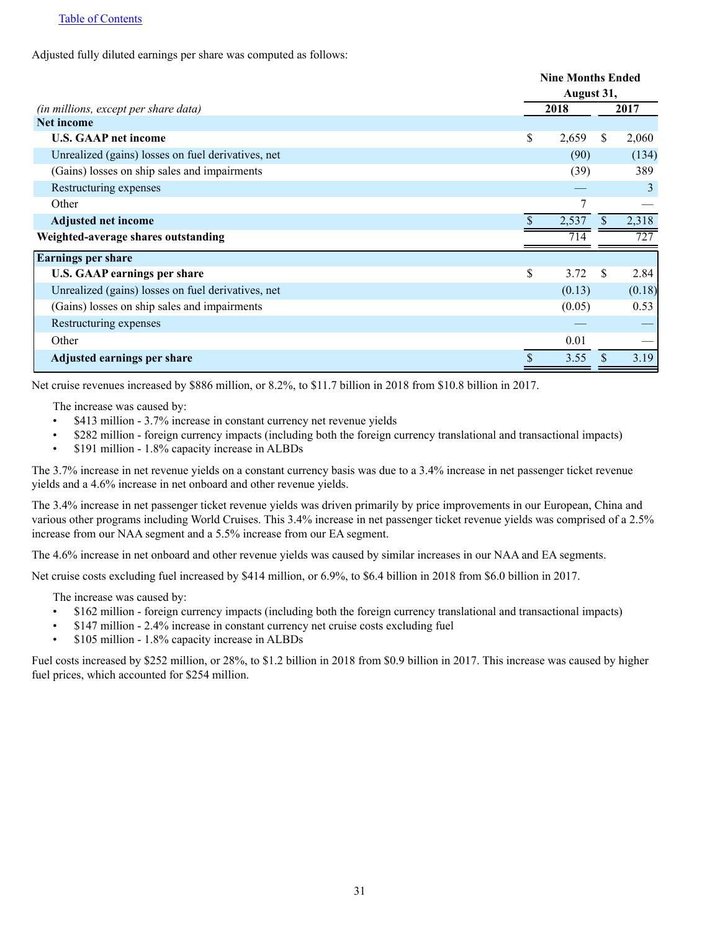Adjusted fully diluted earnings per share was computed as follows:

|                                                    | <b>Nine Months Ended</b><br>August 31, |        |             |  |
|----------------------------------------------------|----------------------------------------|--------|-------------|--|
| (in millions, except per share data)               | 2018                                   |        | 2017        |  |
| <b>Net income</b>                                  |                                        |        |             |  |
| <b>U.S. GAAP net income</b>                        | \$                                     | 2,659  | S.<br>2,060 |  |
| Unrealized (gains) losses on fuel derivatives, net |                                        | (90)   | (134)       |  |
| (Gains) losses on ship sales and impairments       |                                        | (39)   | 389         |  |
| Restructuring expenses                             |                                        |        | 3           |  |
| Other                                              |                                        |        |             |  |
| <b>Adjusted net income</b>                         |                                        | 2,537  | \$<br>2,318 |  |
| Weighted-average shares outstanding                |                                        | 714    | 727         |  |
| <b>Earnings per share</b>                          |                                        |        |             |  |
| <b>U.S. GAAP earnings per share</b>                | \$                                     | 3.72   | S.<br>2.84  |  |
| Unrealized (gains) losses on fuel derivatives, net |                                        | (0.13) | (0.18)      |  |
| (Gains) losses on ship sales and impairments       |                                        | (0.05) | 0.53        |  |
| Restructuring expenses                             |                                        |        |             |  |
| Other                                              |                                        | 0.01   |             |  |
| Adjusted earnings per share                        |                                        | 3.55   | 3.19        |  |

Net cruise revenues increased by \$886 million, or 8.2%, to \$11.7 billion in 2018 from \$10.8 billion in 2017.

The increase was caused by:

- \$413 million 3.7% increase in constant currency net revenue yields
- \$282 million foreign currency impacts (including both the foreign currency translational and transactional impacts)
- \$191 million 1.8% capacity increase in ALBDs

The 3.7% increase in net revenue yields on a constant currency basis was due to a 3.4% increase in net passenger ticket revenue yields and a 4.6% increase in net onboard and other revenue yields.

The 3.4% increase in net passenger ticket revenue yields was driven primarily by price improvements in our European, China and various other programs including World Cruises. This 3.4% increase in net passenger ticket revenue yields was comprised of a 2.5% increase from our NAA segment and a 5.5% increase from our EA segment.

The 4.6% increase in net onboard and other revenue yields was caused by similar increases in our NAA and EA segments.

Net cruise costs excluding fuel increased by \$414 million, or 6.9%, to \$6.4 billion in 2018 from \$6.0 billion in 2017.

The increase was caused by:

- \$162 million foreign currency impacts (including both the foreign currency translational and transactional impacts)
- \$147 million 2.4% increase in constant currency net cruise costs excluding fuel
- \$105 million 1.8% capacity increase in ALBDs

Fuel costs increased by \$252 million, or 28%, to \$1.2 billion in 2018 from \$0.9 billion in 2017. This increase was caused by higher fuel prices, which accounted for \$254 million.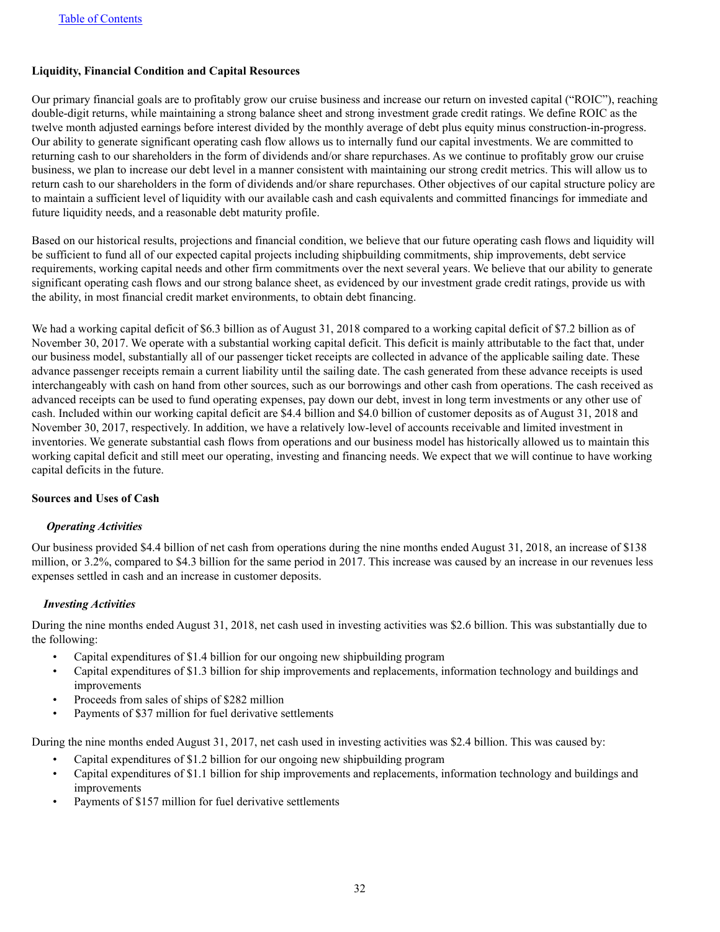## **Liquidity, Financial Condition and Capital Resources**

Our primary financial goals are to profitably grow our cruise business and increase our return on invested capital ("ROIC"), reaching double-digit returns, while maintaining a strong balance sheet and strong investment grade credit ratings. We define ROIC as the twelve month adjusted earnings before interest divided by the monthly average of debt plus equity minus construction-in-progress. Our ability to generate significant operating cash flow allows us to internally fund our capital investments. We are committed to returning cash to our shareholders in the form of dividends and/or share repurchases. As we continue to profitably grow our cruise business, we plan to increase our debt level in a manner consistent with maintaining our strong credit metrics. This will allow us to return cash to our shareholders in the form of dividends and/or share repurchases. Other objectives of our capital structure policy are to maintain a sufficient level of liquidity with our available cash and cash equivalents and committed financings for immediate and future liquidity needs, and a reasonable debt maturity profile.

Based on our historical results, projections and financial condition, we believe that our future operating cash flows and liquidity will be sufficient to fund all of our expected capital projects including shipbuilding commitments, ship improvements, debt service requirements, working capital needs and other firm commitments over the next several years. We believe that our ability to generate significant operating cash flows and our strong balance sheet, as evidenced by our investment grade credit ratings, provide us with the ability, in most financial credit market environments, to obtain debt financing.

We had a working capital deficit of \$6.3 billion as of August 31, 2018 compared to a working capital deficit of \$7.2 billion as of November 30, 2017. We operate with a substantial working capital deficit. This deficit is mainly attributable to the fact that, under our business model, substantially all of our passenger ticket receipts are collected in advance of the applicable sailing date. These advance passenger receipts remain a current liability until the sailing date. The cash generated from these advance receipts is used interchangeably with cash on hand from other sources, such as our borrowings and other cash from operations. The cash received as advanced receipts can be used to fund operating expenses, pay down our debt, invest in long term investments or any other use of cash. Included within our working capital deficit are \$4.4 billion and \$4.0 billion of customer deposits as of August 31, 2018 and November 30, 2017, respectively. In addition, we have a relatively low-level of accounts receivable and limited investment in inventories. We generate substantial cash flows from operations and our business model has historically allowed us to maintain this working capital deficit and still meet our operating, investing and financing needs. We expect that we will continue to have working capital deficits in the future.

#### **Sources and Uses of Cash**

#### *Operating Activities*

Our business provided \$4.4 billion of net cash from operations during the nine months ended August 31, 2018, an increase of \$138 million, or 3.2%, compared to \$4.3 billion for the same period in 2017. This increase was caused by an increase in our revenues less expenses settled in cash and an increase in customer deposits.

#### *Investing Activities*

During the nine months ended August 31, 2018, net cash used in investing activities was \$2.6 billion. This was substantially due to the following:

- Capital expenditures of \$1.4 billion for our ongoing new shipbuilding program
- Capital expenditures of \$1.3 billion for ship improvements and replacements, information technology and buildings and improvements
- Proceeds from sales of ships of \$282 million
- Payments of \$37 million for fuel derivative settlements

During the nine months ended August 31, 2017, net cash used in investing activities was \$2.4 billion. This was caused by:

- Capital expenditures of \$1.2 billion for our ongoing new shipbuilding program
- Capital expenditures of \$1.1 billion for ship improvements and replacements, information technology and buildings and improvements
- Payments of \$157 million for fuel derivative settlements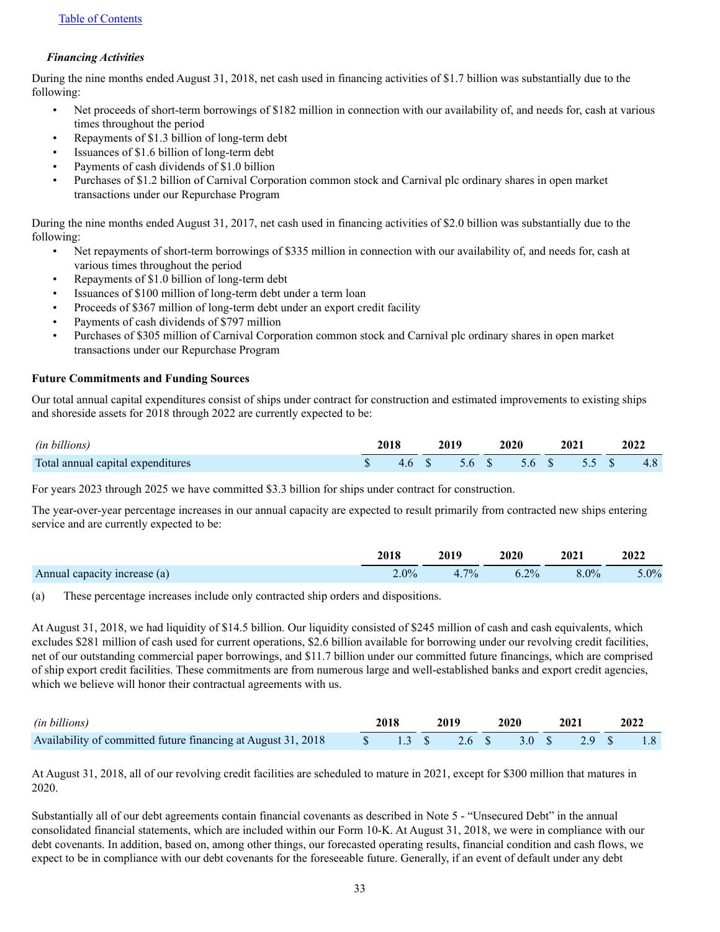#### *Financing Activities*

During the nine months ended August 31, 2018, net cash used in financing activities of \$1.7 billion was substantially due to the following:

- Net proceeds of short-term borrowings of \$182 million in connection with our availability of, and needs for, cash at various times throughout the period
- Repayments of \$1.3 billion of long-term debt
- Issuances of \$1.6 billion of long-term debt
- Payments of cash dividends of \$1.0 billion
- Purchases of \$1.2 billion of Carnival Corporation common stock and Carnival plc ordinary shares in open market transactions under our Repurchase Program

During the nine months ended August 31, 2017, net cash used in financing activities of \$2.0 billion was substantially due to the following:

- Net repayments of short-term borrowings of \$335 million in connection with our availability of, and needs for, cash at various times throughout the period
- Repayments of \$1.0 billion of long-term debt
- Issuances of \$100 million of long-term debt under a term loan
- Proceeds of \$367 million of long-term debt under an export credit facility
- Payments of cash dividends of \$797 million
- Purchases of \$305 million of Carnival Corporation common stock and Carnival plc ordinary shares in open market transactions under our Repurchase Program

#### **Future Commitments and Funding Sources**

Our total annual capital expenditures consist of ships under contract for construction and estimated improvements to existing ships and shoreside assets for 2018 through 2022 are currently expected to be:

| <i>(in billions)</i>              | 2018 | 2019 |  | 2020 | 2021 | 2022 |
|-----------------------------------|------|------|--|------|------|------|
| Total annual capital expenditures |      |      |  |      |      | 4.8  |

For years 2023 through 2025 we have committed \$3.3 billion for ships under contract for construction.

The year-over-year percentage increases in our annual capacity are expected to result primarily from contracted new ships entering service and are currently expected to be:

|                              | 2018    | 201 <sup>c</sup> | 2020 | $202^{\circ}$ | 2022    |
|------------------------------|---------|------------------|------|---------------|---------|
| Annual capacity increase (a) | $2.0\%$ | $7\%$            | 6.2% | $8.0\%$       | $5.0\%$ |

(a) These percentage increases include only contracted ship orders and dispositions.

At August 31, 2018, we had liquidity of \$14.5 billion. Our liquidity consisted of \$245 million of cash and cash equivalents, which excludes \$281 million of cash used for current operations, \$2.6 billion available for borrowing under our revolving credit facilities, net of our outstanding commercial paper borrowings, and \$11.7 billion under our committed future financings, which are comprised of ship export credit facilities. These commitments are from numerous large and well-established banks and export credit agencies, which we believe will honor their contractual agreements with us.

| <i>(in billions)</i>                                                                             | 2018 | 2019 | 2020 2021 |  | 2022 |
|--------------------------------------------------------------------------------------------------|------|------|-----------|--|------|
| Availability of committed future financing at August 31, 2018 \$ 1.3 \$ 2.6 \$ 3.0 \$ 2.9 \$ 1.8 |      |      |           |  |      |

At August 31, 2018, all of our revolving credit facilities are scheduled to mature in 2021, except for \$300 million that matures in 2020.

Substantially all of our debt agreements contain financial covenants as described in Note 5 - "Unsecured Debt" in the annual consolidated financial statements, which are included within our Form 10-K. At August 31, 2018, we were in compliance with our debt covenants. In addition, based on, among other things, our forecasted operating results, financial condition and cash flows, we expect to be in compliance with our debt covenants for the foreseeable future. Generally, if an event of default under any debt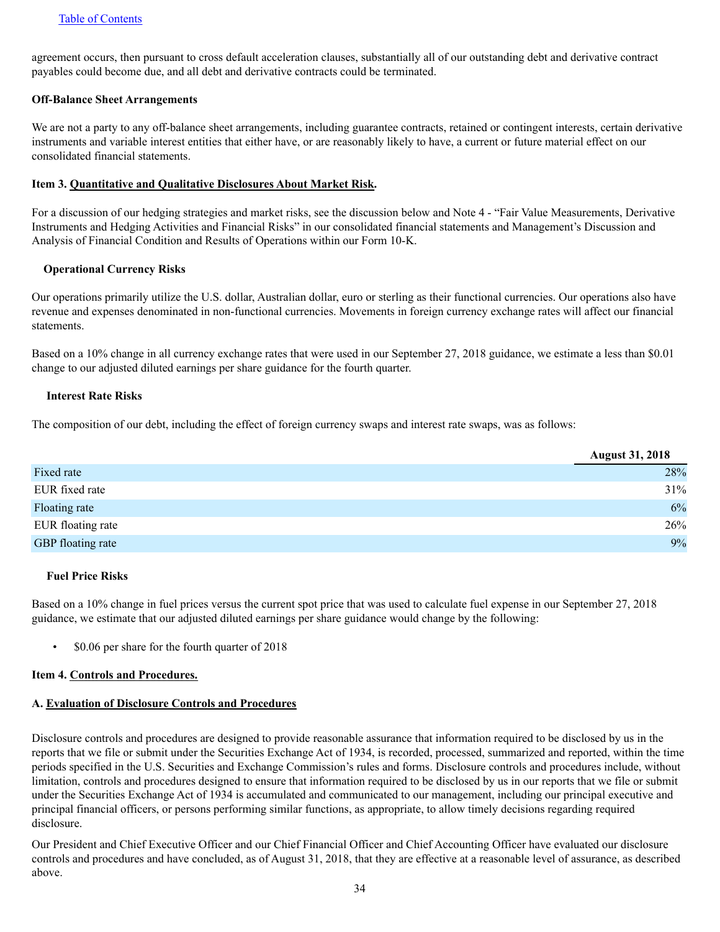<span id="page-33-0"></span>agreement occurs, then pursuant to cross default acceleration clauses, substantially all of our outstanding debt and derivative contract payables could become due, and all debt and derivative contracts could be terminated.

#### **Off-Balance Sheet Arrangements**

We are not a party to any off-balance sheet arrangements, including guarantee contracts, retained or contingent interests, certain derivative instruments and variable interest entities that either have, or are reasonably likely to have, a current or future material effect on our consolidated financial statements.

#### **Item 3. Quantitative and Qualitative Disclosures About Market Risk.**

For a discussion of our hedging strategies and market risks, see the discussion below and Note 4 - "Fair Value Measurements, Derivative Instruments and Hedging Activities and Financial Risks" in our consolidated financial statements and Management's Discussion and Analysis of Financial Condition and Results of Operations within our Form 10-K.

#### **Operational Currency Risks**

Our operations primarily utilize the U.S. dollar, Australian dollar, euro or sterling as their functional currencies. Our operations also have revenue and expenses denominated in non-functional currencies. Movements in foreign currency exchange rates will affect our financial statements.

Based on a 10% change in all currency exchange rates that were used in our September 27, 2018 guidance, we estimate a less than \$0.01 change to our adjusted diluted earnings per share guidance for the fourth quarter.

#### **Interest Rate Risks**

The composition of our debt, including the effect of foreign currency swaps and interest rate swaps, was as follows:

|                   | <b>August 31, 2018</b> |
|-------------------|------------------------|
| Fixed rate        | 28%                    |
| EUR fixed rate    | 31%                    |
| Floating rate     | 6%                     |
| EUR floating rate | 26%                    |
| GBP floating rate | 9%                     |

#### **Fuel Price Risks**

Based on a 10% change in fuel prices versus the current spot price that was used to calculate fuel expense in our September 27, 2018 guidance, we estimate that our adjusted diluted earnings per share guidance would change by the following:

• \$0.06 per share for the fourth quarter of 2018

#### **Item 4. Controls and Procedures.**

#### **A. Evaluation of Disclosure Controls and Procedures**

Disclosure controls and procedures are designed to provide reasonable assurance that information required to be disclosed by us in the reports that we file or submit under the Securities Exchange Act of 1934, is recorded, processed, summarized and reported, within the time periods specified in the U.S. Securities and Exchange Commission's rules and forms. Disclosure controls and procedures include, without limitation, controls and procedures designed to ensure that information required to be disclosed by us in our reports that we file or submit under the Securities Exchange Act of 1934 is accumulated and communicated to our management, including our principal executive and principal financial officers, or persons performing similar functions, as appropriate, to allow timely decisions regarding required disclosure.

Our President and Chief Executive Officer and our Chief Financial Officer and Chief Accounting Officer have evaluated our disclosure controls and procedures and have concluded, as of August 31, 2018, that they are effective at a reasonable level of assurance, as described above.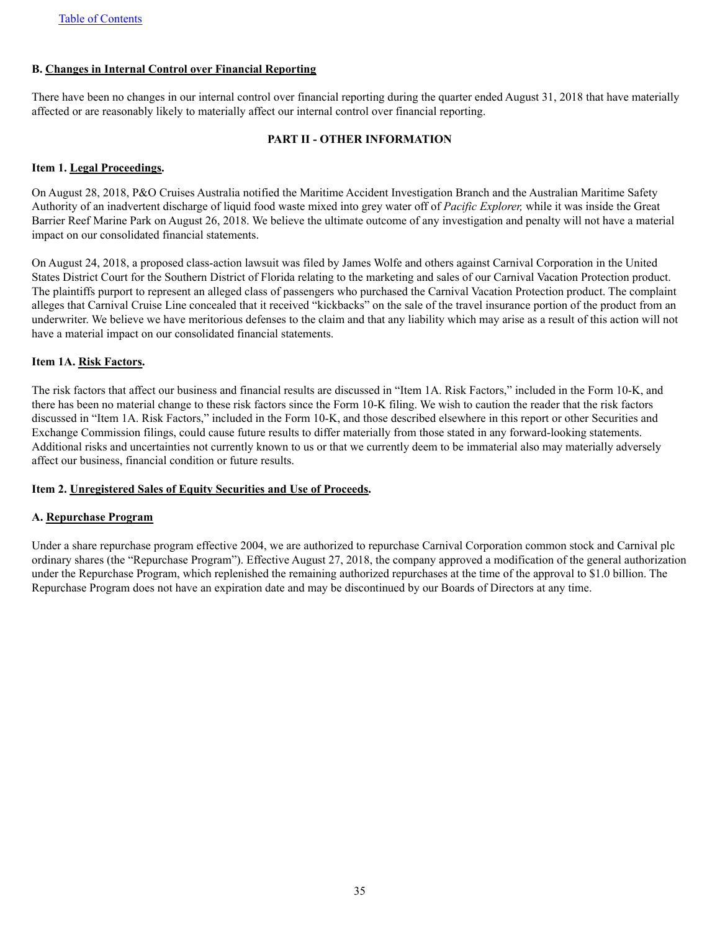#### <span id="page-34-0"></span>**B. Changes in Internal Control over Financial Reporting**

There have been no changes in our internal control over financial reporting during the quarter ended August 31, 2018 that have materially affected or are reasonably likely to materially affect our internal control over financial reporting.

#### **PART II - OTHER INFORMATION**

#### **Item 1. Legal Proceedings.**

On August 28, 2018, P&O Cruises Australia notified the Maritime Accident Investigation Branch and the Australian Maritime Safety Authority of an inadvertent discharge of liquid food waste mixed into grey water off of *Pacific Explorer,* while it was inside the Great Barrier Reef Marine Park on August 26, 2018. We believe the ultimate outcome of any investigation and penalty will not have a material impact on our consolidated financial statements.

On August 24, 2018, a proposed class-action lawsuit was filed by James Wolfe and others against Carnival Corporation in the United States District Court for the Southern District of Florida relating to the marketing and sales of our Carnival Vacation Protection product. The plaintiffs purport to represent an alleged class of passengers who purchased the Carnival Vacation Protection product. The complaint alleges that Carnival Cruise Line concealed that it received "kickbacks" on the sale of the travel insurance portion of the product from an underwriter. We believe we have meritorious defenses to the claim and that any liability which may arise as a result of this action will not have a material impact on our consolidated financial statements.

### **Item 1A. Risk Factors.**

The risk factors that affect our business and financial results are discussed in "Item 1A. Risk Factors," included in the Form 10-K, and there has been no material change to these risk factors since the Form 10-K filing. We wish to caution the reader that the risk factors discussed in "Item 1A. Risk Factors," included in the Form 10-K, and those described elsewhere in this report or other Securities and Exchange Commission filings, could cause future results to differ materially from those stated in any forward-looking statements. Additional risks and uncertainties not currently known to us or that we currently deem to be immaterial also may materially adversely affect our business, financial condition or future results.

#### **Item 2. Unregistered Sales of Equity Securities and Use of Proceeds.**

## **A. Repurchase Program**

Under a share repurchase program effective 2004, we are authorized to repurchase Carnival Corporation common stock and Carnival plc ordinary shares (the "Repurchase Program"). Effective August 27, 2018, the company approved a modification of the general authorization under the Repurchase Program, which replenished the remaining authorized repurchases at the time of the approval to \$1.0 billion. The Repurchase Program does not have an expiration date and may be discontinued by our Boards of Directors at any time.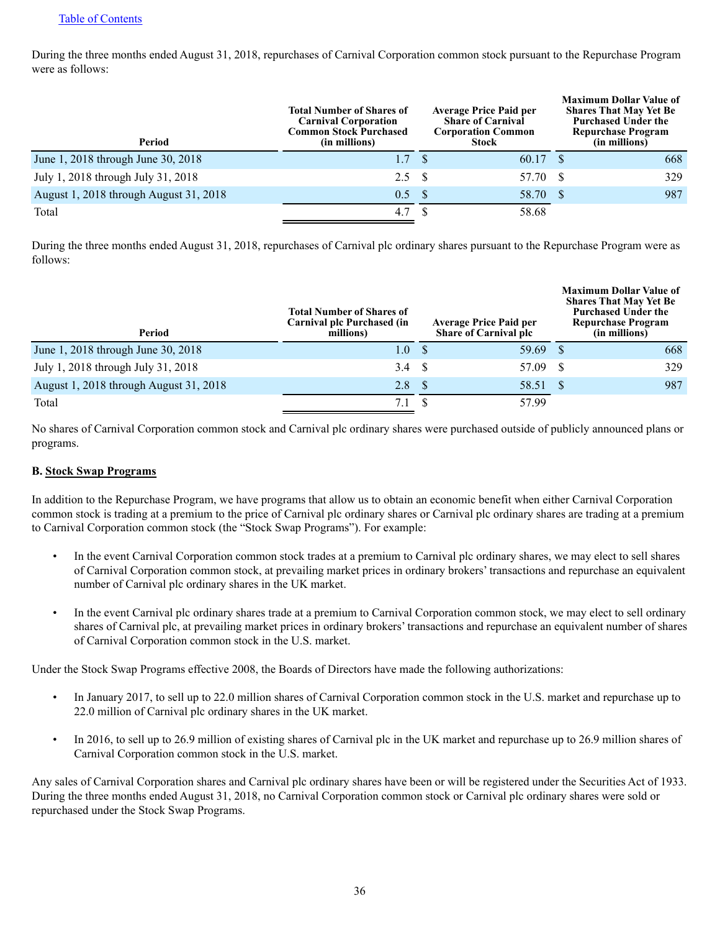During the three months ended August 31, 2018, repurchases of Carnival Corporation common stock pursuant to the Repurchase Program were as follows:

| Period                                 | <b>Total Number of Shares of</b><br><b>Carnival Corporation</b><br><b>Common Stock Purchased</b><br>(in millions) | <b>Average Price Paid per</b><br><b>Share of Carnival</b><br><b>Corporation Common</b><br><b>Stock</b> |       |     | <b>Maximum Dollar Value of</b><br><b>Shares That May Yet Be</b><br><b>Purchased Under the</b><br><b>Repurchase Program</b><br>(in millions) |
|----------------------------------------|-------------------------------------------------------------------------------------------------------------------|--------------------------------------------------------------------------------------------------------|-------|-----|---------------------------------------------------------------------------------------------------------------------------------------------|
| June 1, 2018 through June 30, 2018     | 1.7                                                                                                               |                                                                                                        | 60.17 |     | 668                                                                                                                                         |
| July 1, 2018 through July 31, 2018     | $2.5 \t S$                                                                                                        |                                                                                                        | 57.70 | - S | 329                                                                                                                                         |
| August 1, 2018 through August 31, 2018 | 0.5 S                                                                                                             |                                                                                                        | 58.70 | - S | 987                                                                                                                                         |
| Total                                  | 4.7                                                                                                               |                                                                                                        | 58.68 |     |                                                                                                                                             |

During the three months ended August 31, 2018, repurchases of Carnival plc ordinary shares pursuant to the Repurchase Program were as follows:

| Period                                 | <b>Total Number of Shares of</b><br>Carnival plc Purchased (in<br>millions) | <b>Average Price Paid per</b><br><b>Share of Carnival plc</b> |    | <b>Maximum Dollar Value of</b><br><b>Shares That May Yet Be</b><br><b>Purchased Under the</b><br><b>Repurchase Program</b><br>(in millions) |
|----------------------------------------|-----------------------------------------------------------------------------|---------------------------------------------------------------|----|---------------------------------------------------------------------------------------------------------------------------------------------|
| June 1, 2018 through June 30, 2018     | 1.0                                                                         | 59.69                                                         |    | 668                                                                                                                                         |
| July 1, 2018 through July 31, 2018     | 3.4 <sup>5</sup>                                                            | 57.09                                                         | -S | 329                                                                                                                                         |
| August 1, 2018 through August 31, 2018 | 2.8 <sup>5</sup>                                                            | 58.51                                                         | -8 | 987                                                                                                                                         |
| Total                                  | 7.1                                                                         | 5799                                                          |    |                                                                                                                                             |

No shares of Carnival Corporation common stock and Carnival plc ordinary shares were purchased outside of publicly announced plans or programs.

#### **B. Stock Swap Programs**

In addition to the Repurchase Program, we have programs that allow us to obtain an economic benefit when either Carnival Corporation common stock is trading at a premium to the price of Carnival plc ordinary shares or Carnival plc ordinary shares are trading at a premium to Carnival Corporation common stock (the "Stock Swap Programs"). For example:

- In the event Carnival Corporation common stock trades at a premium to Carnival plc ordinary shares, we may elect to sell shares of Carnival Corporation common stock, at prevailing market prices in ordinary brokers' transactions and repurchase an equivalent number of Carnival plc ordinary shares in the UK market.
- In the event Carnival plc ordinary shares trade at a premium to Carnival Corporation common stock, we may elect to sell ordinary shares of Carnival plc, at prevailing market prices in ordinary brokers' transactions and repurchase an equivalent number of shares of Carnival Corporation common stock in the U.S. market.

Under the Stock Swap Programs effective 2008, the Boards of Directors have made the following authorizations:

- In January 2017, to sell up to 22.0 million shares of Carnival Corporation common stock in the U.S. market and repurchase up to 22.0 million of Carnival plc ordinary shares in the UK market.
- In 2016, to sell up to 26.9 million of existing shares of Carnival plc in the UK market and repurchase up to 26.9 million shares of Carnival Corporation common stock in the U.S. market.

Any sales of Carnival Corporation shares and Carnival plc ordinary shares have been or will be registered under the Securities Act of 1933. During the three months ended August 31, 2018, no Carnival Corporation common stock or Carnival plc ordinary shares were sold or repurchased under the Stock Swap Programs.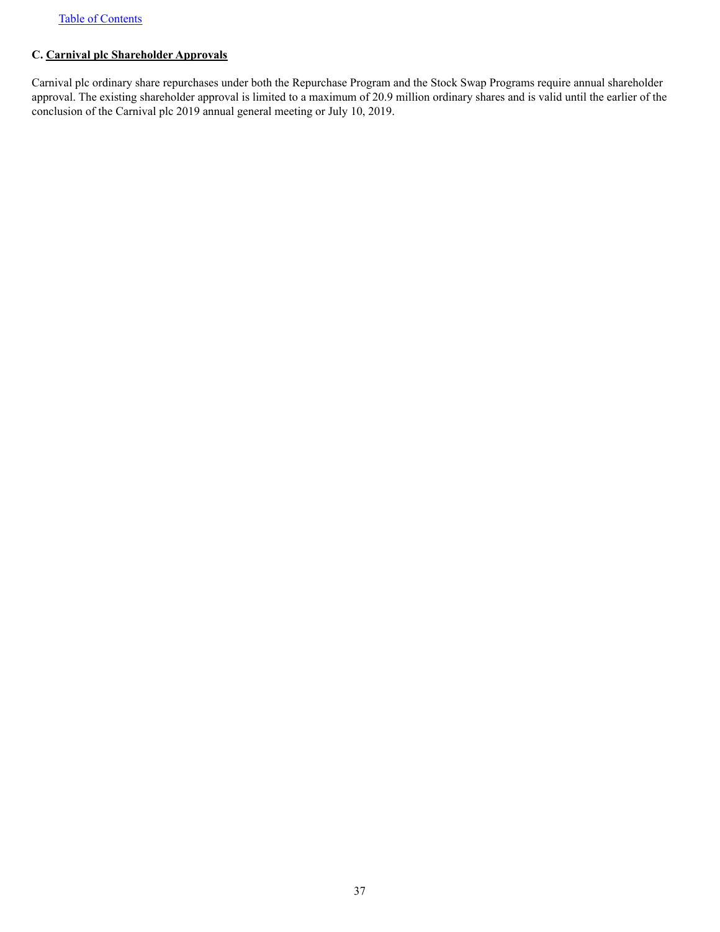## **C. Carnival plc Shareholder Approvals**

Carnival plc ordinary share repurchases under both the Repurchase Program and the Stock Swap Programs require annual shareholder approval. The existing shareholder approval is limited to a maximum of 20.9 million ordinary shares and is valid until the earlier of the conclusion of the Carnival plc 2019 annual general meeting or July 10, 2019.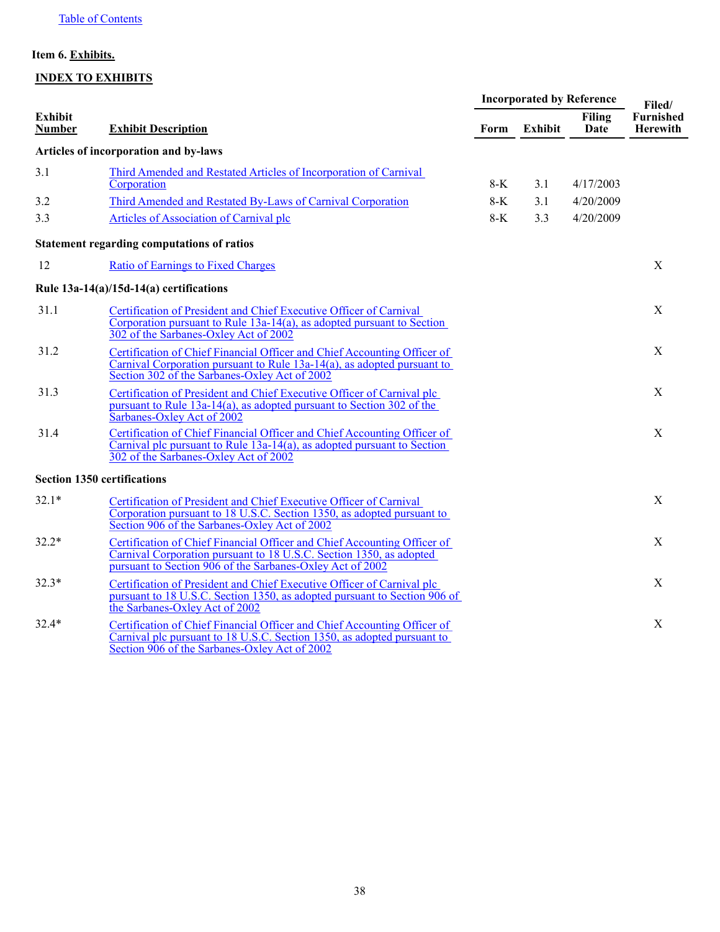## <span id="page-37-0"></span>**Item 6. Exhibits.**

## **INDEX TO EXHIBITS**

| <b>Exhibit</b><br><b>Number</b> | <b>Exhibit Description</b>                                                                                                                                                                                   | <b>Incorporated by Reference</b> | Filed/         |                |                              |
|---------------------------------|--------------------------------------------------------------------------------------------------------------------------------------------------------------------------------------------------------------|----------------------------------|----------------|----------------|------------------------------|
|                                 |                                                                                                                                                                                                              | Form                             | <b>Exhibit</b> | Filing<br>Date | Furnished<br><b>Herewith</b> |
|                                 | Articles of incorporation and by-laws                                                                                                                                                                        |                                  |                |                |                              |
| 3.1                             | Third Amended and Restated Articles of Incorporation of Carnival<br>Corporation                                                                                                                              | $8-K$                            | 3.1            | 4/17/2003      |                              |
| 3.2                             | Third Amended and Restated By-Laws of Carnival Corporation                                                                                                                                                   | $8-K$                            | 3.1            | 4/20/2009      |                              |
| 3.3                             | Articles of Association of Carnival plc                                                                                                                                                                      | $8-K$                            | 3.3            | 4/20/2009      |                              |
|                                 | <b>Statement regarding computations of ratios</b>                                                                                                                                                            |                                  |                |                |                              |
| 12                              | <b>Ratio of Earnings to Fixed Charges</b>                                                                                                                                                                    |                                  |                |                | $\mathbf X$                  |
|                                 | Rule 13a-14(a)/15d-14(a) certifications                                                                                                                                                                      |                                  |                |                |                              |
| 31.1                            | Certification of President and Chief Executive Officer of Carnival<br>Corporation pursuant to Rule 13a-14(a), as adopted pursuant to Section<br>302 of the Sarbanes-Oxley Act of 2002                        |                                  |                |                | $\mathbf X$                  |
| 31.2                            | Certification of Chief Financial Officer and Chief Accounting Officer of<br>Carnival Corporation pursuant to Rule 13a-14(a), as adopted pursuant to<br>Section 302 of the Sarbanes-Oxley Act of 2002         |                                  |                |                | $\mathbf X$                  |
| 31.3                            | Certification of President and Chief Executive Officer of Carnival plc<br>pursuant to Rule $13a-14(a)$ , as adopted pursuant to Section 302 of the<br>Sarbanes-Oxley Act of 2002                             |                                  |                |                | X                            |
| 31.4                            | Certification of Chief Financial Officer and Chief Accounting Officer of<br>Carnival plc pursuant to Rule 13a-14(a), as adopted pursuant to Section<br>302 of the Sarbanes-Oxley Act of 2002                 |                                  |                |                | $\mathbf X$                  |
|                                 | <b>Section 1350 certifications</b>                                                                                                                                                                           |                                  |                |                |                              |
| $32.1*$                         | Certification of President and Chief Executive Officer of Carnival<br>Corporation pursuant to 18 U.S.C. Section 1350, as adopted pursuant to<br>Section 906 of the Sarbanes-Oxley Act of 2002                |                                  |                |                | $\mathbf X$                  |
| $32.2*$                         | Certification of Chief Financial Officer and Chief Accounting Officer of<br>Carnival Corporation pursuant to 18 U.S.C. Section 1350, as adopted<br>pursuant to Section 906 of the Sarbanes-Oxley Act of 2002 |                                  |                |                | X                            |
| $32.3*$                         | Certification of President and Chief Executive Officer of Carnival plc<br>pursuant to 18 U.S.C. Section 1350, as adopted pursuant to Section 906 of<br>the Sarbanes-Oxley Act of 2002                        |                                  |                |                | $\mathbf X$                  |
| $32.4*$                         | Certification of Chief Financial Officer and Chief Accounting Officer of<br>Carnival plc pursuant to 18 U.S.C. Section 1350, as adopted pursuant to<br>Section 906 of the Sarbanes-Oxley Act of 2002         |                                  |                |                | $\mathbf X$                  |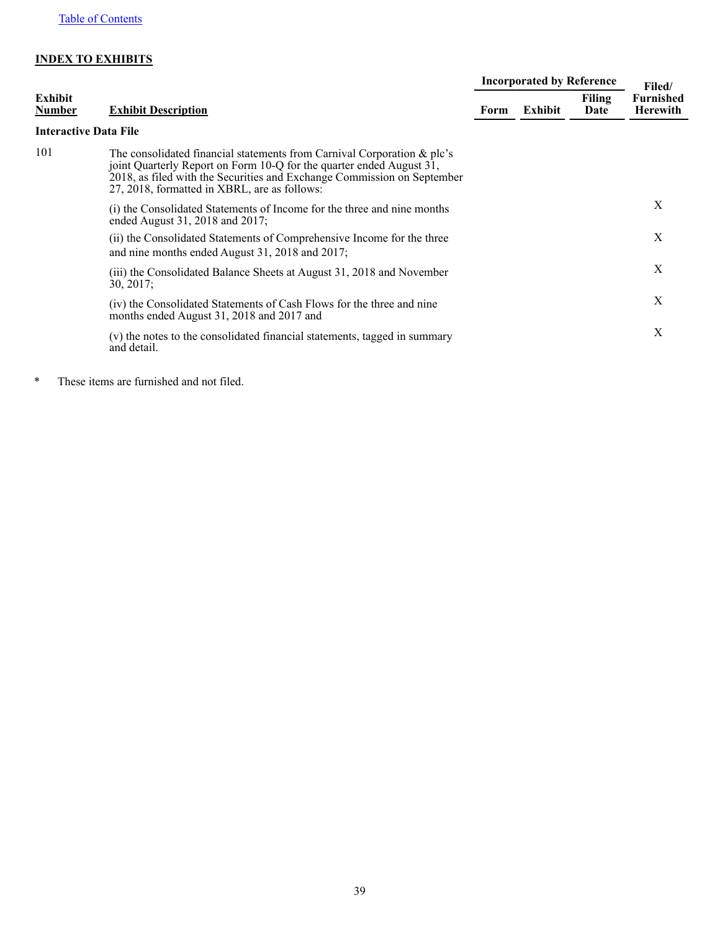## **INDEX TO EXHIBITS**

|                              | <b>Exhibit Description</b>                                                                                                                                                                                                                                                    | <b>Incorporated by Reference</b> |         |                | Filed/                              |
|------------------------------|-------------------------------------------------------------------------------------------------------------------------------------------------------------------------------------------------------------------------------------------------------------------------------|----------------------------------|---------|----------------|-------------------------------------|
| Exhibit<br><b>Number</b>     |                                                                                                                                                                                                                                                                               | Form                             | Exhibit | Filing<br>Date | <b>Furnished</b><br><b>Herewith</b> |
| <b>Interactive Data File</b> |                                                                                                                                                                                                                                                                               |                                  |         |                |                                     |
| 101                          | The consolidated financial statements from Carnival Corporation $\&$ plc's<br>joint Quarterly Report on Form 10-Q for the quarter ended August 31,<br>2018, as filed with the Securities and Exchange Commission on September<br>27, 2018, formatted in XBRL, are as follows: |                                  |         |                |                                     |
|                              | (i) the Consolidated Statements of Income for the three and nine months<br>ended August 31, 2018 and 2017;                                                                                                                                                                    |                                  |         |                | X                                   |
|                              | (ii) the Consolidated Statements of Comprehensive Income for the three<br>and nine months ended August 31, 2018 and 2017;                                                                                                                                                     |                                  |         |                | X                                   |
|                              | (iii) the Consolidated Balance Sheets at August 31, 2018 and November<br>30, 2017;                                                                                                                                                                                            |                                  |         |                | X                                   |
|                              | (iv) the Consolidated Statements of Cash Flows for the three and nine<br>months ended August 31, 2018 and 2017 and                                                                                                                                                            |                                  |         |                | X                                   |
|                              | (v) the notes to the consolidated financial statements, tagged in summary<br>and detail.                                                                                                                                                                                      |                                  |         |                | X                                   |

\* These items are furnished and not filed.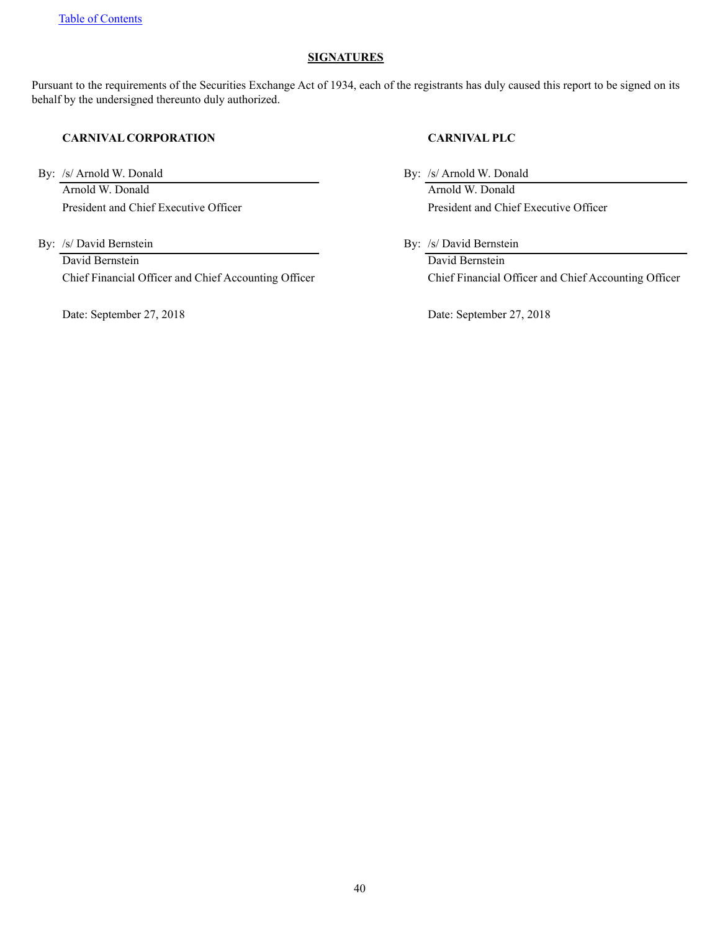## **SIGNATURES**

<span id="page-39-0"></span>Pursuant to the requirements of the Securities Exchange Act of 1934, each of the registrants has duly caused this report to be signed on its behalf by the undersigned thereunto duly authorized.

## **CARNIVAL CORPORATION CARNIVAL PLC**

Arnold W. Donald **Arnold W. Donald** 

David Bernstein David Bernstein

By: /s/ Arnold W. Donald By: /s/ Arnold W. Donald

President and Chief Executive Officer President and Chief Executive Officer

By: /s/ David Bernstein By: /s/ David Bernstein

Chief Financial Officer and Chief Accounting Officer Chief Financial Officer and Chief Accounting Officer

Date: September 27, 2018 Date: September 27, 2018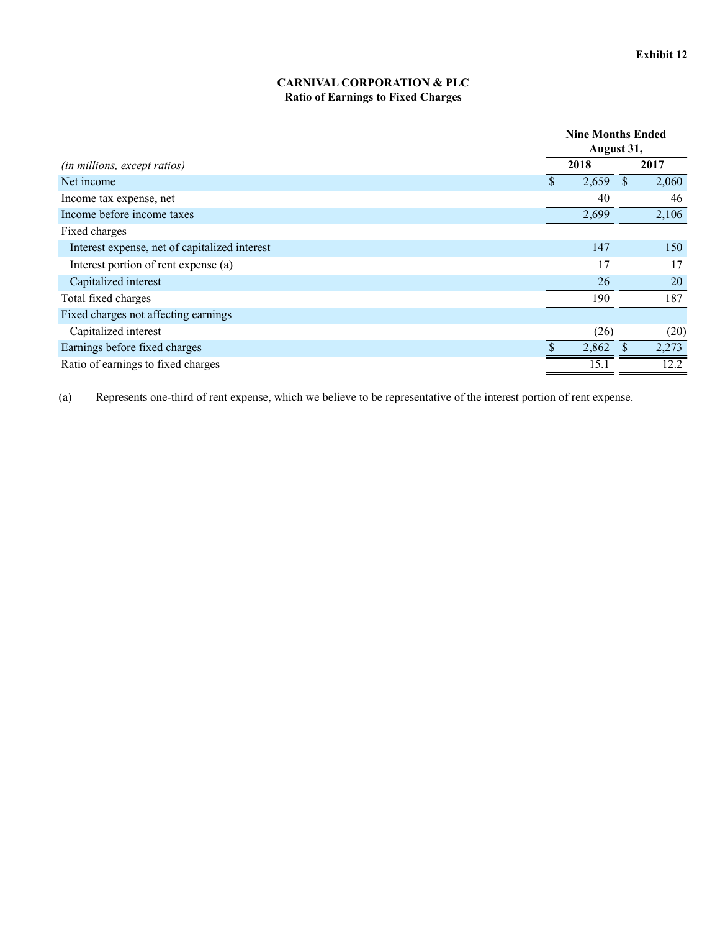## **CARNIVAL CORPORATION & PLC Ratio of Earnings to Fixed Charges**

|                                               | <b>Nine Months Ended</b><br>August 31, |                        |  |  |  |
|-----------------------------------------------|----------------------------------------|------------------------|--|--|--|
| (in millions, except ratios)                  | 2018                                   | 2017                   |  |  |  |
| Net income                                    | 2,659<br>S.                            | <sup>S</sup><br>2,060  |  |  |  |
| Income tax expense, net                       |                                        | 46                     |  |  |  |
| Income before income taxes                    |                                        | 2,106                  |  |  |  |
| Fixed charges                                 |                                        |                        |  |  |  |
| Interest expense, net of capitalized interest | 147                                    | 150                    |  |  |  |
| Interest portion of rent expense (a)          | 17                                     | 17                     |  |  |  |
| Capitalized interest                          |                                        | 20                     |  |  |  |
| Total fixed charges                           |                                        | 187                    |  |  |  |
| Fixed charges not affecting earnings          |                                        |                        |  |  |  |
| Capitalized interest                          | (26)                                   | (20)                   |  |  |  |
| Earnings before fixed charges                 | 2,862                                  | 2,273<br><sup>\$</sup> |  |  |  |
| Ratio of earnings to fixed charges            | 15.1                                   | 12.2                   |  |  |  |

(a) Represents one-third of rent expense, which we believe to be representative of the interest portion of rent expense.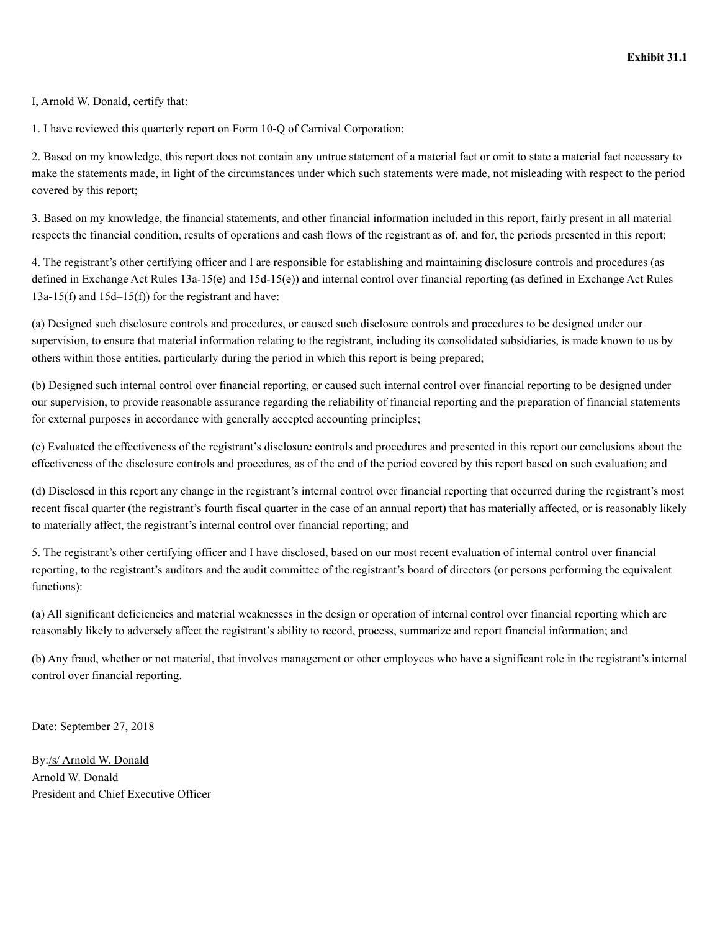I, Arnold W. Donald, certify that:

1. I have reviewed this quarterly report on Form 10-Q of Carnival Corporation;

2. Based on my knowledge, this report does not contain any untrue statement of a material fact or omit to state a material fact necessary to make the statements made, in light of the circumstances under which such statements were made, not misleading with respect to the period covered by this report;

3. Based on my knowledge, the financial statements, and other financial information included in this report, fairly present in all material respects the financial condition, results of operations and cash flows of the registrant as of, and for, the periods presented in this report;

4. The registrant's other certifying officer and I are responsible for establishing and maintaining disclosure controls and procedures (as defined in Exchange Act Rules 13a-15(e) and 15d-15(e)) and internal control over financial reporting (as defined in Exchange Act Rules 13a-15(f) and 15d $-15(f)$  for the registrant and have:

(a) Designed such disclosure controls and procedures, or caused such disclosure controls and procedures to be designed under our supervision, to ensure that material information relating to the registrant, including its consolidated subsidiaries, is made known to us by others within those entities, particularly during the period in which this report is being prepared;

(b) Designed such internal control over financial reporting, or caused such internal control over financial reporting to be designed under our supervision, to provide reasonable assurance regarding the reliability of financial reporting and the preparation of financial statements for external purposes in accordance with generally accepted accounting principles;

(c) Evaluated the effectiveness of the registrant's disclosure controls and procedures and presented in this report our conclusions about the effectiveness of the disclosure controls and procedures, as of the end of the period covered by this report based on such evaluation; and

(d) Disclosed in this report any change in the registrant's internal control over financial reporting that occurred during the registrant's most recent fiscal quarter (the registrant's fourth fiscal quarter in the case of an annual report) that has materially affected, or is reasonably likely to materially affect, the registrant's internal control over financial reporting; and

5. The registrant's other certifying officer and I have disclosed, based on our most recent evaluation of internal control over financial reporting, to the registrant's auditors and the audit committee of the registrant's board of directors (or persons performing the equivalent functions):

(a) All significant deficiencies and material weaknesses in the design or operation of internal control over financial reporting which are reasonably likely to adversely affect the registrant's ability to record, process, summarize and report financial information; and

(b) Any fraud, whether or not material, that involves management or other employees who have a significant role in the registrant's internal control over financial reporting.

Date: September 27, 2018

By:/s/ Arnold W. Donald Arnold W. Donald President and Chief Executive Officer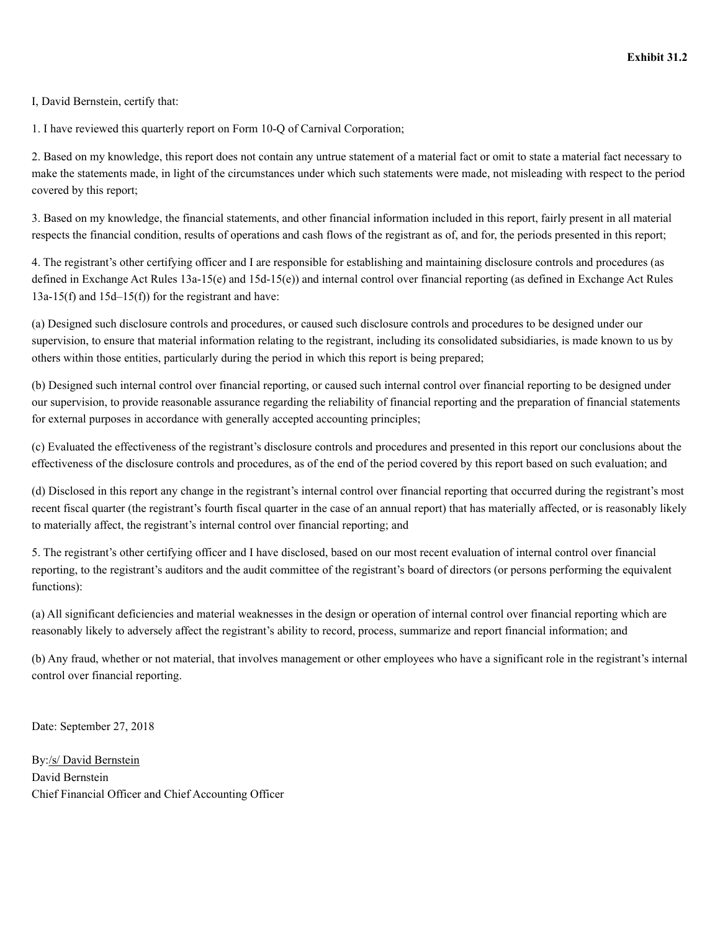I, David Bernstein, certify that:

1. I have reviewed this quarterly report on Form 10-Q of Carnival Corporation;

2. Based on my knowledge, this report does not contain any untrue statement of a material fact or omit to state a material fact necessary to make the statements made, in light of the circumstances under which such statements were made, not misleading with respect to the period covered by this report;

3. Based on my knowledge, the financial statements, and other financial information included in this report, fairly present in all material respects the financial condition, results of operations and cash flows of the registrant as of, and for, the periods presented in this report;

4. The registrant's other certifying officer and I are responsible for establishing and maintaining disclosure controls and procedures (as defined in Exchange Act Rules 13a-15(e) and 15d-15(e)) and internal control over financial reporting (as defined in Exchange Act Rules 13a-15(f) and 15d $-15(f)$  for the registrant and have:

(a) Designed such disclosure controls and procedures, or caused such disclosure controls and procedures to be designed under our supervision, to ensure that material information relating to the registrant, including its consolidated subsidiaries, is made known to us by others within those entities, particularly during the period in which this report is being prepared;

(b) Designed such internal control over financial reporting, or caused such internal control over financial reporting to be designed under our supervision, to provide reasonable assurance regarding the reliability of financial reporting and the preparation of financial statements for external purposes in accordance with generally accepted accounting principles;

(c) Evaluated the effectiveness of the registrant's disclosure controls and procedures and presented in this report our conclusions about the effectiveness of the disclosure controls and procedures, as of the end of the period covered by this report based on such evaluation; and

(d) Disclosed in this report any change in the registrant's internal control over financial reporting that occurred during the registrant's most recent fiscal quarter (the registrant's fourth fiscal quarter in the case of an annual report) that has materially affected, or is reasonably likely to materially affect, the registrant's internal control over financial reporting; and

5. The registrant's other certifying officer and I have disclosed, based on our most recent evaluation of internal control over financial reporting, to the registrant's auditors and the audit committee of the registrant's board of directors (or persons performing the equivalent functions):

(a) All significant deficiencies and material weaknesses in the design or operation of internal control over financial reporting which are reasonably likely to adversely affect the registrant's ability to record, process, summarize and report financial information; and

(b) Any fraud, whether or not material, that involves management or other employees who have a significant role in the registrant's internal control over financial reporting.

Date: September 27, 2018

By:/s/ David Bernstein David Bernstein Chief Financial Officer and Chief Accounting Officer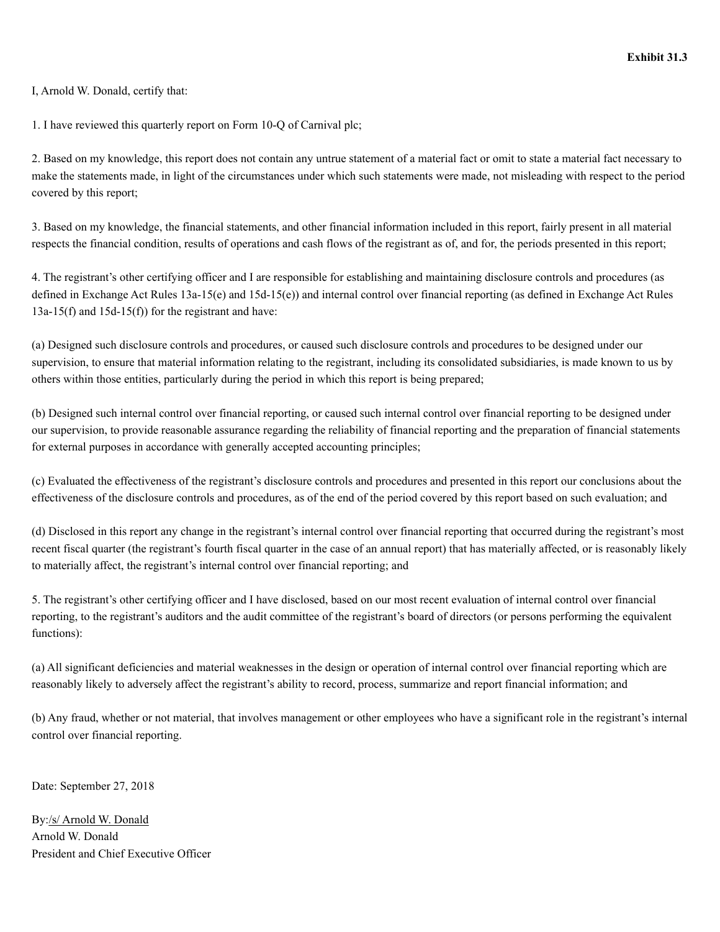I, Arnold W. Donald, certify that:

1. I have reviewed this quarterly report on Form 10-Q of Carnival plc;

2. Based on my knowledge, this report does not contain any untrue statement of a material fact or omit to state a material fact necessary to make the statements made, in light of the circumstances under which such statements were made, not misleading with respect to the period covered by this report;

3. Based on my knowledge, the financial statements, and other financial information included in this report, fairly present in all material respects the financial condition, results of operations and cash flows of the registrant as of, and for, the periods presented in this report;

4. The registrant's other certifying officer and I are responsible for establishing and maintaining disclosure controls and procedures (as defined in Exchange Act Rules 13a-15(e) and 15d-15(e)) and internal control over financial reporting (as defined in Exchange Act Rules 13a-15(f) and 15d-15(f)) for the registrant and have:

(a) Designed such disclosure controls and procedures, or caused such disclosure controls and procedures to be designed under our supervision, to ensure that material information relating to the registrant, including its consolidated subsidiaries, is made known to us by others within those entities, particularly during the period in which this report is being prepared;

(b) Designed such internal control over financial reporting, or caused such internal control over financial reporting to be designed under our supervision, to provide reasonable assurance regarding the reliability of financial reporting and the preparation of financial statements for external purposes in accordance with generally accepted accounting principles;

(c) Evaluated the effectiveness of the registrant's disclosure controls and procedures and presented in this report our conclusions about the effectiveness of the disclosure controls and procedures, as of the end of the period covered by this report based on such evaluation; and

(d) Disclosed in this report any change in the registrant's internal control over financial reporting that occurred during the registrant's most recent fiscal quarter (the registrant's fourth fiscal quarter in the case of an annual report) that has materially affected, or is reasonably likely to materially affect, the registrant's internal control over financial reporting; and

5. The registrant's other certifying officer and I have disclosed, based on our most recent evaluation of internal control over financial reporting, to the registrant's auditors and the audit committee of the registrant's board of directors (or persons performing the equivalent functions):

(a) All significant deficiencies and material weaknesses in the design or operation of internal control over financial reporting which are reasonably likely to adversely affect the registrant's ability to record, process, summarize and report financial information; and

(b) Any fraud, whether or not material, that involves management or other employees who have a significant role in the registrant's internal control over financial reporting.

Date: September 27, 2018

By:/s/ Arnold W. Donald Arnold W. Donald President and Chief Executive Officer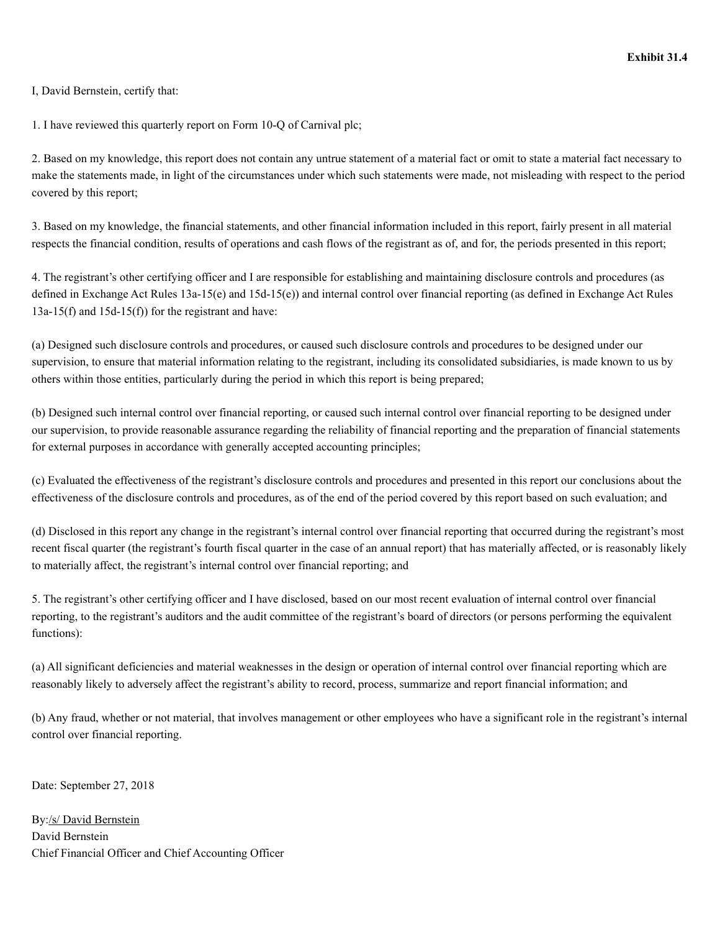#### I, David Bernstein, certify that:

1. I have reviewed this quarterly report on Form 10-Q of Carnival plc;

2. Based on my knowledge, this report does not contain any untrue statement of a material fact or omit to state a material fact necessary to make the statements made, in light of the circumstances under which such statements were made, not misleading with respect to the period covered by this report;

3. Based on my knowledge, the financial statements, and other financial information included in this report, fairly present in all material respects the financial condition, results of operations and cash flows of the registrant as of, and for, the periods presented in this report;

4. The registrant's other certifying officer and I are responsible for establishing and maintaining disclosure controls and procedures (as defined in Exchange Act Rules 13a-15(e) and 15d-15(e)) and internal control over financial reporting (as defined in Exchange Act Rules 13a-15(f) and 15d-15(f)) for the registrant and have:

(a) Designed such disclosure controls and procedures, or caused such disclosure controls and procedures to be designed under our supervision, to ensure that material information relating to the registrant, including its consolidated subsidiaries, is made known to us by others within those entities, particularly during the period in which this report is being prepared;

(b) Designed such internal control over financial reporting, or caused such internal control over financial reporting to be designed under our supervision, to provide reasonable assurance regarding the reliability of financial reporting and the preparation of financial statements for external purposes in accordance with generally accepted accounting principles;

(c) Evaluated the effectiveness of the registrant's disclosure controls and procedures and presented in this report our conclusions about the effectiveness of the disclosure controls and procedures, as of the end of the period covered by this report based on such evaluation; and

(d) Disclosed in this report any change in the registrant's internal control over financial reporting that occurred during the registrant's most recent fiscal quarter (the registrant's fourth fiscal quarter in the case of an annual report) that has materially affected, or is reasonably likely to materially affect, the registrant's internal control over financial reporting; and

5. The registrant's other certifying officer and I have disclosed, based on our most recent evaluation of internal control over financial reporting, to the registrant's auditors and the audit committee of the registrant's board of directors (or persons performing the equivalent functions):

(a) All significant deficiencies and material weaknesses in the design or operation of internal control over financial reporting which are reasonably likely to adversely affect the registrant's ability to record, process, summarize and report financial information; and

(b) Any fraud, whether or not material, that involves management or other employees who have a significant role in the registrant's internal control over financial reporting.

Date: September 27, 2018

By:/s/ David Bernstein David Bernstein Chief Financial Officer and Chief Accounting Officer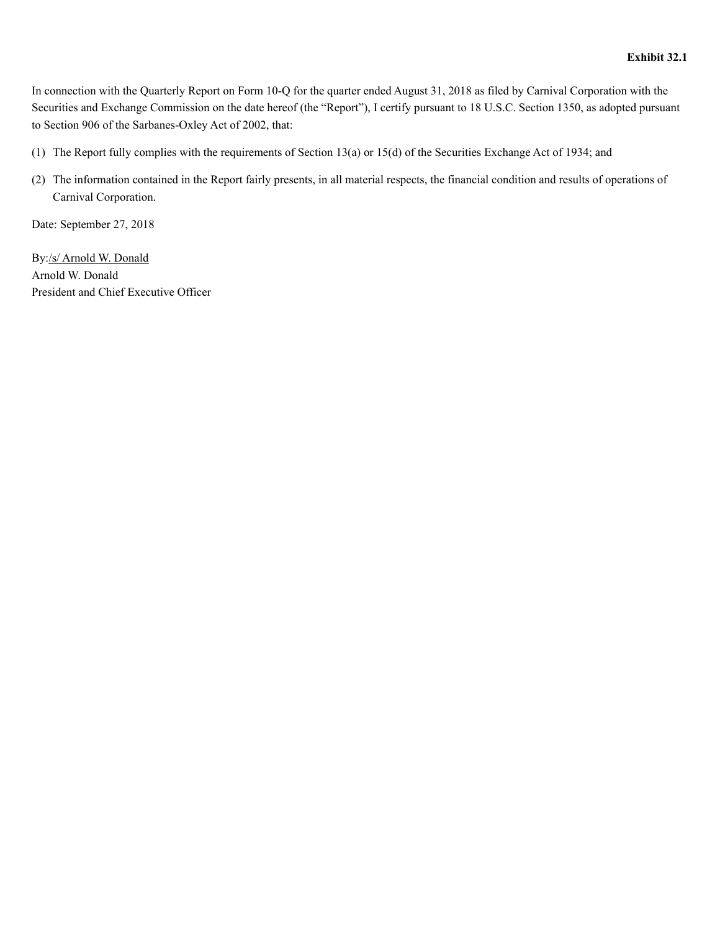In connection with the Quarterly Report on Form 10-Q for the quarter ended August 31, 2018 as filed by Carnival Corporation with the Securities and Exchange Commission on the date hereof (the "Report"), I certify pursuant to 18 U.S.C. Section 1350, as adopted pursuant to Section 906 of the Sarbanes-Oxley Act of 2002, that:

- (1) The Report fully complies with the requirements of Section 13(a) or 15(d) of the Securities Exchange Act of 1934; and
- (2) The information contained in the Report fairly presents, in all material respects, the financial condition and results of operations of Carnival Corporation.

Date: September 27, 2018

By:/s/ Arnold W. Donald Arnold W. Donald President and Chief Executive Officer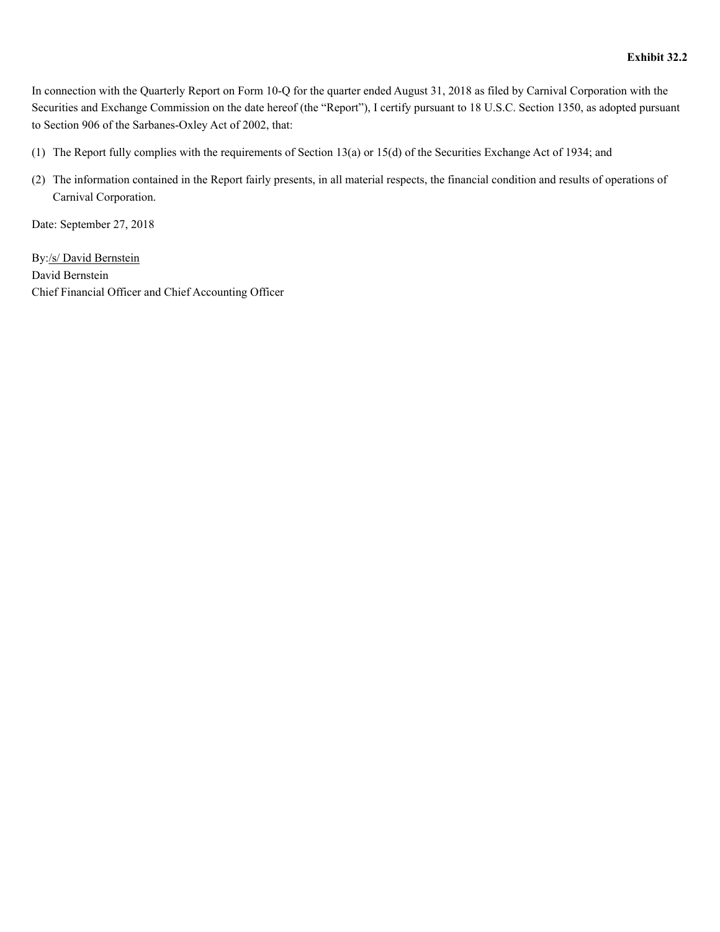In connection with the Quarterly Report on Form 10-Q for the quarter ended August 31, 2018 as filed by Carnival Corporation with the Securities and Exchange Commission on the date hereof (the "Report"), I certify pursuant to 18 U.S.C. Section 1350, as adopted pursuant to Section 906 of the Sarbanes-Oxley Act of 2002, that:

- (1) The Report fully complies with the requirements of Section 13(a) or 15(d) of the Securities Exchange Act of 1934; and
- (2) The information contained in the Report fairly presents, in all material respects, the financial condition and results of operations of Carnival Corporation.

Date: September 27, 2018

By:/s/ David Bernstein David Bernstein Chief Financial Officer and Chief Accounting Officer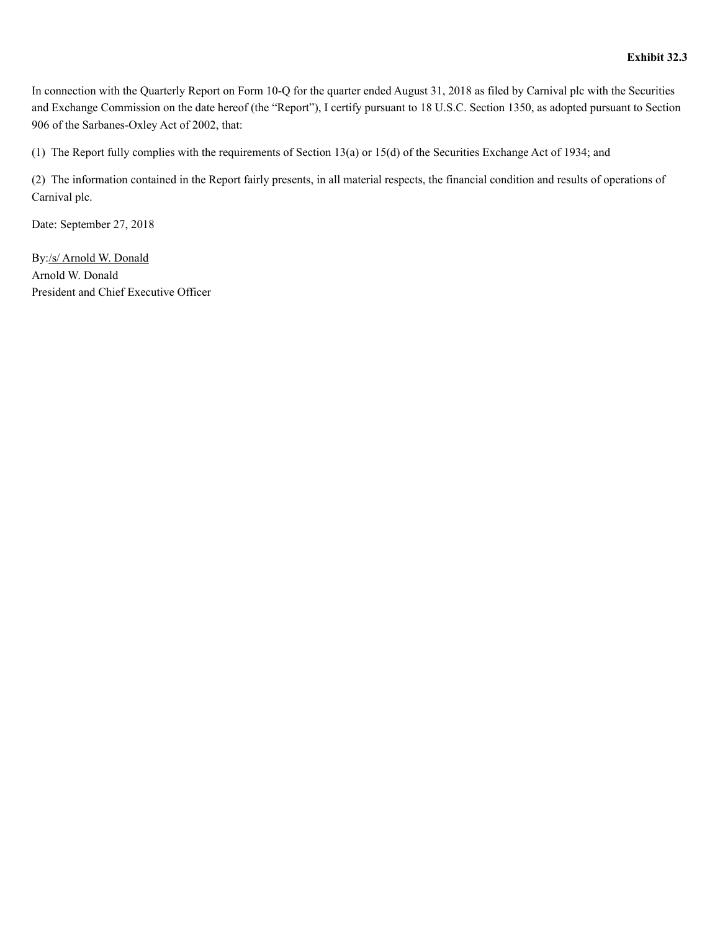In connection with the Quarterly Report on Form 10-Q for the quarter ended August 31, 2018 as filed by Carnival plc with the Securities and Exchange Commission on the date hereof (the "Report"), I certify pursuant to 18 U.S.C. Section 1350, as adopted pursuant to Section 906 of the Sarbanes-Oxley Act of 2002, that:

(1) The Report fully complies with the requirements of Section 13(a) or 15(d) of the Securities Exchange Act of 1934; and

(2) The information contained in the Report fairly presents, in all material respects, the financial condition and results of operations of Carnival plc.

Date: September 27, 2018

By:/s/ Arnold W. Donald Arnold W. Donald President and Chief Executive Officer